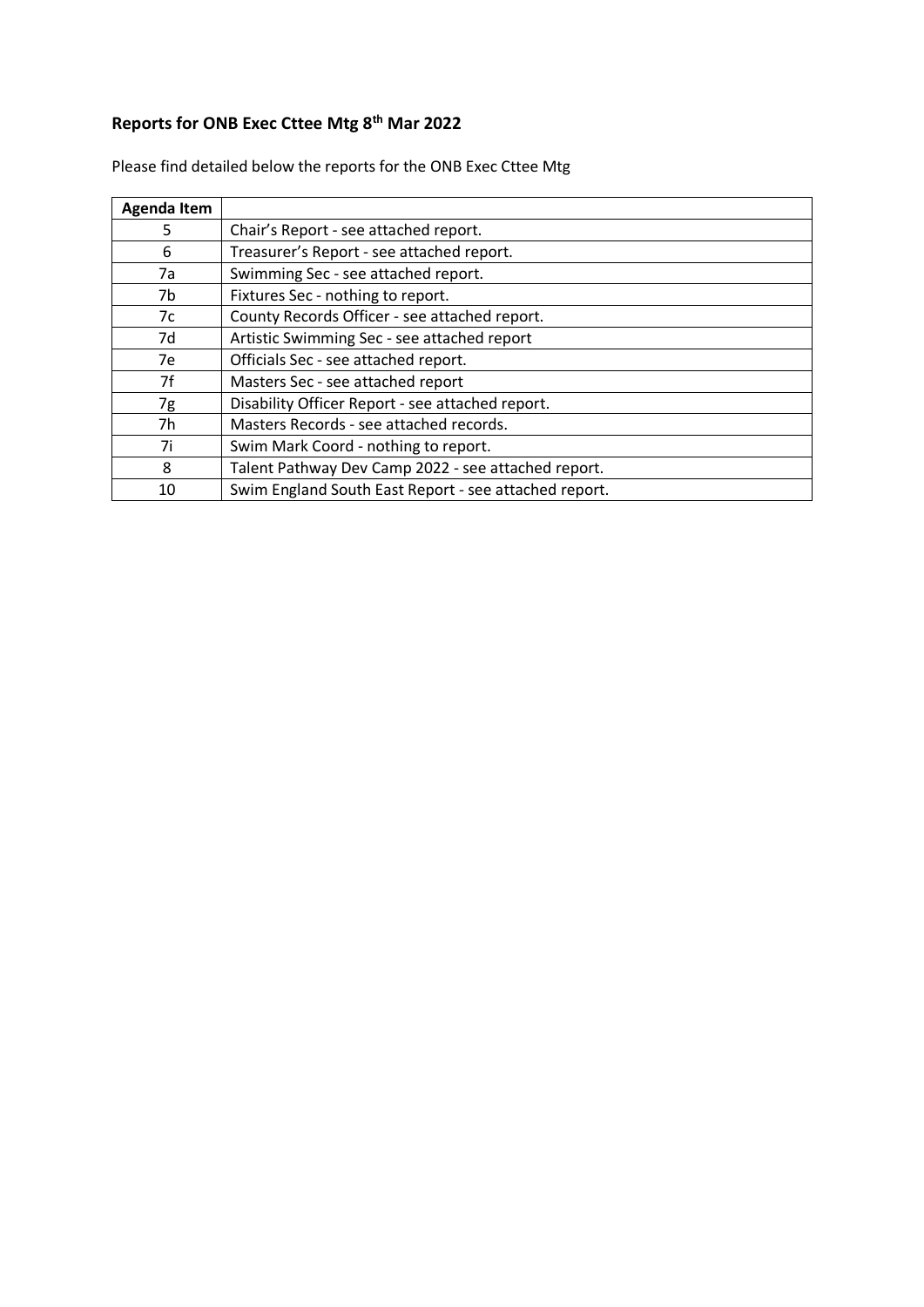### **Reports for ONB Exec Cttee Mtg 8 th Mar 2022**

| <b>Agenda Item</b> |                                                       |
|--------------------|-------------------------------------------------------|
| 5                  | Chair's Report - see attached report.                 |
| 6                  | Treasurer's Report - see attached report.             |
| 7a                 | Swimming Sec - see attached report.                   |
| 7b                 | Fixtures Sec - nothing to report.                     |
| 7c                 | County Records Officer - see attached report.         |
| 7d                 | Artistic Swimming Sec - see attached report           |
| 7e                 | Officials Sec - see attached report.                  |
| 7f                 | Masters Sec - see attached report                     |
| 7g                 | Disability Officer Report - see attached report.      |
| 7h                 | Masters Records - see attached records.               |
| 7i                 | Swim Mark Coord - nothing to report.                  |
| 8                  | Talent Pathway Dev Camp 2022 - see attached report.   |
| 10                 | Swim England South East Report - see attached report. |

Please find detailed below the reports for the ONB Exec Cttee Mtg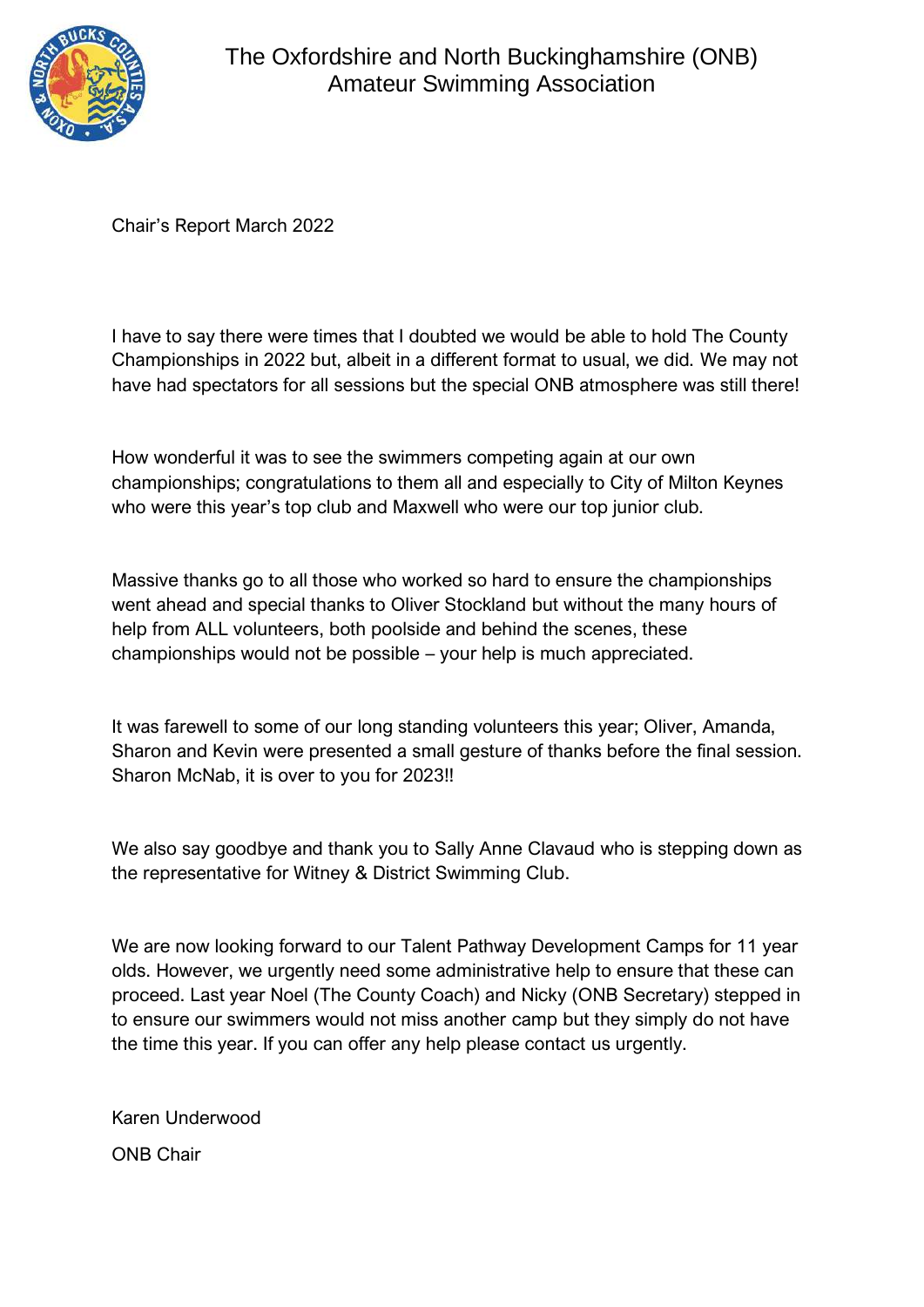

Chair's Report March 2022

I have to say there were times that I doubted we would be able to hold The County Championships in 2022 but, albeit in a different format to usual, we did. We may not have had spectators for all sessions but the special ONB atmosphere was still there!

How wonderful it was to see the swimmers competing again at our own championships; congratulations to them all and especially to City of Milton Keynes who were this year's top club and Maxwell who were our top junior club.

Massive thanks go to all those who worked so hard to ensure the championships went ahead and special thanks to Oliver Stockland but without the many hours of help from ALL volunteers, both poolside and behind the scenes, these championships would not be possible – your help is much appreciated.

It was farewell to some of our long standing volunteers this year; Oliver, Amanda, Sharon and Kevin were presented a small gesture of thanks before the final session. Sharon McNab, it is over to you for 2023!!

We also say goodbye and thank you to Sally Anne Clavaud who is stepping down as the representative for Witney & District Swimming Club.

We are now looking forward to our Talent Pathway Development Camps for 11 year olds. However, we urgently need some administrative help to ensure that these can proceed. Last year Noel (The County Coach) and Nicky (ONB Secretary) stepped in to ensure our swimmers would not miss another camp but they simply do not have the time this year. If you can offer any help please contact us urgently.

Karen Underwood ONB Chair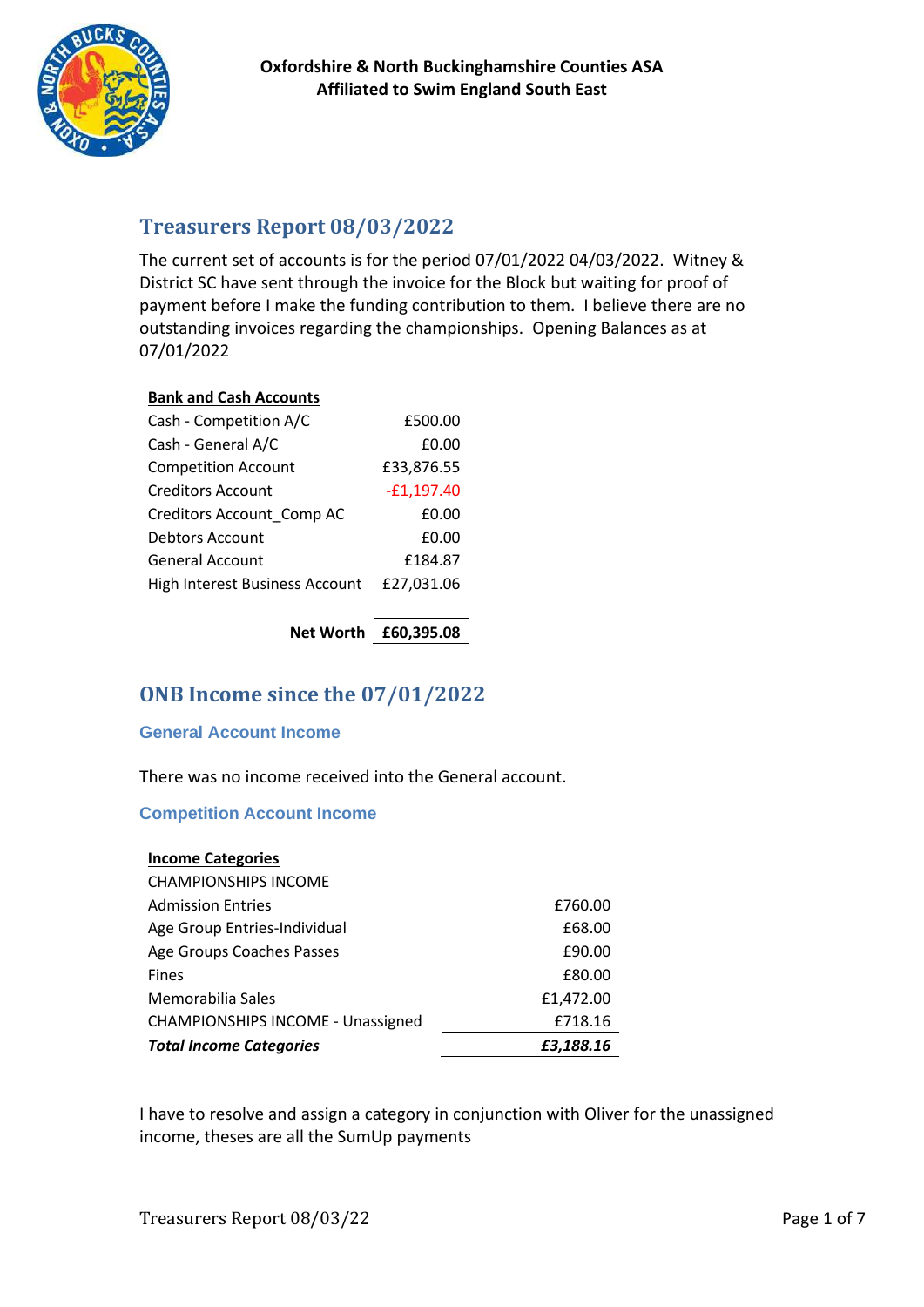

# **Treasurers Report 08/03/2022**

The current set of accounts is for the period 07/01/2022 04/03/2022. Witney & District SC have sent through the invoice for the Block but waiting for proof of payment before I make the funding contribution to them. I believe there are no outstanding invoices regarding the championships. Opening Balances as at 07/01/2022

### **Bank and Cash Accounts**

| Cash - Competition A/C         | £500.00      |
|--------------------------------|--------------|
| Cash - General A/C             | £0.00        |
| <b>Competition Account</b>     | £33,876.55   |
| Creditors Account              | $-E1,197.40$ |
| Creditors Account Comp AC      | £0.00        |
| Debtors Account                | £0.00        |
| <b>General Account</b>         | £184.87      |
| High Interest Business Account | £27,031.06   |
|                                |              |

**Net Worth £60,395.08**

# **ONB Income since the 07/01/2022**

### **General Account Income**

There was no income received into the General account.

### **Competition Account Income**

| <b>Income Categories</b>                 |           |
|------------------------------------------|-----------|
| <b>CHAMPIONSHIPS INCOME</b>              |           |
| <b>Admission Entries</b>                 | £760.00   |
| Age Group Entries-Individual             | £68.00    |
| Age Groups Coaches Passes                | £90.00    |
| <b>Fines</b>                             | £80.00    |
| Memorabilia Sales                        | £1,472.00 |
| <b>CHAMPIONSHIPS INCOME - Unassigned</b> | £718.16   |
| <b>Total Income Categories</b>           | £3,188.16 |

I have to resolve and assign a category in conjunction with Oliver for the unassigned income, theses are all the SumUp payments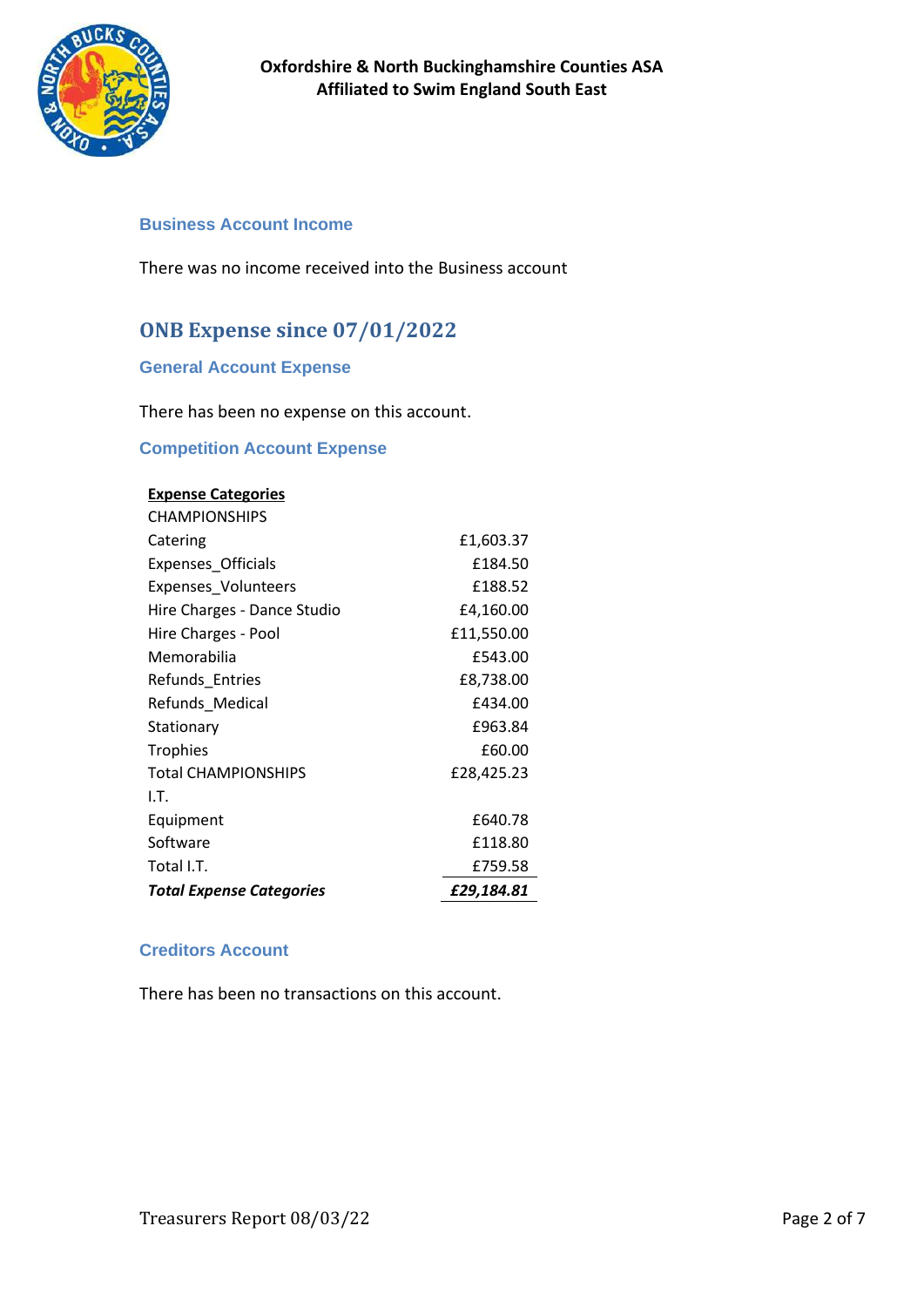

### **Business Account Income**

There was no income received into the Business account

# **ONB Expense since 07/01/2022**

### **General Account Expense**

There has been no expense on this account.

### **Competition Account Expense**

| <b>Expense Categories</b>       |            |
|---------------------------------|------------|
| <b>CHAMPIONSHIPS</b>            |            |
| Catering                        | £1,603.37  |
| Expenses_Officials              | £184.50    |
| Expenses_Volunteers             | £188.52    |
| Hire Charges - Dance Studio     | £4,160.00  |
| Hire Charges - Pool             | £11,550.00 |
| Memorabilia                     | £543.00    |
| Refunds_Entries                 | £8,738.00  |
| Refunds Medical                 | £434.00    |
| Stationary                      | £963.84    |
| <b>Trophies</b>                 | £60.00     |
| <b>Total CHAMPIONSHIPS</b>      | £28,425.23 |
| I.T.                            |            |
| Equipment                       | £640.78    |
| Software                        | £118.80    |
| Total I.T.                      | £759.58    |
| <b>Total Expense Categories</b> | £29,184.81 |

### **Creditors Account**

There has been no transactions on this account.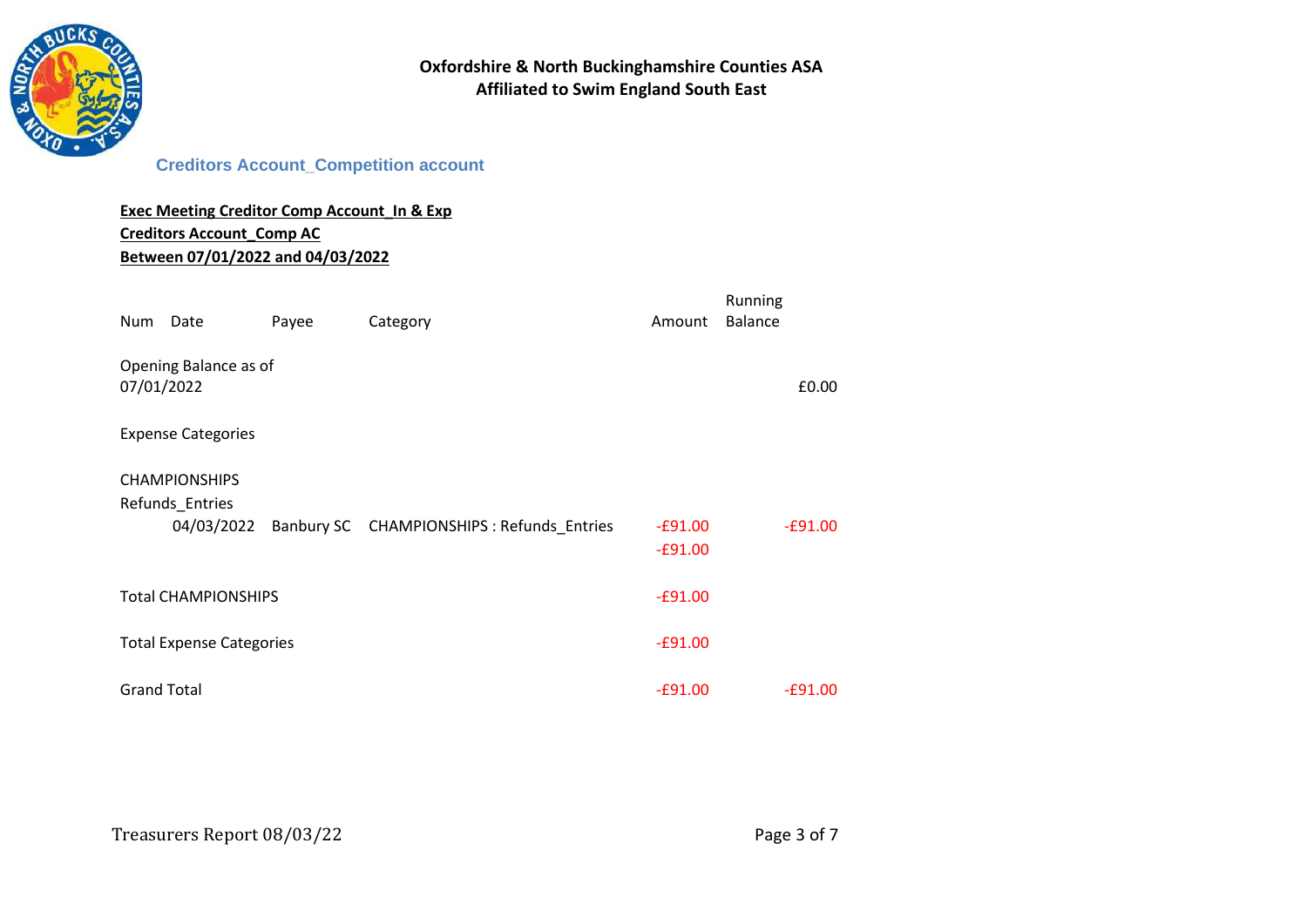

### **Creditors Account\_Competition account**

### **Exec Meeting Creditor Comp Account\_In & Exp Creditors Account\_Comp AC Between 07/01/2022 and 04/03/2022**

| Num                | Date                                                  | Payee | Category                                   | Amount                 | Running<br><b>Balance</b> |
|--------------------|-------------------------------------------------------|-------|--------------------------------------------|------------------------|---------------------------|
| 07/01/2022         | Opening Balance as of                                 |       |                                            |                        | £0.00                     |
|                    | <b>Expense Categories</b>                             |       |                                            |                        |                           |
|                    | <b>CHAMPIONSHIPS</b><br>Refunds_Entries<br>04/03/2022 |       | Banbury SC CHAMPIONSHIPS : Refunds_Entries | $-£91.00$<br>$-£91.00$ | $-£91.00$                 |
|                    | <b>Total CHAMPIONSHIPS</b>                            |       |                                            | $-£91.00$              |                           |
|                    | <b>Total Expense Categories</b>                       |       |                                            | $-£91.00$              |                           |
| <b>Grand Total</b> |                                                       |       |                                            | $-£91.00$              | $-£91.00$                 |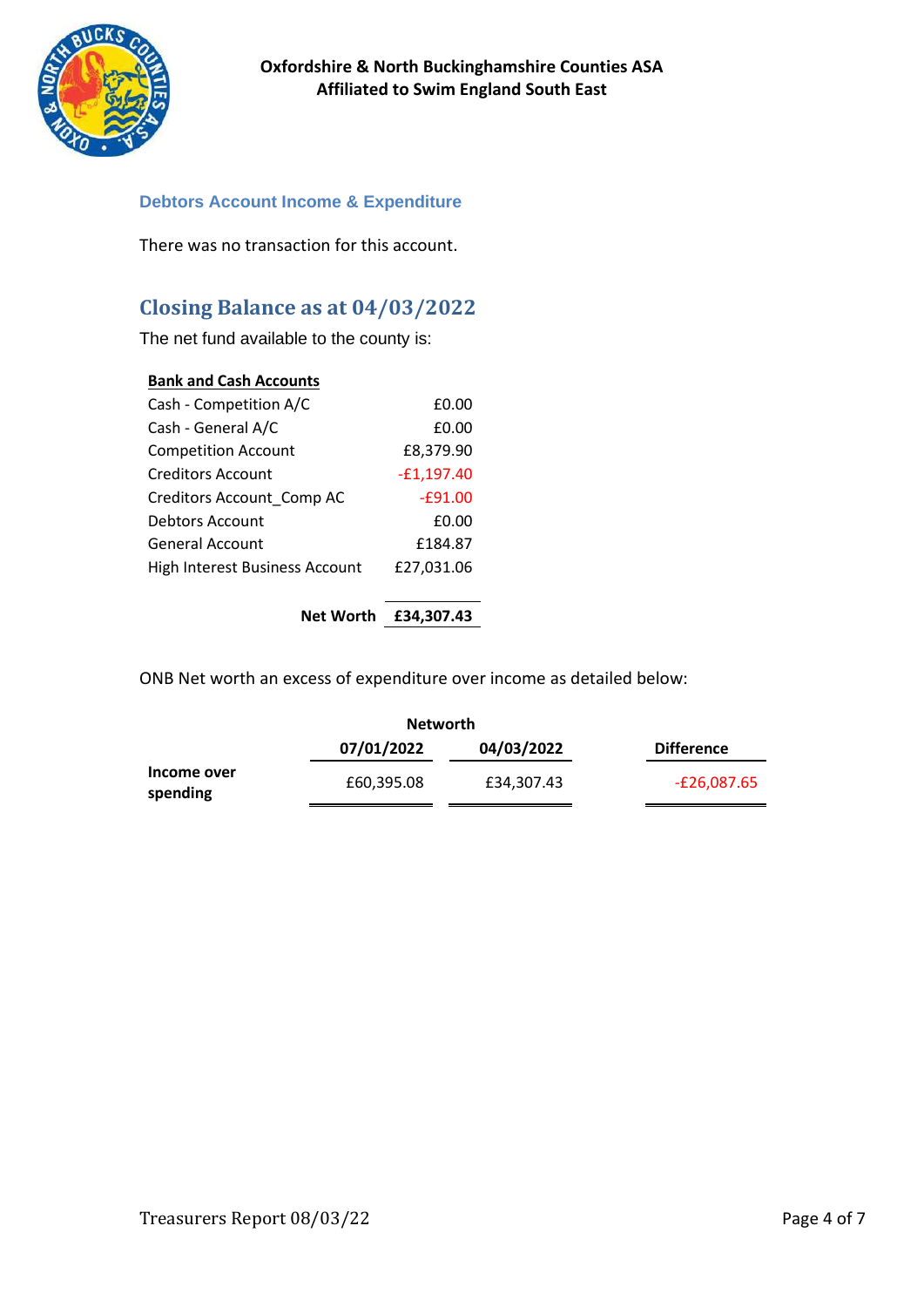

### **Debtors Account Income & Expenditure**

There was no transaction for this account.

# **Closing Balance as at 04/03/2022**

The net fund available to the county is:

### **Bank and Cash Accounts**

| Cash - Competition A/C         | £0.00        |
|--------------------------------|--------------|
| Cash - General A/C             | £0.00        |
| <b>Competition Account</b>     | £8,379.90    |
| Creditors Account              | $-£1,197.40$ |
| Creditors Account Comp AC      | $-£91.00$    |
| Debtors Account                | £0.00        |
| <b>General Account</b>         | £184.87      |
| High Interest Business Account | £27,031.06   |
|                                |              |

### **Net Worth £34,307.43**

ONB Net worth an excess of expenditure over income as detailed below:

|                         | <b>Networth</b> |            |                   |
|-------------------------|-----------------|------------|-------------------|
|                         | 07/01/2022      | 04/03/2022 | <b>Difference</b> |
| Income over<br>spending | £60,395.08      | £34,307.43 | E26,087.65-       |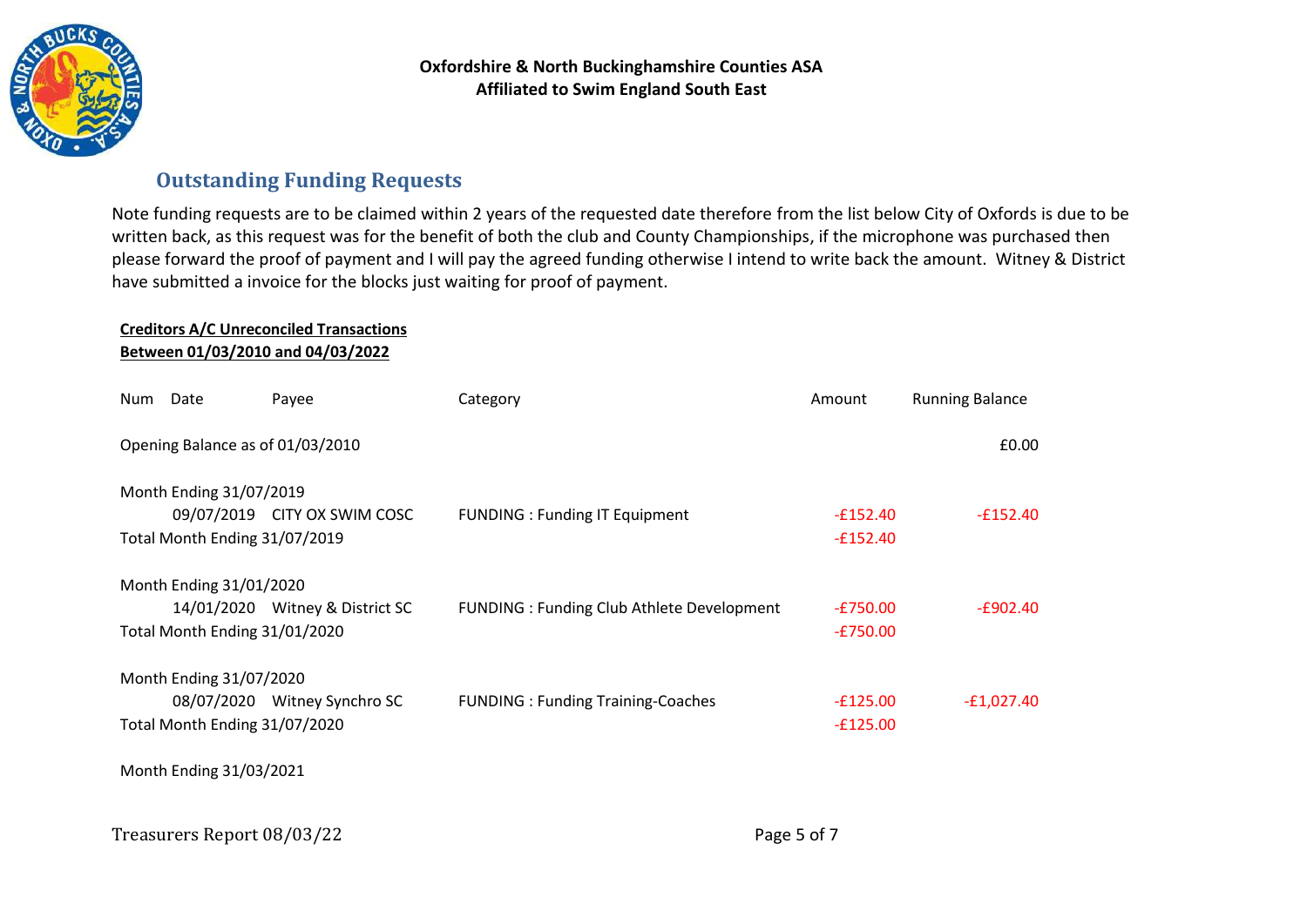

### **Outstanding Funding Requests**

Note funding requests are to be claimed within 2 years of the requested date therefore from the list below City of Oxfords is due to be written back, as this request was for the benefit of both the club and County Championships, if the microphone was purchased then please forward the proof of payment and I will pay the agreed funding otherwise I intend to write back the amount. Witney & District have submitted a invoice for the blocks just waiting for proof of payment.

### **Creditors A/C Unreconciled Transactions Between 01/03/2010 and 04/03/2022**

| Num | Date                          | Payee                            | Category                                   | Amount     | <b>Running Balance</b> |
|-----|-------------------------------|----------------------------------|--------------------------------------------|------------|------------------------|
|     |                               | Opening Balance as of 01/03/2010 |                                            |            | £0.00                  |
|     | Month Ending 31/07/2019       |                                  |                                            |            |                        |
|     |                               | 09/07/2019 CITY OX SWIM COSC     | <b>FUNDING: Funding IT Equipment</b>       | $-E152.40$ | $-£152.40$             |
|     | Total Month Ending 31/07/2019 |                                  |                                            | $-£152.40$ |                        |
|     | Month Ending 31/01/2020       |                                  |                                            |            |                        |
|     |                               | 14/01/2020 Witney & District SC  | FUNDING : Funding Club Athlete Development | $-£750.00$ | $-E902.40$             |
|     | Total Month Ending 31/01/2020 |                                  |                                            | $-E750.00$ |                        |
|     | Month Ending 31/07/2020       |                                  |                                            |            |                        |
|     |                               | 08/07/2020 Witney Synchro SC     | <b>FUNDING: Funding Training-Coaches</b>   | $-£125.00$ | $-E1,027.40$           |
|     | Total Month Ending 31/07/2020 |                                  |                                            | $-£125.00$ |                        |
|     | Month Ending 31/03/2021       |                                  |                                            |            |                        |
|     | Treasurers Report 08/03/22    |                                  | Page 5 of 7                                |            |                        |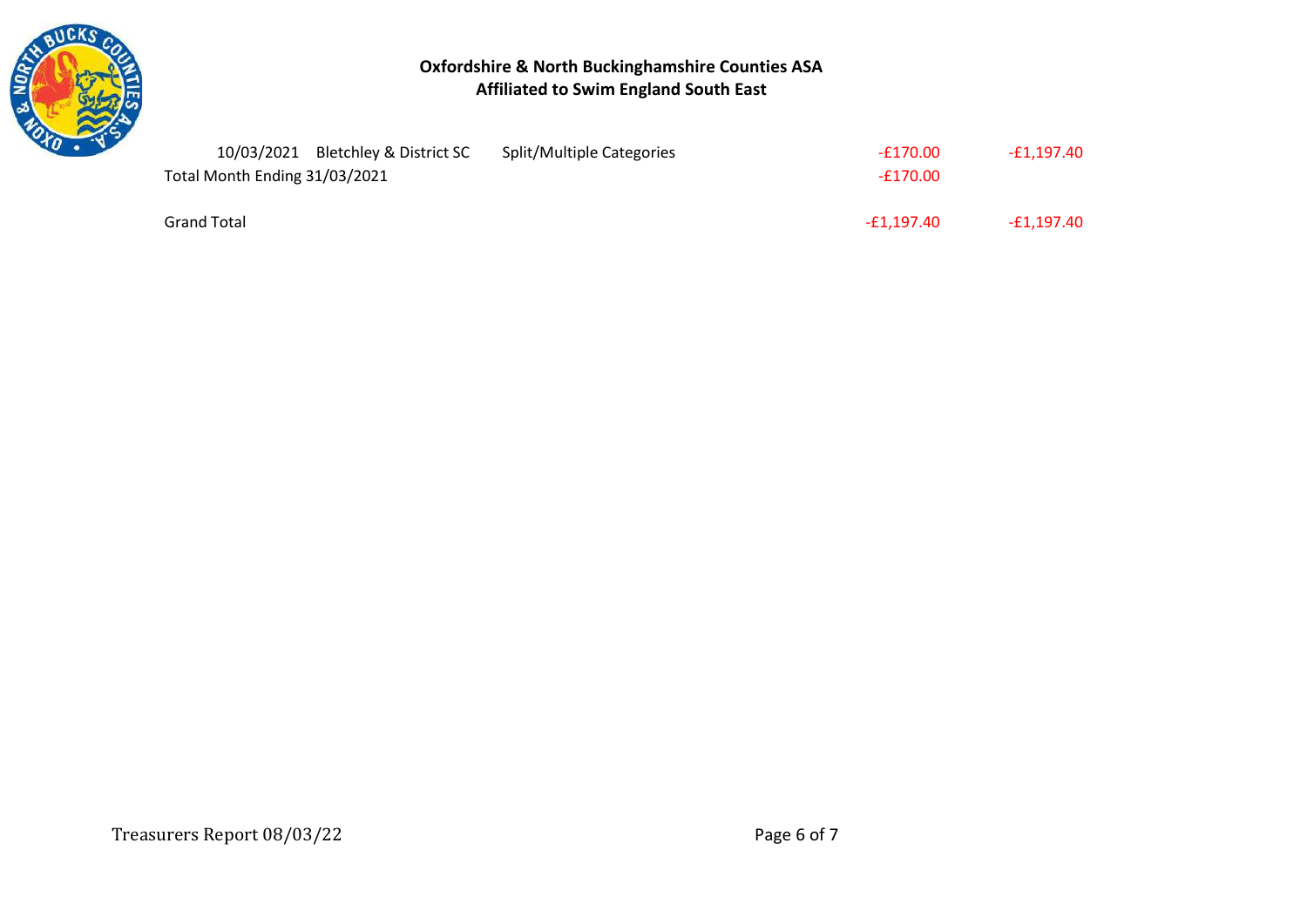

### **Oxfordshire & North Buckinghamshire Counties ASA Affiliated to Swim England South East**

| 10/03/2021 Bletchley & District SC | Split/Multiple Categories | -£170.00   | -£1.197.40 |
|------------------------------------|---------------------------|------------|------------|
| Total Month Ending 31/03/2021      |                           | $-£170.00$ |            |
|                                    |                           |            |            |
| <b>Grand Total</b>                 |                           | -£1.197.40 | -£1.197.40 |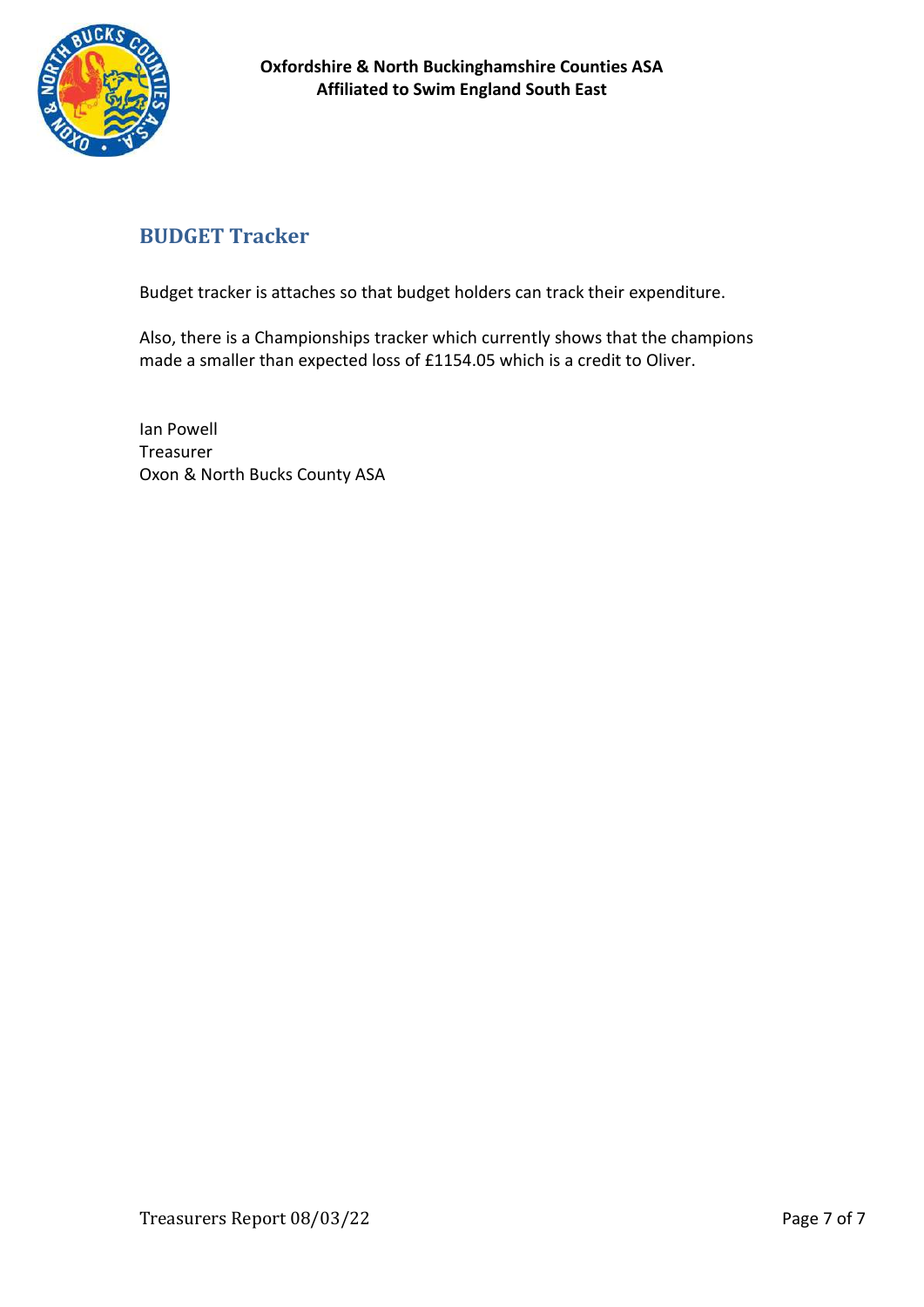

# **BUDGET Tracker**

Budget tracker is attaches so that budget holders can track their expenditure.

Also, there is a Championships tracker which currently shows that the champions made a smaller than expected loss of £1154.05 which is a credit to Oliver.

Ian Powell Treasurer Oxon & North Bucks County ASA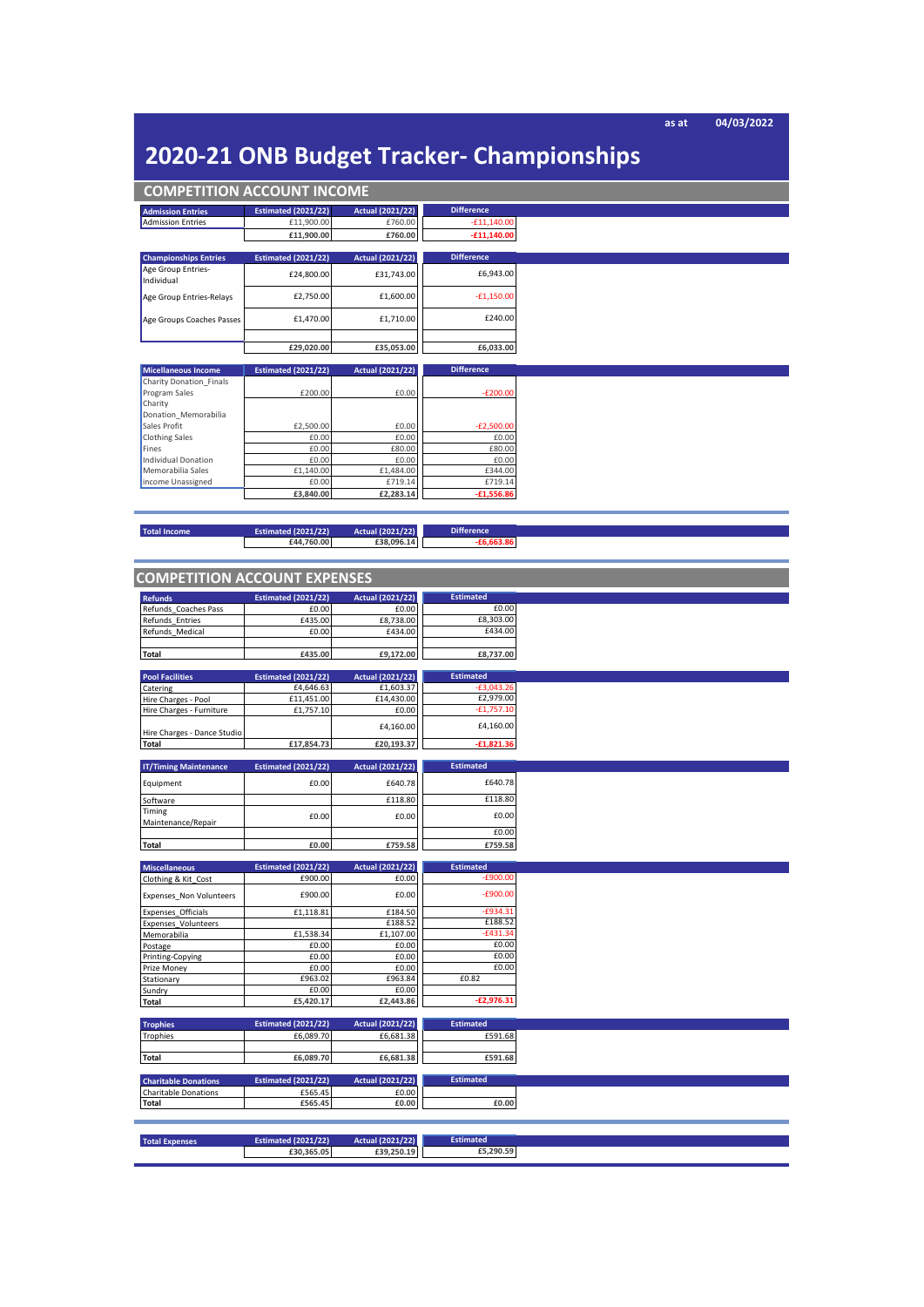**as at 04/03/2022**

# **2020-21 ONB Budget Tracker- Championships**

| <b>COMPETITION ACCOUNT INCOME</b> |                            |                         |                       |
|-----------------------------------|----------------------------|-------------------------|-----------------------|
| <b>Admission Entries</b>          | <b>Estimated (2021/22)</b> | <b>Actual (2021/22)</b> | <b>Difference</b>     |
| <b>Admission Entries</b>          | £11,900.00                 | £760.00                 | $-£11,140.00$         |
|                                   | £11,900.00                 | £760.00                 | $-£11,140.00$         |
|                                   |                            |                         |                       |
| <b>Championships Entries</b>      | <b>Estimated (2021/22)</b> | <b>Actual (2021/22)</b> | <b>Difference</b>     |
| Age Group Entries-<br>Individual  | £24,800.00                 | £31,743.00              | £6,943.00             |
| Age Group Entries-Relays          | £2,750.00                  | £1,600.00               | $-£1,150.00$          |
| Age Groups Coaches Passes         | £1,470.00                  | £1,710.00               | £240.00               |
|                                   |                            |                         |                       |
|                                   |                            |                         |                       |
|                                   | £29,020.00                 | £35,053.00              | £6,033.00             |
| <b>Micellaneous Income</b>        | <b>Estimated (2021/22)</b> | <b>Actual (2021/22)</b> | <b>Difference</b>     |
| Charity Donation Finals           |                            |                         |                       |
| Program Sales                     | £200.00                    | £0.00                   | $-E200.00$            |
| Charity                           |                            |                         |                       |
| Donation Memorabilia              |                            |                         |                       |
| Sales Profit                      | £2,500.00<br>£0.00         | £0.00<br>£0.00          | $-E2,500.00$<br>£0.00 |
| <b>Clothing Sales</b><br>Fines    | £0.00                      | £80.00                  | £80.00                |
| <b>Individual Donation</b>        | £0.00                      | £0.00                   | £0.00                 |
| Memorabilia Sales                 | £1,140.00                  | £1,484.00               | £344.00               |
| income Unassigned                 | £0.00                      | £719.14                 | £719.14               |
|                                   | £3,840.00                  | £2,283.14               | $-£1,556.86$          |
|                                   |                            |                         |                       |
|                                   |                            |                         |                       |
| <b>Total Income</b>               | <b>Estimated (2021/22)</b> | <b>Actual (2021/22)</b> | <b>Difference</b>     |
|                                   | £44,760.00                 | £38,096.14              | $-£6,663.86$          |
|                                   |                            |                         |                       |
|                                   |                            |                         |                       |
| COMPLETION ACCOUNT EVERNEES       |                            |                         |                       |

| <b>COMPETITION ACCOUNT EXPENSES</b> |                            |                         |                  |
|-------------------------------------|----------------------------|-------------------------|------------------|
| <b>Refunds</b>                      | <b>Estimated (2021/22)</b> | <b>Actual (2021/22)</b> | <b>Estimated</b> |
| Refunds Coaches Pass                | £0.00                      | £0.00                   | £0.00            |
| Refunds Entries                     | £435.00                    | £8,738.00               | £8,303.00        |
| Refunds Medical                     | £0.00                      | £434.00                 | £434.00          |
|                                     |                            |                         |                  |
| <b>Total</b>                        | £435.00                    | £9,172.00               | £8,737.00        |
|                                     |                            |                         |                  |
| <b>Pool Facilities</b>              | <b>Estimated (2021/22)</b> | <b>Actual (2021/22)</b> | <b>Estimated</b> |
| Catering                            | £4,646.63                  | £1,603.37               | $-£3,043.26$     |
| Hire Charges - Pool                 | £11,451.00                 | £14,430.00              | £2,979.00        |
| Hire Charges - Furniture            | £1,757.10                  | £0.00                   | $-£1,757.10$     |
|                                     |                            |                         | £4,160.00        |
| Hire Charges - Dance Studio         |                            | £4,160.00               |                  |
| <b>Total</b>                        | £17,854.73                 | £20,193.37              | $-£1,821.36$     |
|                                     |                            |                         |                  |
| <b>IT/Timing Maintenance</b>        | <b>Estimated (2021/22)</b> | <b>Actual (2021/22)</b> | <b>Estimated</b> |
|                                     | £0.00                      | £640.78                 | £640.78          |
| Equipment                           |                            |                         |                  |
| Software                            |                            | £118.80                 | £118.80          |
| Timing                              |                            |                         | £0.00            |
| Maintenance/Repair                  | £0.00                      | £0.00                   |                  |
|                                     |                            |                         | £0.00            |
| <b>Total</b>                        | £0.00                      | £759.58                 | £759.58          |
|                                     |                            |                         |                  |
| <b>Miscellaneous</b>                | <b>Estimated (2021/22)</b> | <b>Actual (2021/22)</b> | <b>Estimated</b> |
|                                     |                            |                         |                  |
| Clothing & Kit_Cost                 | £900.00                    | £0.00                   | $-£900.00$       |
|                                     |                            |                         |                  |
| Expenses_Non Volunteers             | £900.00                    | £0.00                   | $-£900.00$       |
| Expenses Officials                  | £1,118.81                  | £184.50                 | $-£934.31$       |
| <b>Expenses Volunteers</b>          |                            | £188.52                 | £188.52          |
| Memorabilia                         | £1,538.34                  | £1,107.00               | $-£431.34$       |
| Postage                             | £0.00                      | £0.00                   | £0.00            |
| Printing-Copying                    | £0.00                      | £0.00                   | £0.00            |
| Prize Money                         | £0.00                      | £0.00                   | £0.00            |
| Stationary                          | £963.02                    | £963.84                 | £0.82            |
| Sundry                              | £0.00                      | £0.00                   |                  |
|                                     | £5,420.17                  | £2,443.86               | $-£2,976.31$     |
| <b>Total</b>                        |                            |                         |                  |
|                                     |                            |                         | <b>Estimated</b> |
| <b>Trophies</b>                     | <b>Estimated (2021/22)</b> | <b>Actual (2021/22)</b> |                  |
| <b>Trophies</b>                     | £6,089.70                  | £6,681.38               | £591.68          |
|                                     |                            |                         |                  |
| <b>Total</b>                        | £6,089.70                  | £6,681.38               | £591.68          |
|                                     |                            |                         |                  |
| <b>Charitable Donations</b>         | <b>Estimated (2021/22)</b> | <b>Actual (2021/22)</b> | <b>Estimated</b> |
| Charitable Donations                | £565.45                    | £0.00                   |                  |
| <b>Total</b>                        | £565.45                    | £0.00                   | £0.00            |
|                                     |                            |                         |                  |
|                                     |                            |                         |                  |
| <b>Total Expenses</b>               | <b>Estimated (2021/22)</b> | <b>Actual (2021/22)</b> | <b>Estimated</b> |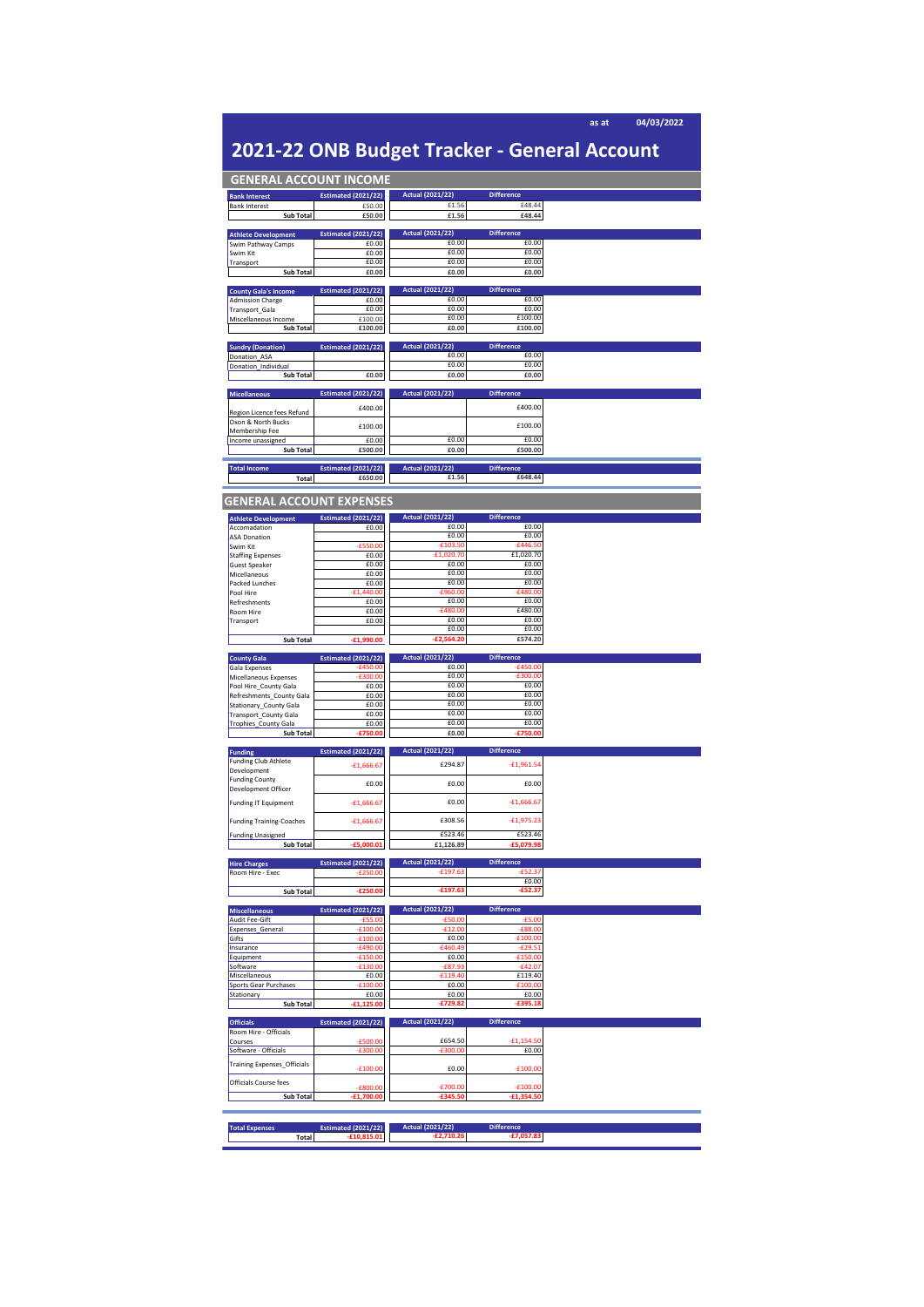| 2021-22 ONB Budget Tracker - General Account                                                                                                                                                                                                                                                                                                                                                                                                                                                                                                                                                                                                                                                                                                     |                                             |                                         |                                   |  |
|--------------------------------------------------------------------------------------------------------------------------------------------------------------------------------------------------------------------------------------------------------------------------------------------------------------------------------------------------------------------------------------------------------------------------------------------------------------------------------------------------------------------------------------------------------------------------------------------------------------------------------------------------------------------------------------------------------------------------------------------------|---------------------------------------------|-----------------------------------------|-----------------------------------|--|
| <b>GENERAL ACCOUNT INCOME</b>                                                                                                                                                                                                                                                                                                                                                                                                                                                                                                                                                                                                                                                                                                                    |                                             |                                         |                                   |  |
| <b>Bank Interest</b>                                                                                                                                                                                                                                                                                                                                                                                                                                                                                                                                                                                                                                                                                                                             | <b>Estimated (2021/22)</b>                  | <b>Actual (2021/22)</b>                 | <b>Difference</b>                 |  |
| <b>Bank Interest</b>                                                                                                                                                                                                                                                                                                                                                                                                                                                                                                                                                                                                                                                                                                                             | £50.00                                      | £1.56                                   | £48.44                            |  |
| <b>Sub Total</b>                                                                                                                                                                                                                                                                                                                                                                                                                                                                                                                                                                                                                                                                                                                                 | £50.00                                      | £1.56                                   | £48.44                            |  |
| <b>Athlete Development</b>                                                                                                                                                                                                                                                                                                                                                                                                                                                                                                                                                                                                                                                                                                                       | <b>Estimated (2021/22)</b>                  | <b>Actual (2021/22)</b>                 | <b>Difference</b>                 |  |
| Swim Pathway Camps<br>Swim Kit                                                                                                                                                                                                                                                                                                                                                                                                                                                                                                                                                                                                                                                                                                                   | £0.00<br>£0.00                              | £0.00<br>£0.00                          | £0.00<br>£0.00                    |  |
| Transport                                                                                                                                                                                                                                                                                                                                                                                                                                                                                                                                                                                                                                                                                                                                        | £0.00                                       | £0.00                                   | £0.00                             |  |
| Sub Total                                                                                                                                                                                                                                                                                                                                                                                                                                                                                                                                                                                                                                                                                                                                        | £0.00                                       | £0.00                                   | £0.00                             |  |
| <b>County Gala's Income</b>                                                                                                                                                                                                                                                                                                                                                                                                                                                                                                                                                                                                                                                                                                                      | <b>Estimated (2021/22)</b>                  | <b>Actual (2021/22)</b>                 | <b>Difference</b>                 |  |
| <b>Admission Charge</b>                                                                                                                                                                                                                                                                                                                                                                                                                                                                                                                                                                                                                                                                                                                          | £0.00                                       | £0.00<br>£0.00                          | £0.00<br>£0.00                    |  |
| Transport_Gala<br>Miscellaneous Income                                                                                                                                                                                                                                                                                                                                                                                                                                                                                                                                                                                                                                                                                                           | £0.00<br>£100.00                            | £0.00                                   | £100.00                           |  |
| Sub Total                                                                                                                                                                                                                                                                                                                                                                                                                                                                                                                                                                                                                                                                                                                                        | £100.00                                     | £0.00                                   | £100.00                           |  |
| <b>Sundry (Donation)</b>                                                                                                                                                                                                                                                                                                                                                                                                                                                                                                                                                                                                                                                                                                                         | <b>Estimated (2021/22)</b>                  | <b>Actual (2021/22)</b>                 | <b>Difference</b>                 |  |
| Donation_ASA                                                                                                                                                                                                                                                                                                                                                                                                                                                                                                                                                                                                                                                                                                                                     |                                             | £0.00<br>£0.00                          | £0.00<br>£0.00                    |  |
| Donation_Individual<br>Sub Total                                                                                                                                                                                                                                                                                                                                                                                                                                                                                                                                                                                                                                                                                                                 | £0.00                                       | £0.00                                   | £0.00                             |  |
|                                                                                                                                                                                                                                                                                                                                                                                                                                                                                                                                                                                                                                                                                                                                                  |                                             |                                         |                                   |  |
| <b>Micellaneous</b>                                                                                                                                                                                                                                                                                                                                                                                                                                                                                                                                                                                                                                                                                                                              | <b>Estimated (2021/22)</b>                  | <b>Actual (2021/22)</b>                 | <b>Difference</b>                 |  |
| Region Licence fees Refund                                                                                                                                                                                                                                                                                                                                                                                                                                                                                                                                                                                                                                                                                                                       | £400.00                                     |                                         | £400.00                           |  |
| Oxon & North Bucks                                                                                                                                                                                                                                                                                                                                                                                                                                                                                                                                                                                                                                                                                                                               | £100.00                                     |                                         | £100.00                           |  |
| Membership Fee<br>Income unassigned                                                                                                                                                                                                                                                                                                                                                                                                                                                                                                                                                                                                                                                                                                              | £0.00                                       | £0.00                                   | £0.00                             |  |
| Sub Total                                                                                                                                                                                                                                                                                                                                                                                                                                                                                                                                                                                                                                                                                                                                        | £500.00                                     | £0.00                                   | £500.00                           |  |
|                                                                                                                                                                                                                                                                                                                                                                                                                                                                                                                                                                                                                                                                                                                                                  |                                             |                                         |                                   |  |
| <b>Total Income</b><br>Total                                                                                                                                                                                                                                                                                                                                                                                                                                                                                                                                                                                                                                                                                                                     | <b>Estimated (2021/22)</b><br>£650.00       | <b>Actual (2021/22)</b><br>£1.56        | <b>Difference</b><br>£648.44      |  |
|                                                                                                                                                                                                                                                                                                                                                                                                                                                                                                                                                                                                                                                                                                                                                  |                                             |                                         |                                   |  |
|                                                                                                                                                                                                                                                                                                                                                                                                                                                                                                                                                                                                                                                                                                                                                  | <b>GENERAL ACCOUNT EXPENSES</b>             |                                         |                                   |  |
| <b>Athlete Development</b>                                                                                                                                                                                                                                                                                                                                                                                                                                                                                                                                                                                                                                                                                                                       | <b>Estimated (2021/22)</b>                  | <b>Actual (2021/22)</b>                 | <b>Difference</b>                 |  |
| Accomadation                                                                                                                                                                                                                                                                                                                                                                                                                                                                                                                                                                                                                                                                                                                                     | £0.00                                       | f0.00                                   | £0.00                             |  |
| <b>ASA Donation</b><br>Swim Kit                                                                                                                                                                                                                                                                                                                                                                                                                                                                                                                                                                                                                                                                                                                  | £550.00                                     | £0.00<br>$-£103.50$                     | £0.00<br>$-£446.50$               |  |
| <b>Staffing Expenses</b>                                                                                                                                                                                                                                                                                                                                                                                                                                                                                                                                                                                                                                                                                                                         | £0.00                                       | £1,020.70                               | £1,020.70                         |  |
| <b>Guest Speaker</b>                                                                                                                                                                                                                                                                                                                                                                                                                                                                                                                                                                                                                                                                                                                             | £0.00                                       | £0.00                                   | £0.00                             |  |
| Micellaneous<br>Packed Lunches                                                                                                                                                                                                                                                                                                                                                                                                                                                                                                                                                                                                                                                                                                                   | £0.00<br>£0.00                              | £0.00<br>£0.00                          | £0.00<br>£0.00                    |  |
| Pool Hire                                                                                                                                                                                                                                                                                                                                                                                                                                                                                                                                                                                                                                                                                                                                        | $-E1,440.00$                                | £960.00                                 | $-£480.00$                        |  |
| Refreshments                                                                                                                                                                                                                                                                                                                                                                                                                                                                                                                                                                                                                                                                                                                                     | £0.00                                       | £0.00                                   | £0.00                             |  |
| Room Hire<br>Transport                                                                                                                                                                                                                                                                                                                                                                                                                                                                                                                                                                                                                                                                                                                           | £0.00<br>£0.00                              | $-6480.00$<br>£0.00                     | £480.00<br>£0.00                  |  |
|                                                                                                                                                                                                                                                                                                                                                                                                                                                                                                                                                                                                                                                                                                                                                  |                                             | £0.00                                   | £0.00                             |  |
| Sub Total                                                                                                                                                                                                                                                                                                                                                                                                                                                                                                                                                                                                                                                                                                                                        | £1,990.00                                   | ,564.20<br>-£2                          | £574.20                           |  |
|                                                                                                                                                                                                                                                                                                                                                                                                                                                                                                                                                                                                                                                                                                                                                  |                                             |                                         |                                   |  |
|                                                                                                                                                                                                                                                                                                                                                                                                                                                                                                                                                                                                                                                                                                                                                  | <b>Estimated (2021/22)</b>                  | <b>Actual (2021/22)</b>                 | <b>Difference</b>                 |  |
|                                                                                                                                                                                                                                                                                                                                                                                                                                                                                                                                                                                                                                                                                                                                                  | £450.00<br>$-£300.00$                       | £0.00<br>£0.00                          | $-£450.00$<br>$-£300.00$          |  |
|                                                                                                                                                                                                                                                                                                                                                                                                                                                                                                                                                                                                                                                                                                                                                  | £0.00                                       | £0.00                                   | £0.00                             |  |
|                                                                                                                                                                                                                                                                                                                                                                                                                                                                                                                                                                                                                                                                                                                                                  | £0.00                                       | £0.00                                   | £0.00                             |  |
|                                                                                                                                                                                                                                                                                                                                                                                                                                                                                                                                                                                                                                                                                                                                                  | £0.00                                       | £0.00                                   | £0.00                             |  |
|                                                                                                                                                                                                                                                                                                                                                                                                                                                                                                                                                                                                                                                                                                                                                  | £0.00                                       | £0.00<br>£0.00                          | £0.00<br>£0.00                    |  |
| Sub Total                                                                                                                                                                                                                                                                                                                                                                                                                                                                                                                                                                                                                                                                                                                                        | £0.00<br>£750.00                            | £0.00                                   | £750.00                           |  |
|                                                                                                                                                                                                                                                                                                                                                                                                                                                                                                                                                                                                                                                                                                                                                  |                                             |                                         |                                   |  |
|                                                                                                                                                                                                                                                                                                                                                                                                                                                                                                                                                                                                                                                                                                                                                  | <b>Estimated (2021/22)</b>                  | <b>Actual (2021/22)</b>                 | <b>Difference</b>                 |  |
|                                                                                                                                                                                                                                                                                                                                                                                                                                                                                                                                                                                                                                                                                                                                                  | $-£1,666.67$                                | £294.87                                 | $-£1,961.54$                      |  |
|                                                                                                                                                                                                                                                                                                                                                                                                                                                                                                                                                                                                                                                                                                                                                  | £0.00                                       | £0.00                                   | £0.00                             |  |
|                                                                                                                                                                                                                                                                                                                                                                                                                                                                                                                                                                                                                                                                                                                                                  |                                             |                                         |                                   |  |
|                                                                                                                                                                                                                                                                                                                                                                                                                                                                                                                                                                                                                                                                                                                                                  | $-£1,666.67$                                | £0.00                                   | $-£1,666.67$                      |  |
|                                                                                                                                                                                                                                                                                                                                                                                                                                                                                                                                                                                                                                                                                                                                                  | $-£1,666.67$                                | £308.56                                 | $-£1,975.23$                      |  |
|                                                                                                                                                                                                                                                                                                                                                                                                                                                                                                                                                                                                                                                                                                                                                  |                                             | £523.46                                 | £523.46                           |  |
| Sub Total                                                                                                                                                                                                                                                                                                                                                                                                                                                                                                                                                                                                                                                                                                                                        | $-£5,000.01$                                | £1,126.89                               | £5,079.98                         |  |
|                                                                                                                                                                                                                                                                                                                                                                                                                                                                                                                                                                                                                                                                                                                                                  | <b>Estimated (2021/22)</b>                  | <b>Actual (2021/22)</b>                 | <b>Difference</b>                 |  |
|                                                                                                                                                                                                                                                                                                                                                                                                                                                                                                                                                                                                                                                                                                                                                  | $-6250.00$                                  | $-£197.63$                              | $-£52.37$                         |  |
| Sub Total                                                                                                                                                                                                                                                                                                                                                                                                                                                                                                                                                                                                                                                                                                                                        | $-E250.00$                                  | $-£197.63$                              | £0.00<br>$-£52.37$                |  |
|                                                                                                                                                                                                                                                                                                                                                                                                                                                                                                                                                                                                                                                                                                                                                  |                                             |                                         |                                   |  |
|                                                                                                                                                                                                                                                                                                                                                                                                                                                                                                                                                                                                                                                                                                                                                  | <b>Estimated (2021/22)</b>                  | <b>Actual (2021/22)</b>                 | <b>Difference</b>                 |  |
|                                                                                                                                                                                                                                                                                                                                                                                                                                                                                                                                                                                                                                                                                                                                                  | 00.00                                       | £50.00<br>£12.00                        | $-£5.00$<br>$-£88.00$             |  |
|                                                                                                                                                                                                                                                                                                                                                                                                                                                                                                                                                                                                                                                                                                                                                  | £100.00                                     | £0.00                                   | £100.00                           |  |
|                                                                                                                                                                                                                                                                                                                                                                                                                                                                                                                                                                                                                                                                                                                                                  | £490.00                                     | £460.49                                 | $-£29.51$                         |  |
|                                                                                                                                                                                                                                                                                                                                                                                                                                                                                                                                                                                                                                                                                                                                                  | 50.00<br>30.00                              | £0.00<br>£87.93                         | £150.00<br>$-£42.07$              |  |
|                                                                                                                                                                                                                                                                                                                                                                                                                                                                                                                                                                                                                                                                                                                                                  | £0.00                                       | £119.40                                 | £119.40                           |  |
|                                                                                                                                                                                                                                                                                                                                                                                                                                                                                                                                                                                                                                                                                                                                                  | 00.00                                       | £0.00                                   | £100.00                           |  |
| Sub Total                                                                                                                                                                                                                                                                                                                                                                                                                                                                                                                                                                                                                                                                                                                                        | £0.00                                       | £0.00<br>£729.82                        | £0.00<br>£395.18                  |  |
|                                                                                                                                                                                                                                                                                                                                                                                                                                                                                                                                                                                                                                                                                                                                                  |                                             |                                         |                                   |  |
|                                                                                                                                                                                                                                                                                                                                                                                                                                                                                                                                                                                                                                                                                                                                                  | <b>Estimated (2021/22)</b>                  | <b>Actual (2021/22)</b>                 | <b>Difference</b>                 |  |
|                                                                                                                                                                                                                                                                                                                                                                                                                                                                                                                                                                                                                                                                                                                                                  | £500.00                                     | £654.50                                 | £1.154.50                         |  |
|                                                                                                                                                                                                                                                                                                                                                                                                                                                                                                                                                                                                                                                                                                                                                  | $-6300.00$                                  | £300.00                                 | £0.00                             |  |
|                                                                                                                                                                                                                                                                                                                                                                                                                                                                                                                                                                                                                                                                                                                                                  | £100.00                                     |                                         |                                   |  |
| <b>County Gala</b><br>Gala Expenses<br>Micellaneous Expenses<br>Pool Hire_County Gala<br>Refreshments_County Gala<br>Stationary_County Gala<br>Transport_County Gala<br>Trophies_County Gala<br><b>Funding</b><br><b>Funding Club Athlete</b><br>Development<br><b>Funding County</b><br>Development Officer<br><b>Funding IT Equipment</b><br><b>Funding Training-Coaches</b><br><b>Funding Unasigned</b><br><b>Hire Charges</b><br>Room Hire - Exec<br><b>Miscellaneous</b><br>Audit Fee-Gift<br>Expenses_General<br>Gifts<br>Insurance<br>Equipment<br>Software<br>Miscellaneous<br>Sports Gear Purchases<br>Stationary<br><b>Officials</b><br>Room Hire - Officials<br>Courses<br>Software - Officials<br><b>Training Expenses_Officials</b> |                                             | £0.00                                   | £100.00                           |  |
| Officials Course fees                                                                                                                                                                                                                                                                                                                                                                                                                                                                                                                                                                                                                                                                                                                            | £800.00                                     | £700.00                                 | $-£100.00$                        |  |
| Sub Total                                                                                                                                                                                                                                                                                                                                                                                                                                                                                                                                                                                                                                                                                                                                        | £1,700.00                                   | £345.50                                 | £1,354.50                         |  |
|                                                                                                                                                                                                                                                                                                                                                                                                                                                                                                                                                                                                                                                                                                                                                  |                                             |                                         |                                   |  |
| <b>Total Expenses</b><br><b>Total</b>                                                                                                                                                                                                                                                                                                                                                                                                                                                                                                                                                                                                                                                                                                            | <b>Estimated (2021/22)</b><br>$-£10,815.01$ | <b>Actual (2021/22)</b><br>$-E2,710.26$ | <b>Difference</b><br>$-£7,057.83$ |  |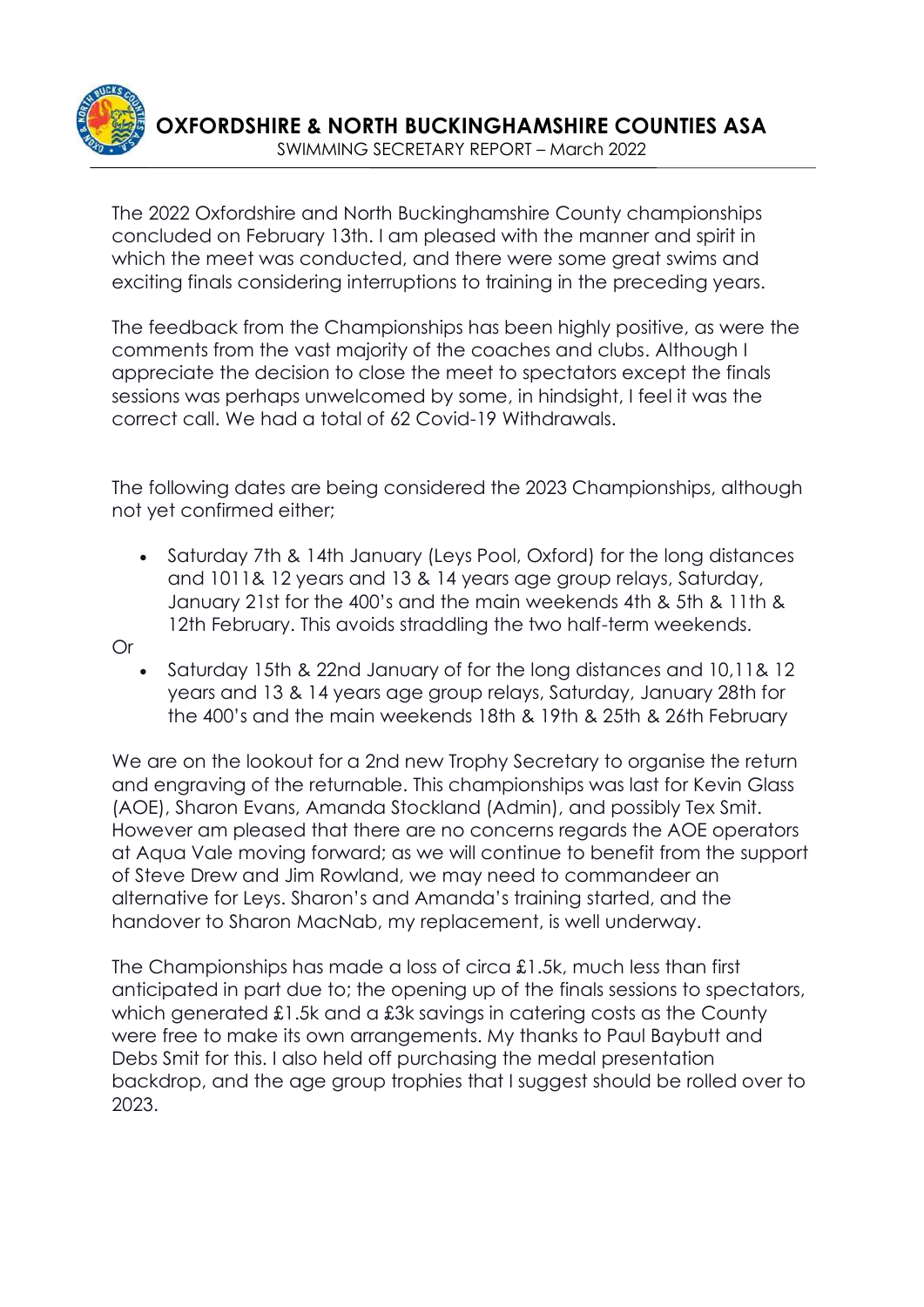

The 2022 Oxfordshire and North Buckinghamshire County championships concluded on February 13th. I am pleased with the manner and spirit in which the meet was conducted, and there were some great swims and exciting finals considering interruptions to training in the preceding years.

The feedback from the Championships has been highly positive, as were the comments from the vast majority of the coaches and clubs. Although I appreciate the decision to close the meet to spectators except the finals sessions was perhaps unwelcomed by some, in hindsight, I feel it was the correct call. We had a total of 62 Covid-19 Withdrawals.

The following dates are being considered the 2023 Championships, although not yet confirmed either;

• Saturday 7th & 14th January (Leys Pool, Oxford) for the long distances and 1011& 12 years and 13 & 14 years age group relays, Saturday, January 21st for the 400's and the main weekends 4th & 5th & 11th & 12th February. This avoids straddling the two half-term weekends.

Or

• Saturday 15th & 22nd January of for the long distances and 10,11& 12 years and 13 & 14 years age group relays, Saturday, January 28th for the 400's and the main weekends 18th & 19th & 25th & 26th February

We are on the lookout for a 2nd new Trophy Secretary to organise the return and engraving of the returnable. This championships was last for Kevin Glass (AOE), Sharon Evans, Amanda Stockland (Admin), and possibly Tex Smit. However am pleased that there are no concerns regards the AOE operators at Aqua Vale moving forward; as we will continue to benefit from the support of Steve Drew and Jim Rowland, we may need to commandeer an alternative for Leys. Sharon's and Amanda's training started, and the handover to Sharon MacNab, my replacement, is well underway.

The Championships has made a loss of circa £1.5k, much less than first anticipated in part due to; the opening up of the finals sessions to spectators, which generated £1.5k and a £3k savings in catering costs as the County were free to make its own arrangements. My thanks to Paul Baybutt and Debs Smit for this. I also held off purchasing the medal presentation backdrop, and the age group trophies that I suggest should be rolled over to 2023.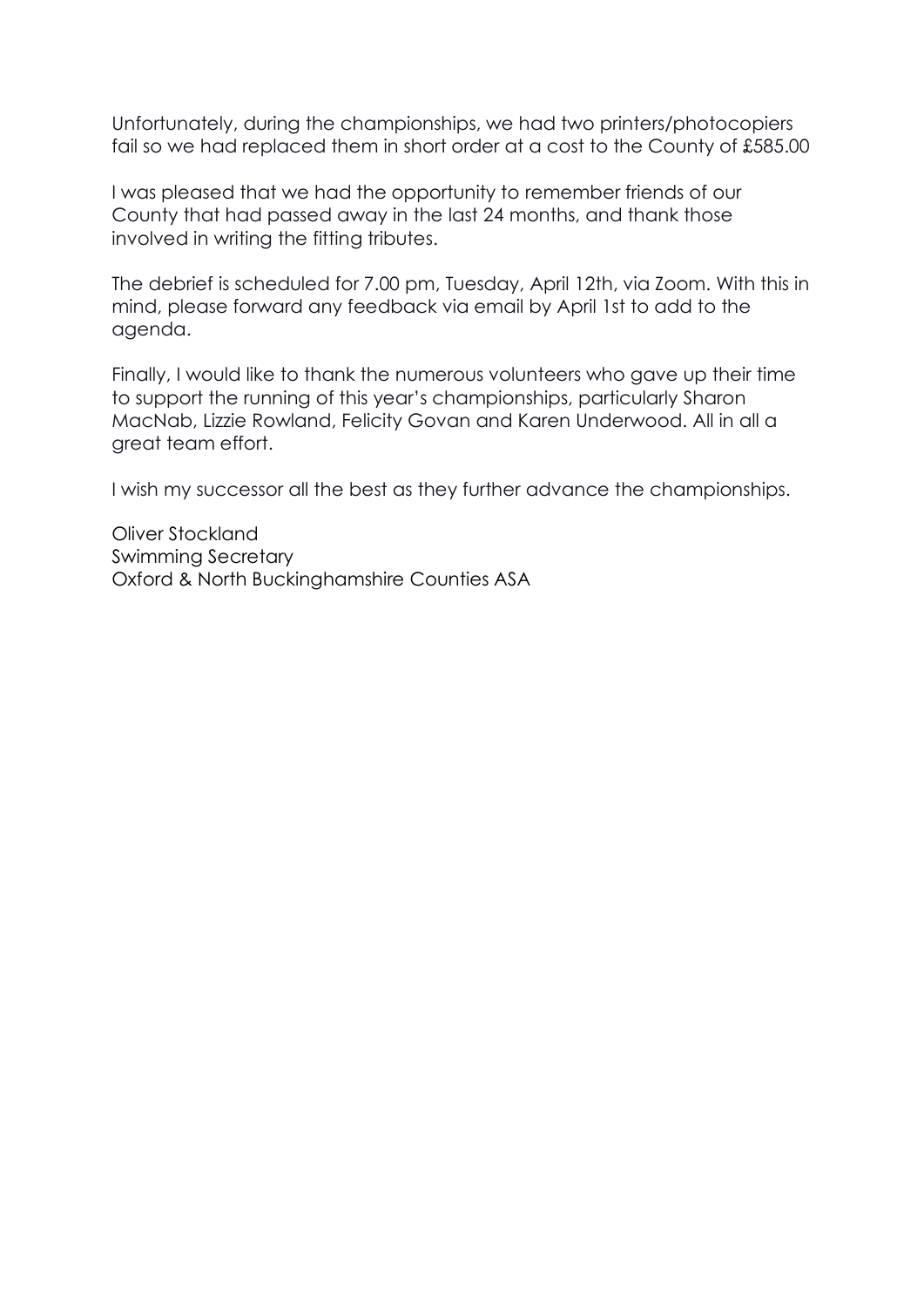Unfortunately, during the championships, we had two printers/photocopiers fail so we had replaced them in short order at a cost to the County of £585.00

I was pleased that we had the opportunity to remember friends of our County that had passed away in the last 24 months, and thank those involved in writing the fitting tributes.

The debrief is scheduled for 7.00 pm, Tuesday, April 12th, via Zoom. With this in mind, please forward any feedback via email by April 1st to add to the agenda.

Finally, I would like to thank the numerous volunteers who gave up their time to support the running of this year's championships, particularly Sharon MacNab, Lizzie Rowland, Felicity Govan and Karen Underwood. All in all a great team effort.

I wish my successor all the best as they further advance the championships.

Oliver Stockland Swimming Secretary Oxford & North Buckinghamshire Counties ASA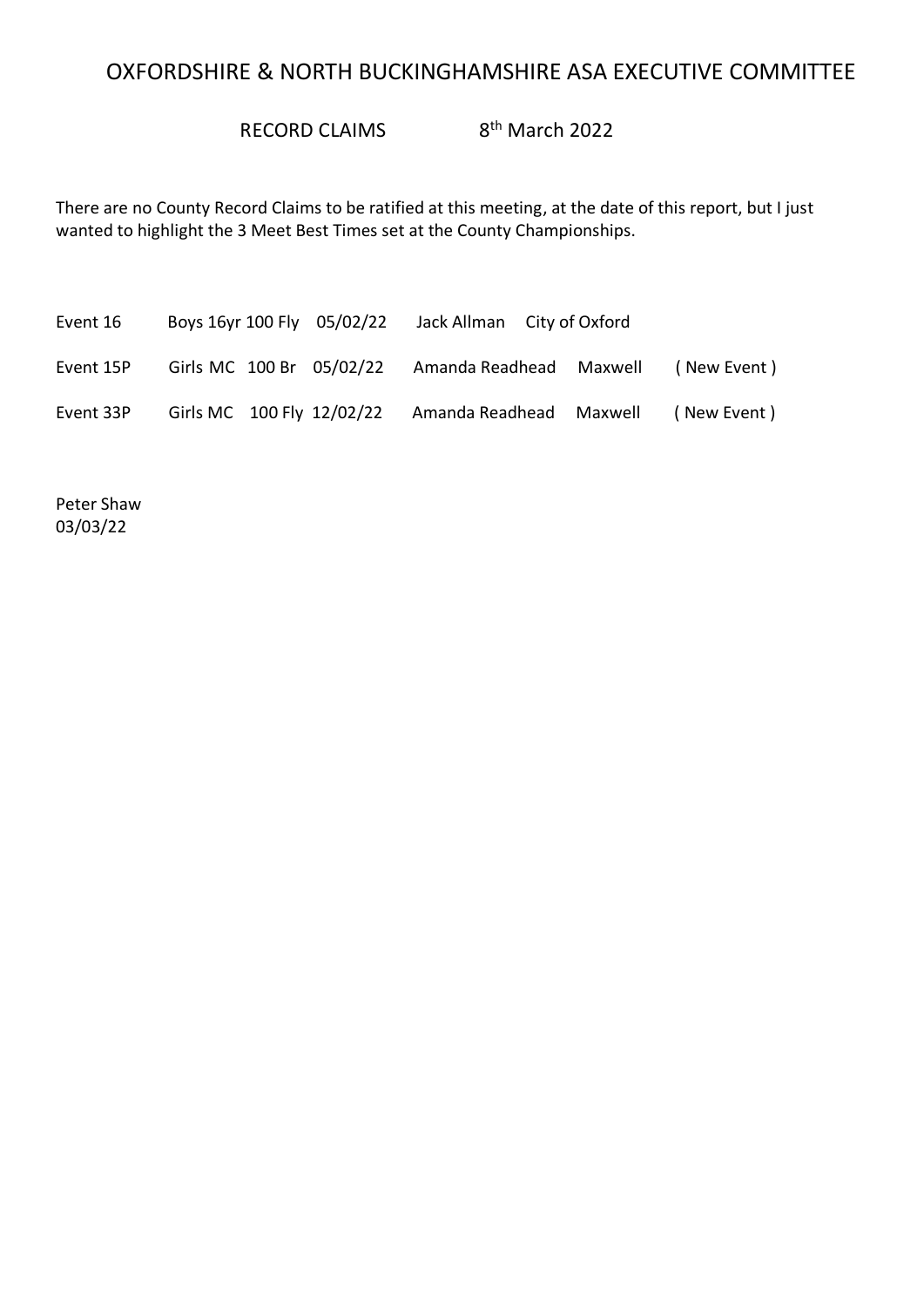# OXFORDSHIRE & NORTH BUCKINGHAMSHIRE ASA EXECUTIVE COMMITTEE

RECORD CLAIMS 8<sup>th</sup> March 2022

There are no County Record Claims to be ratified at this meeting, at the date of this report, but I just wanted to highlight the 3 Meet Best Times set at the County Championships.

| Event 16  | Boys 16yr 100 Fly 05/02/22 | Jack Allman City of Oxford |             |
|-----------|----------------------------|----------------------------|-------------|
| Event 15P | Girls MC 100 Br 05/02/22   | Amanda Readhead Maxwell    | (New Event) |
| Event 33P | Girls MC 100 Fly 12/02/22  | Amanda Readhead Maxwell    | (New Event) |

Peter Shaw 03/03/22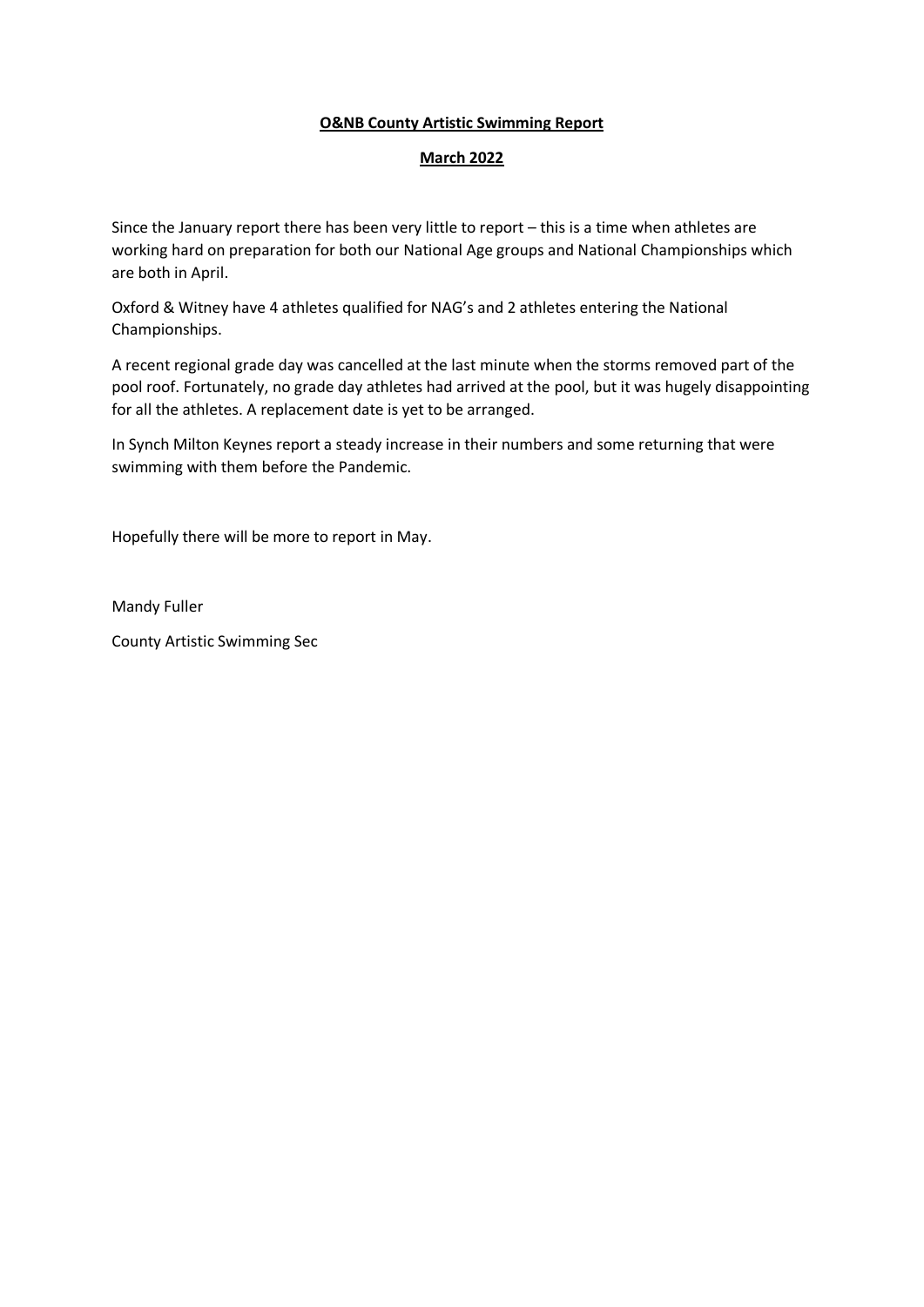### **O&NB County Artistic Swimming Report**

### **March 2022**

Since the January report there has been very little to report – this is a time when athletes are working hard on preparation for both our National Age groups and National Championships which are both in April.

Oxford & Witney have 4 athletes qualified for NAG's and 2 athletes entering the National Championships.

A recent regional grade day was cancelled at the last minute when the storms removed part of the pool roof. Fortunately, no grade day athletes had arrived at the pool, but it was hugely disappointing for all the athletes. A replacement date is yet to be arranged.

In Synch Milton Keynes report a steady increase in their numbers and some returning that were swimming with them before the Pandemic.

Hopefully there will be more to report in May.

Mandy Fuller

County Artistic Swimming Sec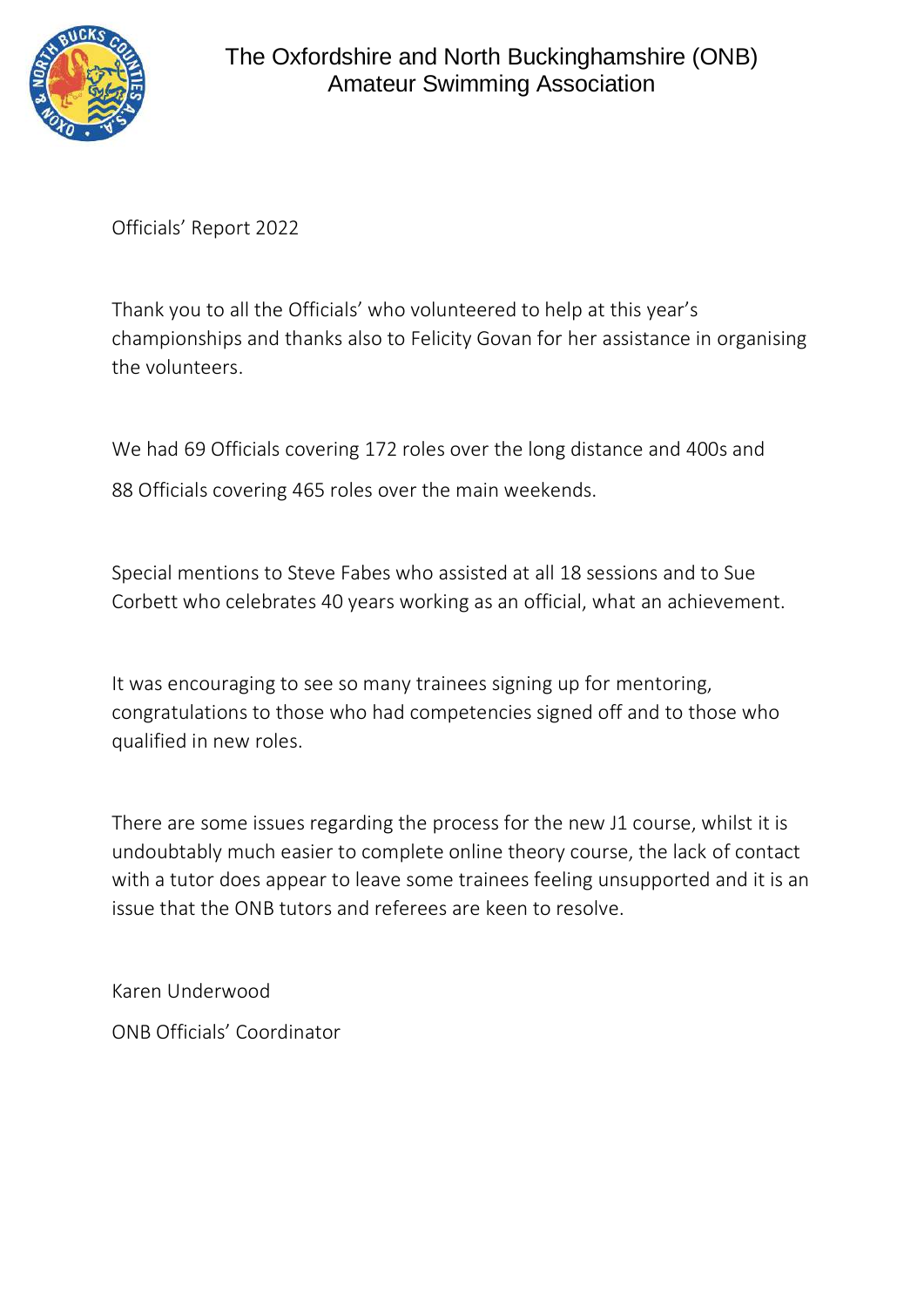

Officials' Report 2022

Thank you to all the Officials' who volunteered to help at this year's championships and thanks also to Felicity Govan for her assistance in organising the volunteers.

We had 69 Officials covering 172 roles over the long distance and 400s and 88 Officials covering 465 roles over the main weekends.

Special mentions to Steve Fabes who assisted at all 18 sessions and to Sue Corbett who celebrates 40 years working as an official, what an achievement.

It was encouraging to see so many trainees signing up for mentoring, congratulations to those who had competencies signed off and to those who qualified in new roles.

There are some issues regarding the process for the new J1 course, whilst it is undoubtably much easier to complete online theory course, the lack of contact with a tutor does appear to leave some trainees feeling unsupported and it is an issue that the ONB tutors and referees are keen to resolve.

Karen Underwood ONB Officials' Coordinator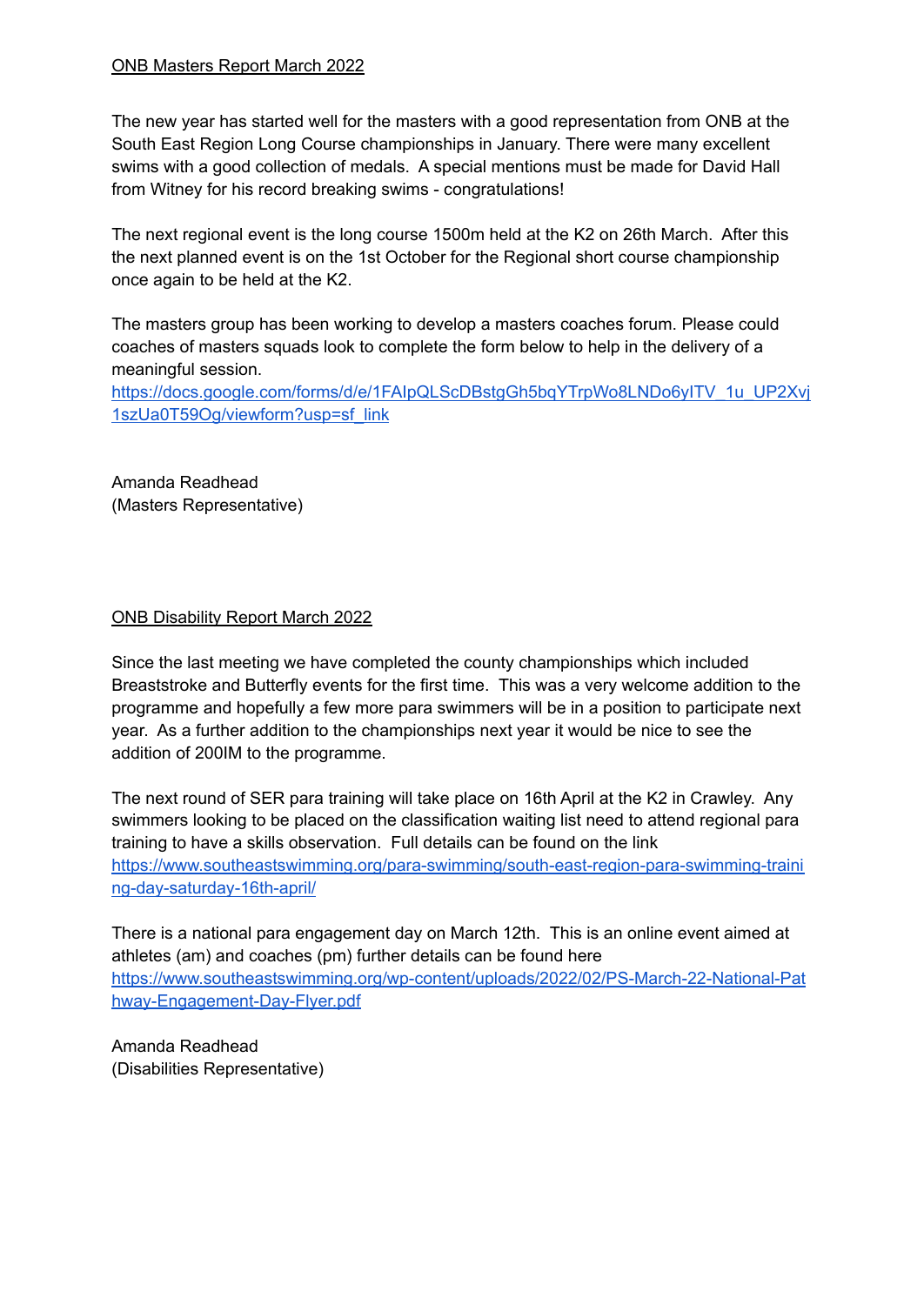### ONB Masters Report March 2022

The new year has started well for the masters with a good representation from ONB at the South East Region Long Course championships in January. There were many excellent swims with a good collection of medals. A special mentions must be made for David Hall from Witney for his record breaking swims - congratulations!

The next regional event is the long course 1500m held at the K2 on 26th March. After this the next planned event is on the 1st October for the Regional short course championship once again to be held at the K2.

The masters group has been working to develop a masters coaches forum. Please could coaches of masters squads look to complete the form below to help in the delivery of a meaningful session.

[https://docs.google.com/forms/d/e/1FAIpQLScDBstgGh5bqYTrpWo8LNDo6yITV\\_1u\\_UP2Xvj](https://docs.google.com/forms/d/e/1FAIpQLScDBstgGh5bqYTrpWo8LNDo6yITV_1u_UP2Xvj1szUa0T59Og/viewform?usp=sf_link) [1szUa0T59Og/viewform?usp=sf\\_link](https://docs.google.com/forms/d/e/1FAIpQLScDBstgGh5bqYTrpWo8LNDo6yITV_1u_UP2Xvj1szUa0T59Og/viewform?usp=sf_link)

Amanda Readhead (Masters Representative)

### ONB Disability Report March 2022

Since the last meeting we have completed the county championships which included Breaststroke and Butterfly events for the first time. This was a very welcome addition to the programme and hopefully a few more para swimmers will be in a position to participate next year. As a further addition to the championships next year it would be nice to see the addition of 200IM to the programme.

The next round of SER para training will take place on 16th April at the K2 in Crawley. Any swimmers looking to be placed on the classification waiting list need to attend regional para training to have a skills observation. Full details can be found on the link [https://www.southeastswimming.org/para-swimming/south-east-region-para-swimming-traini](https://www.southeastswimming.org/para-swimming/south-east-region-para-swimming-training-day-saturday-16th-april/) [ng-day-saturday-16th-april/](https://www.southeastswimming.org/para-swimming/south-east-region-para-swimming-training-day-saturday-16th-april/)

There is a national para engagement day on March 12th. This is an online event aimed at athletes (am) and coaches (pm) further details can be found here [https://www.southeastswimming.org/wp-content/uploads/2022/02/PS-March-22-National-Pat](https://www.southeastswimming.org/wp-content/uploads/2022/02/PS-March-22-National-Pathway-Engagement-Day-Flyer.pdf) [hway-Engagement-Day-Flyer.pdf](https://www.southeastswimming.org/wp-content/uploads/2022/02/PS-March-22-National-Pathway-Engagement-Day-Flyer.pdf)

Amanda Readhead (Disabilities Representative)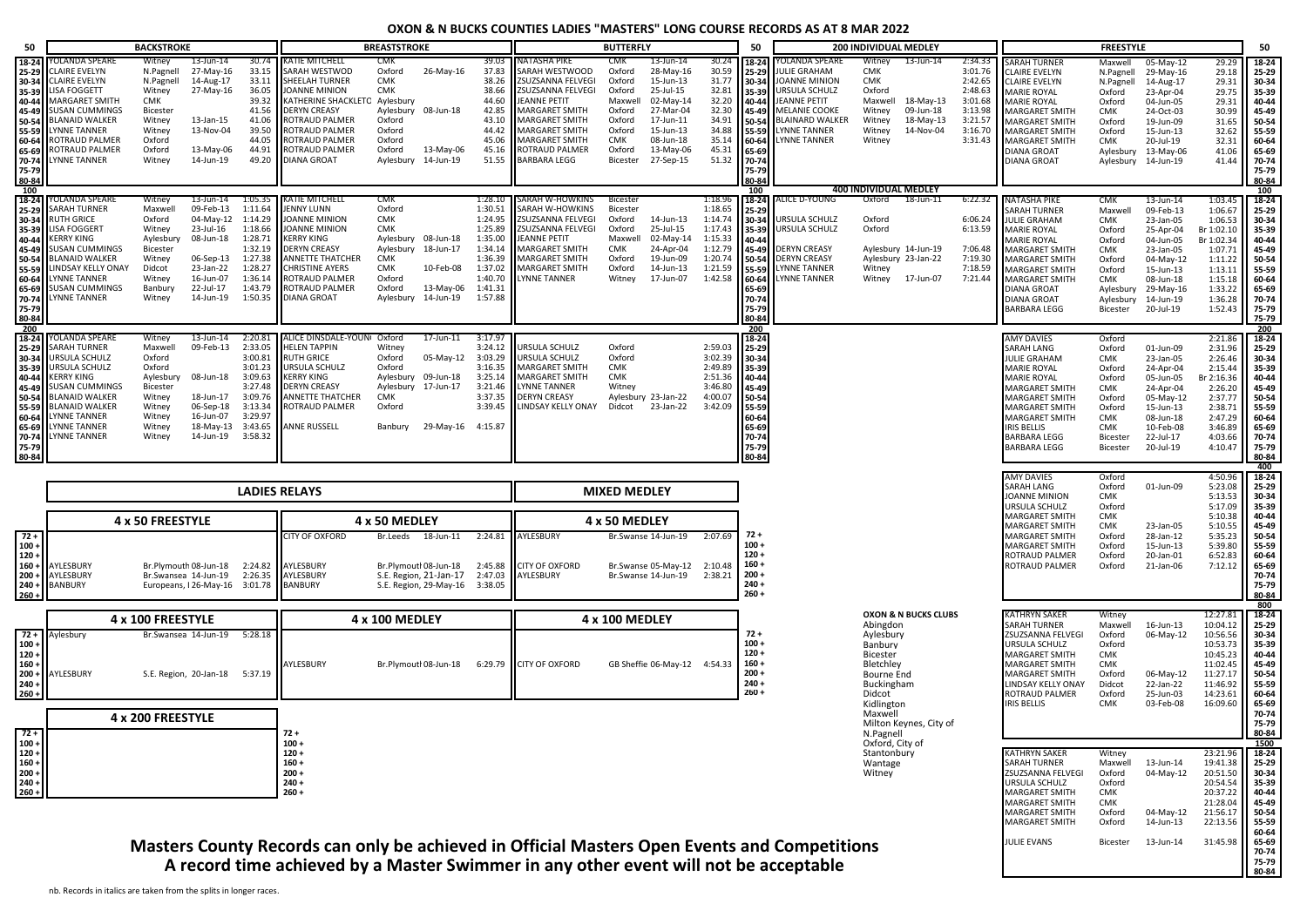#### **OXON & N BUCKS COUNTIES LADIES "MASTERS" LONG COURSE RECORDS AS AT 8 MAR 2022**

| 50                                                                                                                    |                                                                                                                                                                                                                                                | <b>BACKSTROKE</b>                                                                                                 |                                                                                                                                                |                                                                                                            |                                                                                                                                                                                                                                                      | <b>BREASTSTROKE</b>                                                                            |                                                                                                         |                                                                                                                       |                                                                                                                                                                                                                  | <b>BUTTERFLY</b>                                                                                               |                                                                                                                                             |                                                                                                       | 50                                                                                                                                           |                                                                                                                                                                                         | 200 INDIVIDUAL MEDLEY                                                                                                    |                                                                      |                                                                                                 |                                                                                                                                                                                                                                                                               | <b>FREESTYLE</b>                                                                                                                  |                                                                                                                                                                              |                                                                                                                                        | 50                                                                                                                    |
|-----------------------------------------------------------------------------------------------------------------------|------------------------------------------------------------------------------------------------------------------------------------------------------------------------------------------------------------------------------------------------|-------------------------------------------------------------------------------------------------------------------|------------------------------------------------------------------------------------------------------------------------------------------------|------------------------------------------------------------------------------------------------------------|------------------------------------------------------------------------------------------------------------------------------------------------------------------------------------------------------------------------------------------------------|------------------------------------------------------------------------------------------------|---------------------------------------------------------------------------------------------------------|-----------------------------------------------------------------------------------------------------------------------|------------------------------------------------------------------------------------------------------------------------------------------------------------------------------------------------------------------|----------------------------------------------------------------------------------------------------------------|---------------------------------------------------------------------------------------------------------------------------------------------|-------------------------------------------------------------------------------------------------------|----------------------------------------------------------------------------------------------------------------------------------------------|-----------------------------------------------------------------------------------------------------------------------------------------------------------------------------------------|--------------------------------------------------------------------------------------------------------------------------|----------------------------------------------------------------------|-------------------------------------------------------------------------------------------------|-------------------------------------------------------------------------------------------------------------------------------------------------------------------------------------------------------------------------------------------------------------------------------|-----------------------------------------------------------------------------------------------------------------------------------|------------------------------------------------------------------------------------------------------------------------------------------------------------------------------|----------------------------------------------------------------------------------------------------------------------------------------|-----------------------------------------------------------------------------------------------------------------------|
| 18-24<br>25-29<br>35-39<br>40-44<br>50-54<br>55-59<br>60-64<br>65-69<br>70-74<br>75-79<br>80-84                       | YOLANDA SPEARE<br><b>CLAIRE EVELYN</b><br>30-34 CLAIRE EVELYN<br><b>LISA FOGGETT</b><br>MARGARET SMITH<br>45-49 SUSAN CUMMINGS<br><b>BLANAID WALKER</b><br><b>LYNNE TANNER</b><br>ROTRAUD PALMER<br>ROTRAUD PALMER<br><b>LYNNE TANNER</b>      | Witney<br>N.Pagnell<br>N.Pagnell<br>Witney<br>CMK<br>Bicester<br>Witney<br>Witney<br>Oxford<br>Oxford<br>Witney   | $13$ -Jun- $14$<br>27-May-16<br>14-Aug-17<br>27-May-16<br>13-Jan-15<br>13-Nov-04<br>13-May-06<br>14-Jun-19                                     | 30.74<br>33.15<br>33.11<br>36.05<br>39.32<br>41.56<br>41.06<br>39.50<br>44.05<br>44.91<br>49.20            | <b>KATIE MITCHELL</b><br>SARAH WESTWOD<br>SHEELAH TURNER<br><b>JOANNE MINION</b><br>KATHERINE SHACKLETC Aylesbury<br><b>DERYN CREASY</b><br><b>ROTRAUD PALMER</b><br><b>ROTRAUD PALMER</b><br>ROTRAUD PALMER<br><b>ROTRAUD PALMER</b><br>DIANA GROAT | CMK<br>Oxford<br>CMK<br>CMK<br>Oxford<br>Oxford<br>Oxford<br>Oxford<br>Aylesbury               | 26-May-16<br>Aylesbury 08-Jun-18<br>13-May-06<br>14-Jun-19                                              | 39.03<br>37.83<br>38.26<br>38.66<br>44.60<br>42.85<br>43.10<br>44.42<br>45.06<br>45.16<br>51.55                       | <b>NATASHA PIKE</b><br>SARAH WESTWOOD<br>ZSUZSANNA FELVEGI<br>ZSUZSANNA FELVEGI<br>JEANNE PETIT<br><b>MARGARET SMITH</b><br>MARGARET SMITH<br>MARGARET SMITH<br>MARGARET SMITH<br>ROTRAUD PALMER<br>BARBARA LEGG | <b>CMK</b><br>Oxford<br>Oxford<br>Oxford<br>Maxwell<br>Oxford<br>Oxford<br>Oxford<br>CMK<br>Oxford<br>Bicester | 13-Jun-14<br>28-May-16<br>15-Jun-13<br>25-Jul-15<br>02-May-14<br>27-Mar-04<br>17-Jun-11<br>15-Jun-13<br>08-Jun-18<br>13-May-06<br>27-Sep-15 | 30.24<br>30.59<br>31.77<br>32.81<br>32.20<br>32.30<br>34.91<br>34.88<br>35.14<br>45.31<br>51.32       | 18-24<br>25-29<br>30-34<br>35-39<br>$II$ <sub>40-44</sub><br>45-49<br>150-54<br><b>II</b> 55-59<br>60-64<br>65-69<br>70-74<br>75-79<br>80-84 | YOLANDA SPEARE<br><b>JULIE GRAHAM</b><br>JOANNE MINION<br>URSULA SCHULZ<br><b>JEANNE PETIT</b><br>MELANIE COOKE<br><b>BLAINARD WALKER</b><br><b>LYNNE TANNER</b><br><b>LYNNE TANNER</b> | Witney<br>CMK<br>CMK<br>Oxford<br>Maxwell<br>Witney<br>Witney<br>Witney<br>Witney                                        | 13-Jun-14<br>18-May-13<br>09-Jun-18<br>18-May-13<br>14-Nov-04        | 2:34.33<br>3:01.76<br>2:42.65<br>2:48.63<br>3:01.68<br>3:13.98<br>3:21.57<br>3:16.70<br>3:31.43 | <b>SARAH TURNER</b><br><b>CLAIRE EVELYN</b><br><b>CLAIRE EVELYN</b><br><b>MARIE ROYAL</b><br><b>MARIE ROYAL</b><br><b>MARGARET SMITH</b><br><b>MARGARET SMITH</b><br><b>MARGARET SMITH</b><br><b>MARGARET SMITH</b><br><b>DIANA GROAT</b><br><b>DIANA GROAT</b>               | Maxwell<br>N.Pagnell<br>N.Pagnell<br>Oxford<br>Oxford<br>CMK<br>Oxford<br>Oxford<br>CMK                                           | 05-May-12<br>29-May-16<br>14-Aug-17<br>23-Apr-04<br>04-Jun-05<br>24-Oct-03<br>19-Jun-09<br>15-Jun-13<br>20-Jul-19<br>Aylesbury 13-May-06<br>Aylesbury 14-Jun-19              | 29.29<br>29.18<br>29.31<br>29.75<br>29.31<br>30.99<br>31.65<br>32.62<br>32.31<br>41.06<br>41.44                                        | $18 - 24$<br>25-29<br>30-34<br>35-39<br>40-44<br>45-49<br>50-54<br>55-59<br>60-64<br>65-69<br>70-74<br>75-79<br>80-84 |
| 100                                                                                                                   |                                                                                                                                                                                                                                                |                                                                                                                   |                                                                                                                                                |                                                                                                            |                                                                                                                                                                                                                                                      |                                                                                                |                                                                                                         |                                                                                                                       |                                                                                                                                                                                                                  |                                                                                                                |                                                                                                                                             |                                                                                                       | 100                                                                                                                                          |                                                                                                                                                                                         | <b>400 INDIVIDUAL MEDLEY</b>                                                                                             |                                                                      |                                                                                                 |                                                                                                                                                                                                                                                                               |                                                                                                                                   |                                                                                                                                                                              |                                                                                                                                        | 100                                                                                                                   |
| $18 - 24$<br>25-29<br>30-34<br>35-39<br>40-44<br>45-49<br>50-54<br>55-59<br>60-64<br>65-69<br>70-74<br>75-79<br>80-84 | YOLANDA SPEARE<br><b>SARAH TURNER</b><br><b>RUTH GRICE</b><br><b>LISA FOGGERT</b><br><b>KERRY KING</b><br><b>SUSAN CUMMINGS</b><br><b>BLANAID WALKER</b><br>LINDSAY KELLY ONAY<br><b>LYNNE TANNER</b><br><b>SUSAN CUMMINGS</b><br>LYNNE TANNER | Witney<br>Maxwell<br>Oxford<br>Witney<br>Aylesbury<br>Bicester<br>Witney<br>Didcot<br>Witney<br>Banbury<br>Witney | 13-Jun-14<br>09-Feb-13 1:11.64<br>04-May-12 1:14.29<br>23-Jul-16<br>08-Jun-18<br>06-Sep-13<br>23-Jan-22<br>16-Jun-07<br>22-Jul-17<br>14-Jun-19 | 1:05.35<br>1:18.66<br>1:28.71<br>1:32.19<br>1:27.38<br>1:28.27<br>1:36.14<br>1:43.79<br>1:50.35            | KATIE MITCHELL<br><b>JENNY LUNN</b><br>JOANNE MINION<br>JOANNE MINION<br><b>KERRY KING</b><br><b>DERYN CREASY</b><br><b>ANNETTE THATCHER</b><br><b>CHRISTINE AYERS</b><br><b>ROTRAUD PALMER</b><br>ROTRAUD PALMER<br><b>DIANA GROAT</b>              | CMK<br>Oxford<br>CMK<br><b>CMK</b><br>Aylesbury<br>CMK<br>CMK<br>Oxford<br>Oxford<br>Aylesbury | Aylesbury 08-Jun-18<br>18-Jun-17<br>10-Feb-08<br>13-May-06<br>14-Jun-19                                 | 1:28.10<br>1:30.51<br>1:24.95<br>1:25.89<br>1:35.00<br>1:34.14<br>1:36.39<br>1:37.02<br>1:40.70<br>1:41.31<br>1:57.88 | SARAH W-HOWKINS<br>SARAH W-HOWKINS<br>ZSUZSANNA FELVEGI<br>ZSUZSANNA FELVEGI<br><b>JEANNE PETIT</b><br>MARGARET SMITH<br>MARGARET SMITH<br><b>MARGARET SMITH</b><br>LYNNE TANNER                                 | Bicester<br>Bicester<br>Oxford<br>Oxford<br>Maxwell<br><b>CMK</b><br>Oxford<br>Oxford<br>Witney                | 14-Jun-13<br>25-Jul-15<br>02-May-14<br>24-Apr-04<br>19-Jun-09<br>14-Jun-13<br>17-Jun-07                                                     | 1:18.96 18-24<br>1:18.65<br>1:14.74<br>1:17.43<br>1:15.33<br>1:12.79<br>1:20.74<br>1:21.59<br>1:42.58 | <b>125-29</b><br>30-34<br>35-39<br>$140 - 44$<br>45-49<br>50-54<br>55-59<br>160-64<br>65-69<br>70-74<br>75-79<br>80-84                       | ALICE D-YOUNG<br>URSULA SCHULZ<br>URSULA SCHULZ<br><b>DERYN CREASY</b><br><b>DERYN CREASY</b><br><b>LYNNE TANNER</b><br><b>LYNNE TANNER</b>                                             | Oxford<br>Oxford<br>Oxford<br>Witney<br>Witney                                                                           | 18-Jun-11<br>Aylesbury 14-Jun-19<br>Aylesbury 23-Jan-22<br>17-Jun-07 | 6:22.32<br>6:06.24<br>6:13.59<br>7:06.48<br>7:19.30<br>7:18.59<br>7:21.44                       | <b>NATASHA PIKE</b><br>SARAH TURNER<br><b>JULIE GRAHAM</b><br><b>MARIE ROYAL</b><br><b>MARIE ROYAL</b><br><b>MARGARET SMITH</b><br><b>MARGARET SMITH</b><br><b>MARGARET SMITH</b><br><b>MARGARET SMITH</b><br><b>DIANA GROAT</b><br><b>DIANA GROAT</b><br><b>BARBARA LEGG</b> | <b>CMK</b><br>Maxwell<br>CMK<br>Oxford<br>Oxford<br>CMK<br>Oxford<br>Oxford<br>CMK<br>Bicester                                    | 13-Jun-14<br>09-Feb-13<br>23-Jan-05<br>25-Apr-04<br>04-Jun-05<br>23-Jan-05<br>04-May-12<br>15-Jun-13<br>08-Jun-18<br>Aylesbury 29-May-16<br>Aylesbury 14-Jun-19<br>20-Jul-19 | 1:03.45<br>1:06.67<br>1:06.53<br>Br 1:02.10<br>Br 1:02.34<br>1:07.71<br>1:11.22<br>1:13.11<br>1:15.18<br>1:33.22<br>1:36.28<br>1:52.43 | 18-24<br>25-29<br>30-34<br>35-39<br>40-44<br>45-49<br>50-54<br>55-59<br>60-64<br>65-69<br>70-74<br>75-79<br>75-79     |
| 200                                                                                                                   | YOLANDA SPEARE                                                                                                                                                                                                                                 | Witney                                                                                                            | 13-Jun-14                                                                                                                                      | 2:20.81                                                                                                    | ALICE DINSDALE-YOUN Oxford                                                                                                                                                                                                                           |                                                                                                | $17$ -Jun- $11$                                                                                         | 3:17.97                                                                                                               |                                                                                                                                                                                                                  |                                                                                                                |                                                                                                                                             |                                                                                                       | 200<br>$18 - 24$                                                                                                                             |                                                                                                                                                                                         |                                                                                                                          |                                                                      |                                                                                                 |                                                                                                                                                                                                                                                                               |                                                                                                                                   |                                                                                                                                                                              |                                                                                                                                        | 200<br>18-24                                                                                                          |
| 18-24<br>25-29<br>35-39<br>40-44<br>45-49<br>50-54<br>55-59<br>60-64<br>65-69<br>70-74<br>75-79<br>80-84              | <b>SARAH TURNER</b><br>30-34 URSULA SCHULZ<br><b>URSULA SCHULZ</b><br><b>KERRY KING</b><br><b>SUSAN CUMMINGS</b><br><b>BLANAID WALKER</b><br><b>BLANAID WALKER</b><br><b>LYNNE TANNER</b><br><b>LYNNE TANNER</b><br><b>LYNNE TANNER</b>        | Maxwell<br>Oxford<br>Oxford<br>Aylesbury<br><b>Bicester</b><br>Witney<br>Witney<br>Witney<br>Witney<br>Witney     | 09-Feb-13<br>08-Jun-18<br>18-Jun-17<br>06-Sep-18<br>16-Jun-07<br>18-May-13<br>14-Jun-19                                                        | 2:33.05<br>3:00.81<br>3:01.23<br>3:09.63<br>3:27.48<br>3:09.76<br>3:13.34<br>3:29.97<br>3:43.65<br>3:58.32 | <b>HELEN TAPPIN</b><br><b>RUTH GRICE</b><br>URSULA SCHULZ<br><b>KERRY KING</b><br><b>DERYN CREASY</b><br>ANNETTE THATCHER<br><b>ROTRAUD PALMER</b><br><b>ANNE RUSSELL</b>                                                                            | Witney<br>Oxford<br>Oxford<br>CMK<br>Oxford<br>Banbury                                         | 05-May-12 3:03.29<br>Aylesbury 09-Jun-18<br>Aylesbury 17-Jun-17<br>29-May-16 4:15.87                    | 3:24.12<br>3:16.35<br>3:25.14<br>3:21.46<br>3:37.35<br>3:39.45                                                        | URSULA SCHULZ<br>URSULA SCHULZ<br>MARGARET SMITH<br>MARGARET SMITH<br>LYNNE TANNER<br><b>DERYN CREASY</b><br>LINDSAY KELLY ONAY Didcot                                                                           | Oxford<br>Oxford<br><b>CMK</b><br>CMK<br>Witney                                                                | Aylesbury 23-Jan-22<br>23-Jan-22                                                                                                            | 2:59.03<br>3:02.39<br>2:49.89<br>2:51.36<br>3:46.80<br>4:00.07<br>3:42.09                             | 25-29<br>130-34<br>135-39<br>140-44<br>45-49<br>50-54<br>155-59<br>60-64<br>65-69<br>70-74<br>75-79<br>80-84                                 |                                                                                                                                                                                         |                                                                                                                          |                                                                      |                                                                                                 | <b>AMY DAVIES</b><br>SARAH LANG<br><b>JULIE GRAHAM</b><br><b>MARIE ROYAL</b><br><b>MARIE ROYAL</b><br>MARGARET SMITH<br>MARGARET SMITH<br>MARGARET SMITH<br>MARGARET SMITH<br><b>IRIS BELLIS</b><br><b>BARBARA LEGG</b><br>BARBARA LEGG                                       | Oxford<br>Oxford<br>CMK<br>Oxford<br>Oxford<br><b>CMK</b><br>Oxford<br>Oxford<br><b>CMK</b><br><b>CMK</b><br>Bicester<br>Bicester | 01-Jun-09<br>23-Jan-05<br>24-Apr-04<br>05-Jun-05<br>24-Apr-04<br>05-May-12<br>15-Jun-13<br>08-Jun-18<br>10-Feb-08<br>22-Jul-17<br>20-Jul-19                                  | 2:21.86<br>2:31.96<br>2:26.46<br>2:15.44<br>Br 2:16.36<br>2:26.20<br>2:37.77<br>2:38.71<br>2:47.29<br>3:46.89<br>4:03.66<br>4:10.47    | 25-29<br>30-34<br>35-39<br>40-44<br>45-49<br>50-54<br>55-59<br>60-64<br>65-69<br>70-74<br>75-79<br>80-84              |
|                                                                                                                       |                                                                                                                                                                                                                                                |                                                                                                                   |                                                                                                                                                |                                                                                                            |                                                                                                                                                                                                                                                      |                                                                                                |                                                                                                         |                                                                                                                       |                                                                                                                                                                                                                  |                                                                                                                |                                                                                                                                             |                                                                                                       |                                                                                                                                              |                                                                                                                                                                                         |                                                                                                                          |                                                                      |                                                                                                 | AMY DAVIES                                                                                                                                                                                                                                                                    | Oxford                                                                                                                            |                                                                                                                                                                              | 4:50.96                                                                                                                                | 400<br>18-24                                                                                                          |
|                                                                                                                       |                                                                                                                                                                                                                                                |                                                                                                                   |                                                                                                                                                |                                                                                                            | <b>LADIES RELAYS</b>                                                                                                                                                                                                                                 |                                                                                                |                                                                                                         |                                                                                                                       |                                                                                                                                                                                                                  | <b>MIXED MEDLEY</b>                                                                                            |                                                                                                                                             |                                                                                                       |                                                                                                                                              |                                                                                                                                                                                         |                                                                                                                          |                                                                      |                                                                                                 | SARAH LANG<br>JOANNE MINION                                                                                                                                                                                                                                                   | Oxford<br><b>CMK</b>                                                                                                              | 01-Jun-09                                                                                                                                                                    | 5:23.08<br>5:13.53<br>5:17.09                                                                                                          | 25-29<br>30-34<br>35-39                                                                                               |
|                                                                                                                       |                                                                                                                                                                                                                                                | 4 x 50 FREESTYLE                                                                                                  |                                                                                                                                                |                                                                                                            |                                                                                                                                                                                                                                                      | 4 x 50 MEDLEY                                                                                  |                                                                                                         |                                                                                                                       |                                                                                                                                                                                                                  | 4 x 50 MEDLEY                                                                                                  |                                                                                                                                             |                                                                                                       |                                                                                                                                              |                                                                                                                                                                                         |                                                                                                                          |                                                                      |                                                                                                 | URSULA SCHULZ<br>MARGARET SMITH                                                                                                                                                                                                                                               | Oxford<br><b>CMK</b>                                                                                                              |                                                                                                                                                                              | 5:10.38                                                                                                                                | 40-44                                                                                                                 |
| $72 +$<br>00۰ -<br>120 +<br>160 +<br>200 +<br>240 +<br>260 +                                                          | AYLESBURY<br>AYLESBURY<br><b>BANBURY</b>                                                                                                                                                                                                       |                                                                                                                   | Br.Plymouth 08-Jun-18<br>Br.Swansea 14-Jun-19<br>Europeans, I 26-May-16 3:01.78 BANBURY                                                        | 2:24.82<br>2:26.35                                                                                         | <b>CITY OF OXFORD</b><br>AYLESBURY<br>AYLESBURY                                                                                                                                                                                                      |                                                                                                | Br.Leeds 18-Jun-11<br>Br.Plymoutl 08-Jun-18<br>S.E. Region, 21-Jan-17<br>S.E. Region, 29-May-16 3:38.05 | 2:24.81<br>2:45.88<br>2:47.03                                                                                         | AYLESBURY<br><b>CITY OF OXFORD</b><br>AYLESBURY                                                                                                                                                                  |                                                                                                                | Br.Swanse 14-Jun-19<br>Br.Swanse 05-May-12 2:10.48<br>Br.Swanse 14-Jun-19                                                                   | 2:07.69<br>2:38.21                                                                                    | $72+$<br>$100 +$<br>$120 +$<br>$160 +$<br>$200 +$<br>$240 +$<br>$260 +$                                                                      |                                                                                                                                                                                         |                                                                                                                          |                                                                      |                                                                                                 | MARGARET SMITH<br>MARGARET SMITH<br><b>MARGARET SMITH</b><br>ROTRAUD PALMER<br>ROTRAUD PALMER                                                                                                                                                                                 | CMK<br>Oxford<br>Oxford<br>Oxford<br>Oxford                                                                                       | 23-Jan-05<br>28-Jan-12<br>15-Jun-13<br>20-Jan-01<br>21-Jan-06                                                                                                                | 5:10.55<br>5:35.23<br>5:39.80<br>6:52.83<br>7:12.12                                                                                    | 45-49<br>50-54<br>55-59<br>60-64<br>65-69<br>70-74<br>75-79<br>80-84                                                  |
|                                                                                                                       |                                                                                                                                                                                                                                                | 4 x 100 FREESTYLE                                                                                                 |                                                                                                                                                |                                                                                                            |                                                                                                                                                                                                                                                      | 4 x 100 MEDLEY                                                                                 |                                                                                                         |                                                                                                                       |                                                                                                                                                                                                                  | 4 x 100 MEDLEY                                                                                                 |                                                                                                                                             |                                                                                                       |                                                                                                                                              |                                                                                                                                                                                         |                                                                                                                          | OXON & N BUCKS CLUBS                                                 |                                                                                                 | <b>KATHRYN SAKER</b>                                                                                                                                                                                                                                                          | Witney                                                                                                                            |                                                                                                                                                                              | 12:27.81                                                                                                                               | 800<br>$18 - 24$                                                                                                      |
| $72 +$<br>00۰ -<br>120 +<br>160 +<br>۵۵۰ -<br>240 -<br><u> 260 + </u>                                                 | Aylesbury<br>AYLESBURY                                                                                                                                                                                                                         |                                                                                                                   | Br.Swansea 14-Jun-19 5:28.18<br>S.E. Region, 20-Jan-18 5:37.19                                                                                 |                                                                                                            | AYLESBURY                                                                                                                                                                                                                                            |                                                                                                | Br.Plymoutl 08-Jun-18                                                                                   | 6:29.79                                                                                                               | <b>CITY OF OXFORD</b>                                                                                                                                                                                            |                                                                                                                | GB Sheffie 06-May-12 4:54.33                                                                                                                |                                                                                                       | $72 +$<br>$100 +$<br>$120 +$<br>$160 +$<br>$200 +$<br>$240 +$<br>$260 +$                                                                     |                                                                                                                                                                                         | Abingdon<br>Aylesbury<br>Banbury<br>Bicester<br>Bletchley<br>Bourne End<br>Buckingham<br>Didcot<br>Kidlington<br>Maxwell |                                                                      |                                                                                                 | SARAH TURNER<br>ZSUZSANNA FELVEGI<br>URSULA SCHULZ<br>MARGARET SMITH<br>MARGARET SMITH<br>MARGARET SMITH<br>LINDSAY KELLY ONAY<br>ROTRAUD PALMER<br>IRIS BELLIS                                                                                                               | Maxwell<br>Oxford<br>Oxford<br><b>CMK</b><br><b>CMK</b><br>Oxford<br>Didcot<br>Oxford<br><b>CMK</b>                               | 16-Jun-13<br>06-May-12<br>06-May-12<br>22-Jan-22<br>25-Jun-03<br>03-Feb-08                                                                                                   | 10:04.12<br>10:56.56<br>10:53.73<br>10:45.23<br>11:02.45<br>11:27.17<br>11:46.92<br>14:23.61<br>16:09.60                               | 25-29<br>30-34<br>35-39<br>40-44<br>45-49<br>50-54<br>55-59<br>60-64<br>65-69<br>70-74                                |
|                                                                                                                       |                                                                                                                                                                                                                                                | 4 x 200 FREESTYLE                                                                                                 |                                                                                                                                                |                                                                                                            |                                                                                                                                                                                                                                                      |                                                                                                |                                                                                                         |                                                                                                                       |                                                                                                                                                                                                                  |                                                                                                                |                                                                                                                                             |                                                                                                       |                                                                                                                                              |                                                                                                                                                                                         |                                                                                                                          | Milton Keynes, City of                                               |                                                                                                 |                                                                                                                                                                                                                                                                               |                                                                                                                                   |                                                                                                                                                                              |                                                                                                                                        | 75-79                                                                                                                 |
| $72 + 1$<br>100 +<br>$120 +$<br>$160 +$<br>$200 -$<br>ا 240<br>260 +                                                  |                                                                                                                                                                                                                                                |                                                                                                                   |                                                                                                                                                |                                                                                                            | $72 +$<br>$100 +$<br>$120 +$<br>$160 +$<br>$200 +$<br>$240 +$<br>$260 +$                                                                                                                                                                             |                                                                                                |                                                                                                         |                                                                                                                       |                                                                                                                                                                                                                  |                                                                                                                |                                                                                                                                             |                                                                                                       |                                                                                                                                              |                                                                                                                                                                                         | N.Pagnell<br>Oxford, City of<br>Stantonbury<br>Wantage<br>Witney                                                         |                                                                      |                                                                                                 | <b>KATHRYN SAKER</b><br>SARAH TURNER<br>ZSUZSANNA FELVEGI<br>URSULA SCHULZ<br>MARGARET SMITH<br>MARGARET SMITH<br>MARGARET SMITH<br>MARGARET SMITH                                                                                                                            | Witney<br>Maxwell<br>Oxford<br>Oxford<br><b>CMK</b><br><b>CMK</b><br>Oxford<br>Oxford                                             | 13-Jun-14<br>04-May-12<br>04-May-12<br>14-Jun-13                                                                                                                             | 23:21.96<br>19:41.38<br>20:51.50<br>20:54.54<br>20:37.22<br>21:28.04<br>21:56.17<br>22:13.56                                           | 80-84<br>1500<br>18-24<br>25-29<br>30-34<br>35-39<br>40-44<br>45-49<br>50-54<br>55-59<br>60-64                        |
|                                                                                                                       |                                                                                                                                                                                                                                                |                                                                                                                   |                                                                                                                                                |                                                                                                            | Masters County Records can only be achieved in Official Masters Open Events and Competitions                                                                                                                                                         |                                                                                                |                                                                                                         |                                                                                                                       |                                                                                                                                                                                                                  |                                                                                                                |                                                                                                                                             |                                                                                                       |                                                                                                                                              |                                                                                                                                                                                         |                                                                                                                          |                                                                      |                                                                                                 | JULIE EVANS                                                                                                                                                                                                                                                                   | Bicester                                                                                                                          | 13-Jun-14                                                                                                                                                                    | 31:45.98                                                                                                                               | 65-69<br>70-74                                                                                                        |

**A record time achieved by a Master Swimmer in any other event will not be acceptable**

**75-79 80-84**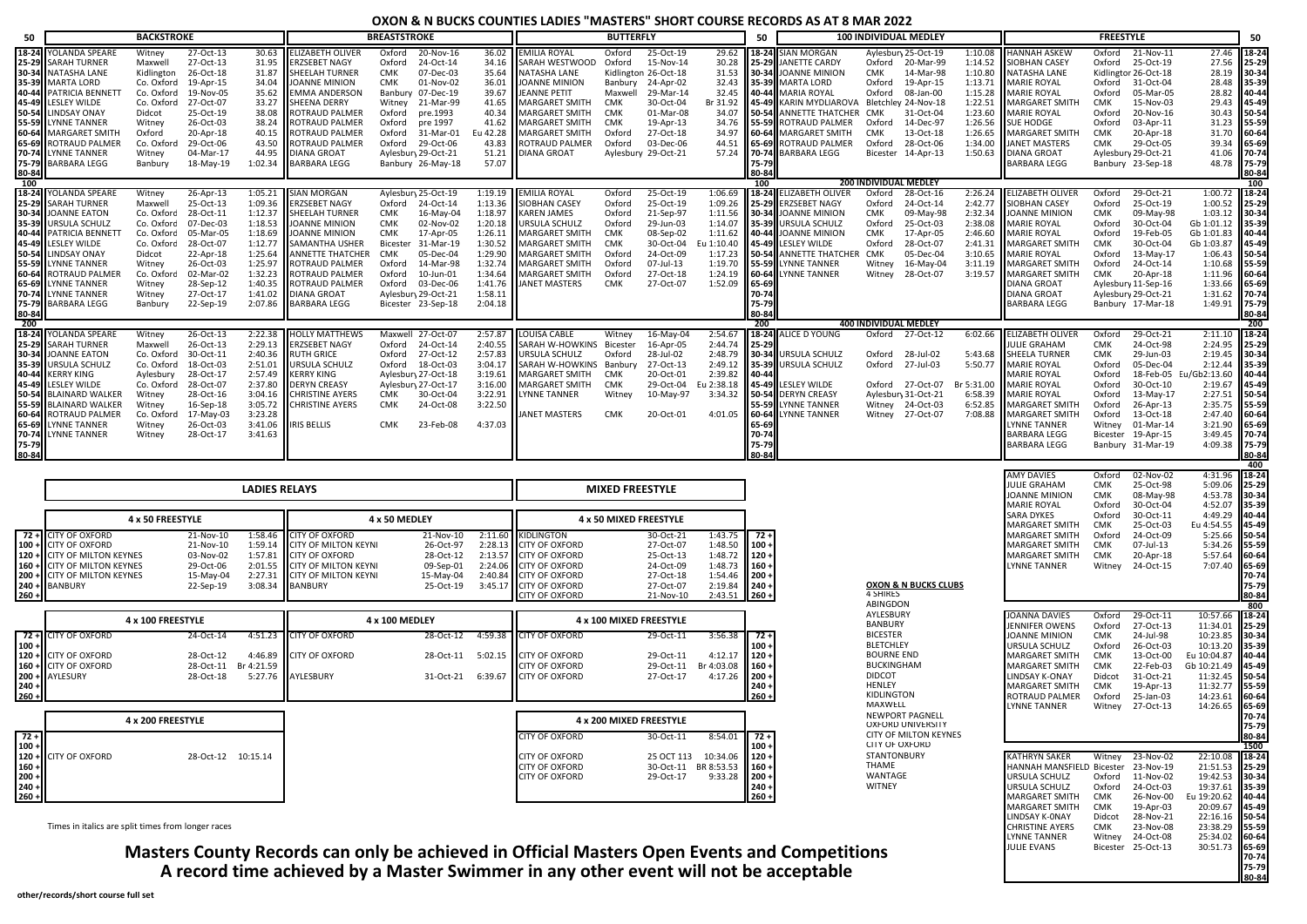| 50             |                                                    | <b>BACKSTROKE</b>    |                        |                      |                                             | <b>BREASTSTROKE</b>                     |                    |                    |                          | <b>BUTTERFLY</b>       |                         |            | 50             |                                      | <b>100 INDIVIDUAL MEDLEY</b>    |                       |            |                                           | <b>FREESTYLE</b>     |                                            |                                  | 50             |
|----------------|----------------------------------------------------|----------------------|------------------------|----------------------|---------------------------------------------|-----------------------------------------|--------------------|--------------------|--------------------------|------------------------|-------------------------|------------|----------------|--------------------------------------|---------------------------------|-----------------------|------------|-------------------------------------------|----------------------|--------------------------------------------|----------------------------------|----------------|
| 18-24          | YOLANDA SPEARE                                     | Witney               | 27-Oct-13              | 30.63                | <b>ELIZABETH OLIVER</b>                     | Oxford                                  | 20-Nov-16          |                    | 36.02 EMILIA ROYAL       | Oxford                 | 25-Oct-19               | 29.62      |                | 18-24 SIAN MORGAN                    | Aylesbur <sub>1</sub> 25-Oct-19 |                       | 1:10.08    | <b>HANNAH ASKEW</b>                       | Oxford               | 21-Nov-11                                  | 27.46                            | 18-24          |
| 25-29          | <b>SARAH TURNER</b>                                | Maxwell              | 27-Oct-13              |                      | 31.95 ERZSEBET NAGY                         | Oxford                                  | 24-Oct-14          | 34.16              | SARAH WESTWOOD           | Oxford                 | 15-Nov-14               | 30.28      | 25-29          | JANETTE CARDY                        | Oxford                          | 20-Mar-99             | 1:14.52    | SIOBHAN CASEY                             |                      | Oxford 25-Oct-19                           | 27.56                            | 25-29          |
|                | 30-34 NATASHA LANE                                 | Kidlington           | 26-Oct-18              |                      | 31.87 SHEELAH TURNER                        | CMK                                     | 07-Dec-03          | 35.64              | NATASHA LANE             |                        | Kidlington 26-Oct-18    | 31.53      | 30-34          | JOANNE MINION                        | <b>CMK</b>                      | 14-Mar-98             | 1:10.80    | NATASHA LANE                              |                      | Kidlingtor 26-Oct-18                       | 28.19 30-34                      |                |
| 35-39          | <b>MARTA LORD</b>                                  | Co. Oxford           | 19-Apr-15              | 34.04                | <b>JOANNE MINION</b>                        | <b>CMK</b>                              | 01-Nov-02          | 36.01              | <b>JOANNE MINION</b>     | Banbury                | 24-Apr-02               | 32.43      | 35-39          | MARTA LORD                           | Oxford                          | 19-Apr-15             | 1:13.71    | <b>MARIE ROYAL</b>                        | Oxford               | 31-Oct-04                                  | 28.48                            | 35-39          |
| 40-44          | PATRICIA BENNETT                                   | Co. Oxford           | 19-Nov-05              | 35.62                | <b>EMMA ANDERSON</b>                        | Banbury 07-Dec-19                       |                    | 39.67              | JEANNE PETIT             | Maxwell                | 29-Mar-14               | 32.45      | 40-44          | MARIA ROYAL                          | Oxford                          | 08-Jan-00             | 1:15.28    | <b>MARIE ROYAL</b>                        | Oxford               | 05-Mar-05                                  | 28.82                            | 40-44          |
| 45-49          | <b>LESLEY WILDE</b>                                | Co. Oxford           | 27-Oct-07              | 33.27                | SHEENA DERRY                                | Witney                                  | 21-Mar-99          | 41.65              | MARGARET SMITH CMK       |                        | 30-Oct-04               | Br 31.92   | 45-49          | KARIN MYDLIAROVA Bletchley 24-Nov-18 |                                 |                       | 1:22.51    | MARGARET SMITH                            | CMK                  | 15-Nov-03                                  | 29.43                            | 45-49          |
| 50-54<br>55-59 | <b>LINDSAY ONAY</b>                                | Didcot               | 25-Oct-19              | 38.08                | <b>ROTRAUD PALMER</b>                       | Oxford                                  | pre.1993           | 40.34              | MARGARET SMITH           | CMK                    | 01-Mar-08               | 34.07      |                | 50-54 ANNETTE THATCHER CMK           |                                 | 31-Oct-04             | 1:23.60    | <b>MARIE ROYAL</b>                        | Oxford               | 20-Nov-16                                  | 30.43                            | 50-54          |
|                | <b>LYNNE TANNER</b>                                | Witney               | 26-Oct-03              | 38.24                | ROTRAUD PALMER                              | Oxford                                  | pre 1997           | 41.62              | <b>MARGARET SMITH</b>    | <b>CMK</b>             | 19-Apr-13               | 34.76      |                | 55-59 ROTRAUD PALMER                 | Oxford                          | 14-Dec-97             | 1:26.56    | <b>SUE HODGE</b>                          | Oxford               | 03-Apr-11                                  | 31.23                            | 55-59          |
| 60-64          | MARGARET SMITH                                     | Oxford               | 20-Apr-18              |                      | 40.15 ROTRAUD PALMER                        | Oxford                                  | 31-Mar-01          | Eu 42.28           | MARGARET SMITH           | Oxford                 | 27-Oct-18               | 34.97      |                | 60-64 MARGARET SMITH                 | CMK                             | 13-Oct-18             | 1:26.65    | <b>MARGARET SMITH</b>                     | CMK                  | 20-Apr-18                                  | 31.70                            | 60-64          |
| 65-69          | <b>ROTRAUD PALMER</b>                              | Co. Oxford           | 29-Oct-06              | 43.50                | ROTRAUD PALMER                              | Oxford                                  | 29-Oct-06          | 43.83              | <b>ROTRAUD PALMER</b>    | Oxford                 | 03-Dec-06               | 44.51      |                | 65-69 ROTRAUD PALMER                 | Oxford                          | 28-Oct-06             | 1:34.00    | JANET MASTERS                             | CMK                  | 29-Oct-05                                  | 39.34                            | 65-69          |
| 70-74<br>75-79 | <b>LYNNE TANNER</b><br><b>BARBARA LEGG</b>         | Witney               | 04-Mar-17<br>18-May-19 | 44.95<br>1:02.34     | <b>DIANA GROAT</b><br><b>BARBARA LEGG</b>   | Aylesbury 29-Oct-21                     | Banbury 26-May-18  | 51.21<br>57.07     | <b>DIANA GROAT</b>       |                        | Aylesbury 29-Oct-21     | 57.24      | 70-74<br>75-79 | <b>BARBARA LEGG</b>                  | Bicester                        | 14-Apr-13             | 1:50.63    | <b>DIANA GROAT</b><br><b>BARBARA LEGG</b> |                      | Aylesbury 29-Oct-21<br>Banbury 23-Sep-18   | 41.06<br>48.78                   | 70-74          |
| 80-84          |                                                    | Banbury              |                        |                      |                                             |                                         |                    |                    |                          |                        |                         |            | 80-84          |                                      |                                 |                       |            |                                           |                      |                                            |                                  | 75-79<br>80-84 |
| 100            |                                                    |                      |                        |                      |                                             |                                         |                    |                    |                          |                        |                         |            | 100            |                                      | <b>200 INDIVIDUAL MEDLEY</b>    |                       |            |                                           |                      |                                            |                                  | 100            |
| 18-24          | YOLANDA SPEARE                                     | Witney               | 26-Apr-13              |                      | 1:05.21 SIAN MORGAN                         | Aylesbury 25-Oct-19                     |                    |                    | 1:19.19 EMILIA ROYAL     | Oxford                 | 25-Oct-19               | 1:06.69    | 18-24          | ELIZABETH OLIVER                     | Oxford                          | 28-Oct-16             | 2:26.24    | <b>ELIZABETH OLIVER</b>                   | Oxford               | 29-Oct-21                                  | 1:00.72 18-24                    |                |
| 25-29          | <b>SARAH TURNER</b>                                | Maxwell              | 25-Oct-13              | 1:09.36              | <b>ERZSEBET NAGY</b>                        | Oxford                                  | 24-Oct-14          | 1:13.36            | SIOBHAN CASEY            | Oxford                 | 25-Oct-19               | 1:09.26    |                | 25-29 ERZSEBET NAGY                  | Oxford                          | 24-Oct-14             | 2:42.77    | SIOBHAN CASEY                             | Oxford               | 25-Oct-19                                  | 1:00.52                          | 25-29          |
| 30-34          | <b>JOANNE EATON</b>                                | Co. Oxford           | 28-Oct-11              |                      | 1:12.37 SHEELAH TURNER                      | CMK                                     | 16-May-04          | 1:18.97            | <b>KAREN JAMES</b>       | Oxford                 | 21-Sep-97               | 1:11.56    | 30-34          | <b>JOANNE MINION</b>                 | <b>CMK</b>                      | 09-May-98             | 2:32.34    | JOANNE MINION                             | CMK                  | 09-May-98                                  | 1:03.12                          |                |
| 35-39          | URSULA SCHULZ                                      | Co. Oxford           | 07-Dec-03              | 1:18.53              | JOANNE MINION                               | CMK                                     | 02-Nov-02          | 1:20.18            | URSULA SCHULZ            | Oxford                 | 29-Jun-03               | 1:14.07    |                | 35-39 URSULA SCHULZ                  | Oxford                          | 25-Oct-03             | 2:38.08    | MARIE ROYAL                               | Oxford               | 30-Oct-04                                  | Gb 1:01.12                       | 30-34<br>35-39 |
| 40-44          | PATRICIA BENNETT                                   | Co. Oxford           | 05-Mar-05              |                      | 1:18.69 JOANNE MINION                       | CMK                                     | 17-Apr-05          | 1:26.11            | MARGARET SMITH           | <b>CMK</b>             | 08-Sep-02               | 1:11.62    |                | 40-44 JOANNE MINION                  | <b>CMK</b>                      | 17-Apr-05             | 2:46.60    | MARIE ROYAL                               | Oxford               | 19-Feb-05                                  | Gb 1:01.83                       | 40-44          |
| 45-49          | <b>LESLEY WILDE</b>                                | Co. Oxford           | 28-Oct-07              |                      | 1:12.77 SAMANTHA USHER                      | Bicester                                | 31-Mar-19          | 1:30.52            | <b>MARGARET SMITH</b>    | <b>CMK</b>             | 30-Oct-04               | Eu 1:10.40 |                | 45-49 LESLEY WILDE                   | Oxford                          | 28-Oct-07             | 2:41.31    | <b>MARGARET SMITH</b>                     | CMK                  | 30-Oct-04                                  | Gb 1:03.87                       | 45-49          |
| 50-54          | <b>LINDSAY ONAY</b>                                | Didcot               | 22-Apr-18              | 1:25.64              | <b>ANNETTE THATCHER</b>                     | <b>CMK</b>                              | 05-Dec-04          | 1:29.90            | <b>MARGARET SMITH</b>    | Oxford                 | 24-Oct-09               | 1:17.23    |                | <b>50-54 ANNETTE THATCHER</b>        | CMK                             | 05-Dec-04             | 3:10.65    | <b>MARIE ROYAL</b>                        | Oxford               | 13-May-17                                  | 1:06.43                          | 50-54          |
| 55-59          | <b>LYNNE TANNER</b>                                | Witney               | 26-Oct-03              | 1:25.97              | ROTRAUD PALMER                              | Oxford                                  | 14-Mar-98          | 1:32.74            | <b>MARGARET SMITH</b>    | Oxford                 | 07-Jul-13               | 1:19.70    |                | 55-59 LYNNE TANNER                   | Witney                          | 16-May-04             | 3:11.19    | <b>MARGARET SMITH</b>                     | Oxford               | 24-Oct-14                                  | 1:10.68                          | 55-59          |
| 60-64          | ROTRAUD PALMER                                     | Co. Oxford           | 02-Mar-02              | 1:32.23<br>1:40.35   | ROTRAUD PALMER                              | Oxford                                  | 10-Jun-01          | 1:34.64            | MARGARET SMITH           | Oxford                 | 27-Oct-18               | 1:24.19    | 60-64          | LYNNE TANNER                         | Witney                          | 28-Oct-07             | 3:19.57    | MARGARET SMITH                            | CMK                  | 20-Apr-18                                  | 1:11.96                          | 60-64          |
| 65-69<br>70-74 | <b>LYNNE TANNER</b><br><b>LYNNE TANNER</b>         | Witney<br>Witney     | 28-Sep-12<br>27-Oct-17 | 1:41.02              | <b>ROTRAUD PALMER</b><br><b>DIANA GROAT</b> | Oxford 03-Dec-06<br>Aylesbury 29-Oct-21 |                    | 1:41.76<br>1:58.11 | <b>JANET MASTERS</b>     | <b>CMK</b>             | 27-Oct-07               | 1:52.09    | 65-69<br>70-74 |                                      |                                 |                       |            | DIANA GROAT<br><b>DIANA GROAT</b>         |                      | Aylesbury 11-Sep-16<br>Aylesbury 29-Oct-21 | 1:33.66<br>1:31.62 70-74         | 65-69          |
| 75-79          | <b>BARBARA LEGG</b>                                | Banbury              | 22-Sep-19              | 2:07.86              | <b>BARBARA LEGG</b>                         |                                         | Bicester 23-Sep-18 | 2:04.18            |                          |                        |                         |            | 75-79          |                                      |                                 |                       |            | BARBARA LEGG                              |                      | Banbury 17-Mar-18                          | 1:49.91                          | $175 - 79$     |
| 80-84          |                                                    |                      |                        |                      |                                             |                                         |                    |                    |                          |                        |                         |            | 80-84          |                                      |                                 |                       |            |                                           |                      |                                            |                                  | 80-84          |
| 200            |                                                    |                      |                        |                      |                                             |                                         |                    |                    |                          |                        |                         |            | 200            |                                      | 400 INDIVIDUAL MEDLEY           |                       |            |                                           |                      |                                            |                                  | 200            |
| 18-24          | YOLANDA SPEARE                                     | Witney               | 26-Oct-13              |                      | 2:22.38 HOLLY MATTHEWS                      | Maxwell 27-Oct-07                       |                    |                    | 2:57.87 LOUISA CABLE     | Witney                 | 16-May-04               | 2:54.67    |                | 18-24 ALICE D YOUNG                  | Oxford 27-Oct-12                |                       | 6:02.66    | ELIZABETH OLIVER                          | Oxford               | 29-Oct-21                                  | 2:11.10 18-24                    |                |
| 25-29          | <b>SARAH TURNER</b>                                | Maxwell              | 26-Oct-13              |                      | 2:29.13 ERZSEBET NAGY                       | Oxford 24-Oct-14                        |                    | 2:40.55            | SARAH W-HOWKINS Bicester |                        | 16-Apr-05               | 2:44.74    | 25-29          |                                      |                                 |                       |            | JULIE GRAHAM                              | CMK                  | 24-Oct-98                                  | 2:24.95                          | 25-29          |
| 30-34          | <b>JOANNE EATON</b>                                | Co. Oxford 30-Oct-11 |                        |                      | 2:40.36 RUTH GRICE                          | Oxford 27-Oct-12                        |                    | 2:57.83            | URSULA SCHULZ            | Oxford                 | 28-Jul-02               | 2:48.79    |                | 30-34 URSULA SCHULZ                  | Oxford                          | 28-Jul-02             | 5:43.68    | SHEELA TURNER                             | CMK                  | 29-Jun-03                                  | 2:19.45                          | 30-34          |
| 35-39          | URSULA SCHULZ                                      | Co. Oxford           | 18-Oct-03              |                      | 2:51.01 URSULA SCHULZ                       | Oxford 18-Oct-03                        |                    | 3:04.17            | SARAH W-HOWKINS Banbury  |                        | 27-Oct-13               | 2:49.12    |                | 35-39 URSULA SCHULZ                  | Oxford                          | 27-Jul-03             | 5:50.77    | <b>MARIE ROYAL</b>                        | Oxford               | 05-Dec-04                                  | 2:12.44                          | 35-39          |
| 40-44          | <b>KERRY KING</b>                                  | Aylesbury            | 28-Oct-17              |                      | 2:57.49 KERRY KING                          | Aylesbury 27-Oct-18                     |                    | 3:19.61            | MARGARET SMITH           | CMK                    | 20-Oct-01               | 2:39.82    | 40-44          |                                      |                                 |                       |            | <b>MARIE ROYAL</b>                        | Oxford               |                                            | 18-Feb-05 Eu/Gb2:13.60           | 40-44          |
| 45-49          | <b>LESLEY WILDE</b>                                | Co. Oxford           | 28-Oct-07              |                      | 2:37.80 DERYN CREASY                        | Aylesbury 27-Oct-17                     |                    | 3:16.00            | MARGARET SMITH           | <b>CMK</b>             | 29-Oct-04               | Eu 2:38.18 | 45-49          | LESLEY WILDE                         | Oxford 27-Oct-07                |                       | Br 5:31.00 | <b>MARIE ROYAL</b>                        | Oxford               | 30-Oct-10                                  | 2:19.67                          | 45-49          |
| 50-54          | <b>BLAINARD WALKER</b>                             | Witney               | 28-Oct-16              | 3:04.16              | <b>CHRISTINE AYERS</b>                      | <b>CMK</b>                              | 30-Oct-04          | 3:22.91            | <b>LYNNE TANNER</b>      | Witney                 | 10-May-97               | 3:34.32    | 50-54          | <b>DERYN CREASY</b>                  | Aylesbury 31-Oct-21             |                       | 6:58.39    | <b>MARIE ROYAL</b>                        | Oxford               | 13-May-17                                  | 2:27.51                          | 50-54          |
| 55-59          | <b>BLAINARD WALKER</b>                             | Witney               | 16-Sep-18              | 3:05.72              | <b>CHRISTINE AYERS</b>                      | <b>CMK</b>                              | 24-Oct-08          | 3:22.50            |                          |                        |                         |            | 55-59          | YNNE TANNER                          | Witney                          | 24-Oct-03             | 6:52.85    | MARGARET SMITH                            | Oxford               | 26-Apr-13                                  | 2:35.75                          | 55-59          |
| 60-64          | ROTRAUD PALMER<br><b>LYNNE TANNER</b>              | Co. Oxford           | 17-May-03              | 3:23.28              |                                             |                                         |                    |                    | ANET MASTERS             | <b>CMK</b>             | 20-Oct-01               | 4:01.05    | 60-64          | YNNE TANNER                          | Witney                          | 27-Oct-07             | 7:08.88    | MARGARET SMITH                            | Oxford               | 13-Oct-18                                  | 2:47.40                          | 60-64          |
| 65-69<br>70-74 | <b>LYNNE TANNER</b>                                | Witney<br>Witney     | 26-Oct-03<br>28-Oct-17 | 3:41.06<br>3:41.63   | <b>IRIS BELLIS</b>                          | <b>CMK</b>                              | 23-Feb-08          | 4:37.03            |                          |                        |                         |            | 65-69<br>70-74 |                                      |                                 |                       |            | LYNNE TANNER<br>BARBARA LEGG              | Witney               | 01-Mar-14<br>Bicester 19-Apr-15            | 3:21.90<br>3:49.45 70-74         | 65-69          |
| 75-79          |                                                    |                      |                        |                      |                                             |                                         |                    |                    |                          |                        |                         |            | 75-79          |                                      |                                 |                       |            | BARBARA LEGG                              |                      | Banbury 31-Mar-19                          | 4:09.38 75-79                    |                |
| 80-84          |                                                    |                      |                        |                      |                                             |                                         |                    |                    |                          |                        |                         |            | 30-84          |                                      |                                 |                       |            |                                           |                      |                                            |                                  | 80-84          |
|                |                                                    |                      |                        |                      |                                             |                                         |                    |                    |                          |                        |                         |            |                |                                      |                                 |                       |            |                                           |                      |                                            |                                  | 400            |
|                |                                                    |                      |                        |                      |                                             |                                         |                    |                    |                          |                        |                         |            |                |                                      |                                 |                       |            | <b>AMY DAVIES</b>                         | Oxford               | 02-Nov-02                                  | 4:31.96 18-24                    |                |
|                |                                                    |                      |                        | <b>LADIES RELAYS</b> |                                             |                                         |                    |                    |                          | <b>MIXED FREESTYLE</b> |                         |            |                |                                      |                                 |                       |            | JULIE GRAHAM                              | CMK                  | 25-Oct-98                                  | 5:09.06                          | 25-29          |
|                |                                                    |                      |                        |                      |                                             |                                         |                    |                    |                          |                        |                         |            |                |                                      |                                 |                       |            | JOANNE MINION<br>MARIE ROYAL              | <b>CMK</b><br>Oxford | 08-May-98<br>30-Oct-04                     | 4:53.78 30-34<br>4:52.07         | 35-39          |
|                |                                                    |                      |                        |                      |                                             |                                         |                    |                    |                          |                        |                         |            |                |                                      |                                 |                       |            | SARA DYKES                                | Oxford               | 30-Oct-11                                  | 4:49.29 40-44                    |                |
|                |                                                    | 4 x 50 FREESTYLE     |                        |                      |                                             | 4 x 50 MEDLEY                           |                    |                    |                          | 4 x 50 MIXED FREESTYLE |                         |            |                |                                      |                                 |                       |            | MARGARET SMITH                            | CMK                  | 25-Oct-03                                  | Eu 4:54.55                       | 45-49          |
|                | 72 + CITY OF OXFORD                                |                      | 21-Nov-10              |                      | 1:58.46 CITY OF OXFORD                      |                                         | 21-Nov-10          |                    | 2:11.60 KIDLINGTON       |                        | 30-Oct-21               | 1:43.75    | $72 +$         |                                      |                                 |                       |            | <b>MARGARET SMITH</b>                     | Oxford               | 24-Oct-09                                  | 5:25.66                          | 50-54          |
| $100 +$        | <b>CITY OF OXFORD</b>                              |                      | 21-Nov-10              |                      | 1:59.14 CITY OF MILTON KEYNI                |                                         | 26-Oct-97          |                    | 2:28.13 CITY OF OXFORD   |                        | 27-Oct-07               | 1:48.50    | $100 -$        |                                      |                                 |                       |            | <b>MARGARET SMITH</b>                     | CMK                  | 07-Jul-13                                  | 5:34.26 55-59                    |                |
|                | 120 + CITY OF MILTON KEYNES                        |                      | 03-Nov-02              |                      | 1:57.81 CITY OF OXFORD                      |                                         | 28-Oct-12          |                    | 2:13.57 CITY OF OXFORD   |                        | 25-Oct-13               | 1:48.72    | $120 -$        |                                      |                                 |                       |            | MARGARET SMITH                            | CMK                  | 20-Apr-18                                  | 5:57.64                          | 60-64          |
| $160 +$        | <b>CITY OF MILTON KEYNES</b>                       |                      | 29-Oct-06              |                      | 2:01.55 CITY OF MILTON KEYNI                |                                         | 09-Sep-01          |                    | 2:24.06 CITY OF OXFORD   |                        | 24-Oct-09               | 1:48.73    | $160 -$        |                                      |                                 |                       |            | LYNNE TANNER                              | Witney               | 24-Oct-15                                  | 7:07.40                          | 65-69          |
| $200 +$        | <b>CITY OF MILTON KEYNES</b>                       |                      | 15-May-04              | 2:27.31              | <b>CITY OF MILTON KEYNE</b>                 |                                         | 15-May-04          |                    | 2:40.84 CITY OF OXFORD   |                        | 27-Oct-18               | 1:54.46    | $200 -$        |                                      |                                 |                       |            |                                           |                      |                                            |                                  | 70-74          |
| $240 -$        | <b>BANBURY</b>                                     |                      | 22-Sep-19              | 3:08.34              | <b>BANBURY</b>                              |                                         | 25-Oct-19          | 3:45.17            | <b>CITY OF OXFORD</b>    |                        | 27-Oct-07               | 2:19.84    | $240 +$        |                                      | 4 SHIRES                        | OXON & N BUCKS CLUBS  |            |                                           |                      |                                            |                                  | 75-79          |
| $260 +$        |                                                    |                      |                        |                      |                                             |                                         |                    |                    | CITY OF OXFORD           |                        | 21-Nov-10               | 2:43.51    | $260 +$        |                                      | ABINGDON                        |                       |            |                                           |                      |                                            |                                  | 80-84<br>800   |
|                |                                                    |                      |                        |                      |                                             |                                         |                    |                    |                          |                        |                         |            |                |                                      | AYLESBURY                       |                       |            | JOANNA DAVIES                             | Oxford               | 29-Oct-11                                  | 10:57.66                         | 18-24          |
|                |                                                    | 4 x 100 FREESTYLE    |                        |                      |                                             | 4 x 100 MEDLEY                          |                    |                    |                          |                        | 4 x 100 MIXED FREESTYLE |            |                |                                      | BANBURY                         |                       |            | JENNIFER OWENS                            | Oxford               | 27-Oct-13                                  | 11:34.01                         | 25-29          |
| $72 +$         | <b>CITY OF OXFORD</b>                              |                      | 24-Oct-14              | 4:51.23              | CITY OF OXFORD                              |                                         | 28-Oct-12          | 4:59.38            | <b>CITY OF OXFORD</b>    |                        | 29-Oct-11               | 3:56.38    | $72+$          |                                      | <b>BICESTER</b>                 |                       |            | JOANNE MINION                             | CMK                  | 24-Jul-98                                  | 10:23.85                         | 30-34          |
| $100 +$        |                                                    |                      |                        |                      |                                             |                                         |                    |                    |                          |                        |                         |            | . 100          |                                      | <b>BLETCHLEY</b>                |                       |            | JRSULA SCHULZ                             | Oxford               | 26-Oct-03                                  | 10:13.20                         | 35-39          |
| $120 +$        | <b>CITY OF OXFORD</b>                              |                      | 28-Oct-12              | 4:46.89              | CITY OF OXFORD                              |                                         | 28-Oct-11 5:02.15  |                    | <b>CITY OF OXFORD</b>    |                        | 29-Oct-11               | 4:12.17    | $120 -$        |                                      | <b>BOURNE END</b>               |                       |            | MARGARET SMITH                            | CMK                  | 13-Oct-00                                  | Eu 10:04.87                      | 40-44          |
| $160 +$        | <b>CITY OF OXFORD</b>                              |                      | 28-Oct-11              | Br 4:21.59           |                                             |                                         |                    |                    | CITY OF OXFORD           |                        | 29-Oct-11 Br 4:03.08    |            | $160 -$        |                                      | <b>BUCKINGHAM</b>               |                       |            | MARGARET SMITH                            | <b>CMK</b>           | 22-Feb-03                                  | Gb 10:21.49 45-49                |                |
| $200 +$        | AYLESURY                                           |                      | 28-Oct-18              | 5:27.76              | AYLESBURY                                   |                                         | 31-Oct-21 6:39.67  |                    | <b>CITY OF OXFORD</b>    |                        | 27-Oct-17               | 4:17.26    | $200 -$        |                                      | <b>DIDCOT</b>                   |                       |            | LINDSAY K-ONAY                            | Didcot               | 31-Oct-21                                  | 11:32.45 50-54                   |                |
| $240 +$        |                                                    |                      |                        |                      |                                             |                                         |                    |                    |                          |                        |                         |            | $240 -$        |                                      | HENLEY<br>KIDLINGTON            |                       |            | MARGARET SMITH                            | CMK                  | 19-Apr-13                                  | 11:32.77 55-59                   |                |
| $260 -$        |                                                    |                      |                        |                      |                                             |                                         |                    |                    |                          |                        |                         |            | $260 +$        |                                      | MAXWELL                         |                       |            | ROTRAUD PALMER                            | Oxford               | 25-Jan-03                                  | 14:23.61                         | 60-64          |
|                |                                                    |                      |                        |                      |                                             |                                         |                    |                    |                          |                        |                         |            |                |                                      | NEWPORT PAGNELL                 |                       |            | LYNNE TANNER                              |                      | Witney 27-Oct-13                           | 14:26.65                         | 65-69<br>70-74 |
|                |                                                    | 4 x 200 FREESTYLE    |                        |                      |                                             |                                         |                    |                    |                          |                        | 4 x 200 MIXED FREESTYLE |            |                |                                      | <b>OXFORD UNIVERSITY</b>        |                       |            |                                           |                      |                                            |                                  | 75-79          |
| $72 +$         |                                                    |                      |                        |                      |                                             |                                         |                    |                    | <b>CITY OF OXFORD</b>    |                        | 30-Oct-11               | 8:54.01    | 72 +           |                                      |                                 | CITY OF MILTON KEYNES |            |                                           |                      |                                            |                                  | 80-84          |
| $100 +$        |                                                    |                      |                        |                      |                                             |                                         |                    |                    |                          |                        |                         |            | $100 -$        |                                      | CITY OF OXFORD                  |                       |            |                                           |                      |                                            |                                  | 1500           |
| $120 +$        | <b>CITY OF OXFORD</b>                              |                      | 28-Oct-12 10:15.14     |                      |                                             |                                         |                    |                    | <b>CITY OF OXFORD</b>    |                        | 25 OCT 113              | 10:34.06   | $120 +$        |                                      | <b>STANTONBURY</b>              |                       |            | KATHRYN SAKER                             | Witney               | 23-Nov-02                                  | 22:10.08                         | $18 - 24$      |
| $160 -$        |                                                    |                      |                        |                      |                                             |                                         |                    |                    | <b>CITY OF OXFORD</b>    |                        | 30-Oct-11 BR 8:53.53    |            | $160 -$        |                                      | THAME                           |                       |            | HANNAH MANSFIELD Bicester                 |                      | 23-Nov-19                                  | 21:51.53                         | 25-29          |
| $200 -$        |                                                    |                      |                        |                      |                                             |                                         |                    |                    | <b>CITY OF OXFORD</b>    |                        | 29-Oct-17               | 9:33.28    | $200 +$        |                                      | WANTAGE                         |                       |            | URSULA SCHULZ                             |                      | Oxford 11-Nov-02                           | 19:42.53 30-34                   |                |
|                |                                                    |                      |                        |                      |                                             |                                         |                    |                    |                          |                        |                         |            | $240 +$        |                                      | <b>WITNEY</b>                   |                       |            | URSULA SCHULZ                             |                      | Oxford 24-Oct-03                           | 19:37.61 35-39                   |                |
| $240 +$        |                                                    |                      |                        |                      |                                             |                                         |                    |                    |                          |                        |                         |            |                |                                      |                                 |                       |            |                                           |                      |                                            |                                  |                |
| $260 +$        |                                                    |                      |                        |                      |                                             |                                         |                    |                    |                          |                        |                         |            | $260 +$        |                                      |                                 |                       |            | MARGARET SMITH                            | CMK                  | 26-Nov-00                                  | Eu 19:20.62 40-44                |                |
|                |                                                    |                      |                        |                      |                                             |                                         |                    |                    |                          |                        |                         |            |                |                                      |                                 |                       |            | MARGARET SMITH                            | CMK                  | 19-Apr-03                                  | 20:09.67 45-49                   |                |
|                |                                                    |                      |                        |                      |                                             |                                         |                    |                    |                          |                        |                         |            |                |                                      |                                 |                       |            | LINDSAY K-ONAY                            | Didcot               | 28-Nov-21                                  | 22:16.16 50-54                   |                |
|                | Times in italics are split times from longer races |                      |                        |                      |                                             |                                         |                    |                    |                          |                        |                         |            |                |                                      |                                 |                       |            | <b>CHRISTINE AYERS</b><br>LYNNE TANNER    | CMK                  | 23-Nov-08<br>Witney 24-Oct-08              | 23:38.29 55-59<br>25:34.02 60-64 |                |

**70-74 75-79 80-84**

**Masters County Records can only be achieved in Official Masters Open Events and Competitions A record time achieved by a Master Swimmer in any other event will not be acceptable**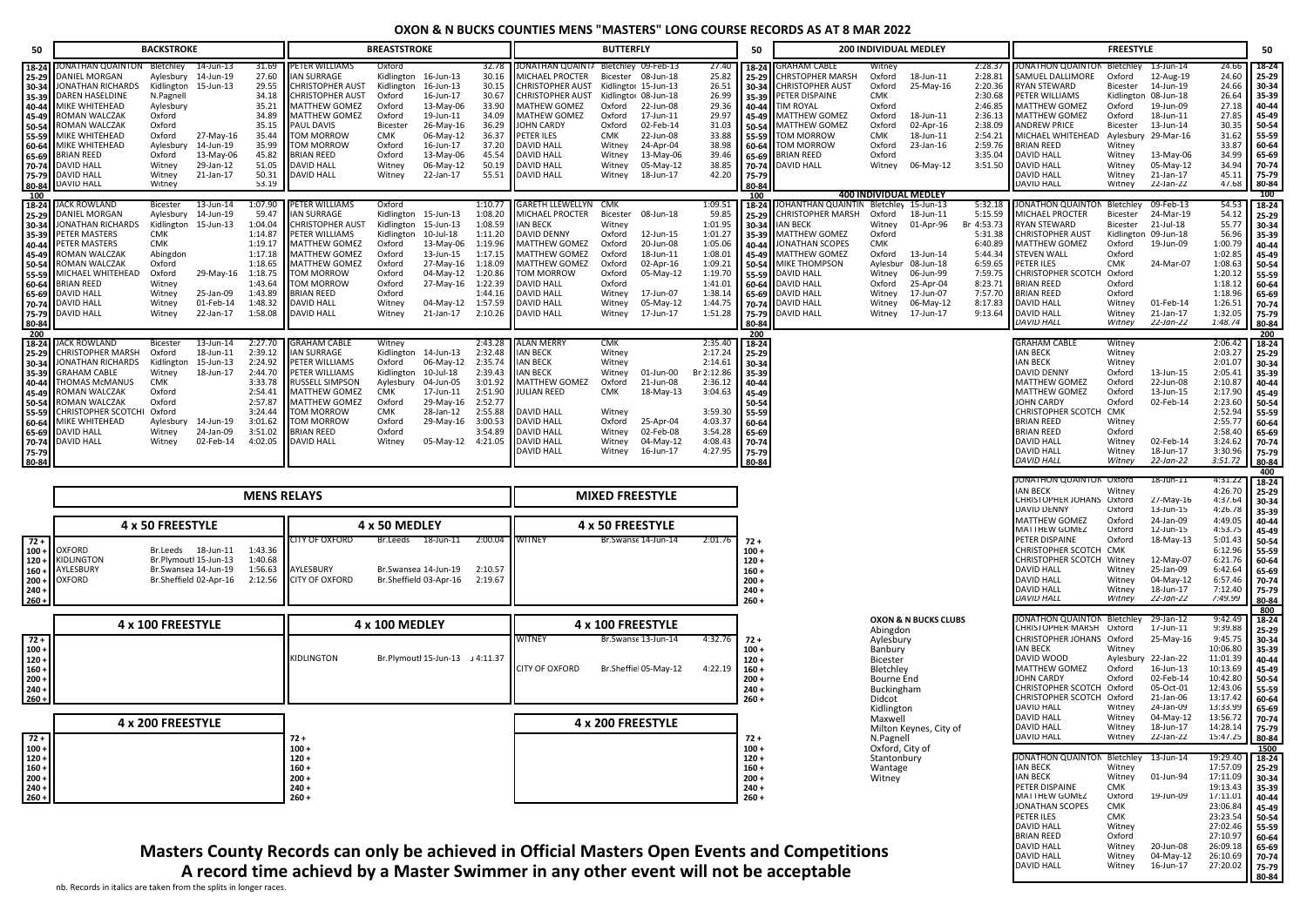| 50                                                                                                                       |                                                                                                                                                                                                                                  | <b>BACKSTROKE</b>                                                                                                                                 |                                                                                                      |                                                                                                                                |                                                                                                                                                                                                                                                                    | <b>BREASTSTROKE</b>                                                                                                         |                                                                                                                                                           |                                                                                                            |                                                                                                                                                                                                                                                                           | <b>BUTTERFLY</b>                                                                                                   |                                                                                                                                                                   |                                                                                                                                      | 50                                                                                                                       |                                                                                                                                                                                                                                                | 200 INDIVIDUAL MEDLEY                                                                                                                       |                                                                                                                   |                                                                                                                                     |                                                                                                                                                                                                                                                                                                            | <b>FREESTYLE</b>                                                                                                            |                                                                                                                                                        |                                                                                                                                             | 50                                                                                                                       |
|--------------------------------------------------------------------------------------------------------------------------|----------------------------------------------------------------------------------------------------------------------------------------------------------------------------------------------------------------------------------|---------------------------------------------------------------------------------------------------------------------------------------------------|------------------------------------------------------------------------------------------------------|--------------------------------------------------------------------------------------------------------------------------------|--------------------------------------------------------------------------------------------------------------------------------------------------------------------------------------------------------------------------------------------------------------------|-----------------------------------------------------------------------------------------------------------------------------|-----------------------------------------------------------------------------------------------------------------------------------------------------------|------------------------------------------------------------------------------------------------------------|---------------------------------------------------------------------------------------------------------------------------------------------------------------------------------------------------------------------------------------------------------------------------|--------------------------------------------------------------------------------------------------------------------|-------------------------------------------------------------------------------------------------------------------------------------------------------------------|--------------------------------------------------------------------------------------------------------------------------------------|--------------------------------------------------------------------------------------------------------------------------|------------------------------------------------------------------------------------------------------------------------------------------------------------------------------------------------------------------------------------------------|---------------------------------------------------------------------------------------------------------------------------------------------|-------------------------------------------------------------------------------------------------------------------|-------------------------------------------------------------------------------------------------------------------------------------|------------------------------------------------------------------------------------------------------------------------------------------------------------------------------------------------------------------------------------------------------------------------------------------------------------|-----------------------------------------------------------------------------------------------------------------------------|--------------------------------------------------------------------------------------------------------------------------------------------------------|---------------------------------------------------------------------------------------------------------------------------------------------|--------------------------------------------------------------------------------------------------------------------------|
| 18-24<br>25-29<br>30-34<br>35-39<br>40-44<br>45-49<br>50-54<br>55-59<br>60-64<br>65-69<br>70-74<br>75-79<br>80-84<br>100 | ONATHAN QUAINTON<br>DANIEL MORGAN<br>JONATHAN RICHARDS<br>DAREN HASELDINE<br>MIKE WHITEHEAD<br>ROMAN WALCZAK<br>ROMAN WALCZAK<br>MIKE WHITEHEAD<br>MIKE WHITEHEAD<br><b>BRIAN REED</b><br>DAVID HALL<br>DAVID HALL<br>DAVID HALL | Bletchley<br>Aylesbury<br>Kidlington<br>N.Pagnell<br>Aylesbury<br>Oxford<br>Oxford<br>Oxford<br>Aylesbury<br>Oxford<br>Witney<br>Witney<br>Witney | 14-Jun-13<br>14-Jun-19<br>15-Jun-13<br>27-May-16<br>14-Jun-19<br>13-May-06<br>29-Jan-12<br>21-Jan-17 | 31.69<br>27.60<br>29.55<br>34.18<br>35.21<br>34.89<br>35.15<br>35.44<br>35.99<br>45.82<br>51.05<br>50.31<br>53.19              | PETER WILLIAMS<br><b>IAN SURRAGE</b><br><b>CHRISTOPHER AUST</b><br><b>CHRISTOPHER AUST</b><br>MATTHEW GOMEZ<br><b>MATTHEW GOMEZ</b><br><b>PAUL DAVIS</b><br><b>TOM MORROW</b><br><b>TOM MORROW</b><br><b>BRIAN REED</b><br><b>DAVID HALL</b><br><b>DAVID HALL</b>  | Oxford<br>Kidlington<br>Oxford<br>Oxford<br>Oxford<br><b>Bicester</b><br><b>CMK</b><br>Oxford<br>Oxford<br>Witney<br>Witney | Kidlington 16-Jun-13<br>16-Jun-13<br>16-Jun-17<br>13-May-06<br>19-Jun-11<br>26-May-16<br>06-May-12<br>16-Jun-17<br>13-May-06<br>06-May-12<br>22-Jan-17    | 32.78<br>30.16<br>30.15<br>30.67<br>33.90<br>34.09<br>36.29<br>36.37<br>37.20<br>45.54<br>50.19<br>55.51   | ONATHAN QUAINTA Bletchley 09-Feb-13<br>MICHAEL PROCTER<br>CHRISTOPHER AUST<br>CHRISTOPHER AUST<br>MATHEW GOMEZ<br><b>MATHEW GOMEZ</b><br><b>JOHN CARDY</b><br>PETER ILES<br><b>DAVID HALL</b><br><b>DAVID HALL</b><br>DAVID HALL<br><b>DAVID HALL</b>                     | Bicester<br>Oxford<br>Oxford<br>Oxford<br><b>CMK</b><br>Witney<br>Witney<br>Witney<br>Witney                       | 08-Jun-18<br>Kidlingtor 15-Jun-13<br>Kidlingtor 08-Jun-18<br>22-Jun-08<br>17-Jun-11<br>02-Feb-14<br>22-Jun-08<br>24-Apr-04<br>13-May-06<br>05-May-12<br>18-Jun-17 | 27.40<br>25.82<br>26.51<br>26.99<br>29.36<br>29.97<br>31.03<br>33.88<br>38.98<br>39.46<br>38.85<br>42.20                             | 18-24<br>25-29<br>30-34<br>35-39<br>40-44<br>45-49<br>50-54<br>55-59<br>60-64<br>65-69<br>70-74<br>75-79<br>80-84<br>100 | GRAHAM CABLE<br>CHRSTOPHER MARSH<br><b>CHRISTOPHER AUST</b><br>PETER DISPAINE<br>IM ROYAL<br><b>MATTHEW GOMEZ</b><br>MATTHEW GOMEZ<br>TOM MORROW<br><b>TOM MORROW</b><br><b>BRIAN REED</b><br>DAVID HALL                                       | Witney<br>Oxford<br>Oxford<br><b>CMK</b><br>Oxford<br>Oxford<br>Oxford<br>CMK<br>Oxford<br>Oxford<br>Witney<br><b>400 INDIVIDUAL MEDLEY</b> | 18-Jun-11<br>25-May-16<br>18-Jun-11<br>02-Apr-16<br>18-Jun-11<br>23-Jan-16<br>06-May-12                           | 2:28.37<br>2:28.81<br>2:20.36<br>2:30.68<br>2:46.85<br>2:36.13<br>2:38.09<br>2:54.21<br>2:59.76<br>3:35.04<br>3:51.50               | JONATHON QUAINTON Bletchley<br>SAMUEL DALLIMORE<br><b>RYAN STEWARD</b><br>PETER WILLIAMS<br><b>MATTHEW GOMEZ</b><br>MATTHEW GOMEZ<br><b>ANDREW PRICE</b><br>MICHAEL WHITEHEAD Aylesbury 29-Mar-16<br><b>BRIAN REED</b><br><b>DAVID HALL</b><br><b>DAVID HALL</b><br><b>DAVID HALL</b><br><b>DAVID HALL</b> | Oxford<br>Bicester<br>Oxford<br>Oxford<br>Bicester<br>Witney<br>Witney<br>Witney<br>Witney<br>Witney                        | 13-Jun-14<br>12-Aug-19<br>14-Jun-19<br>Kidlington 08-Jun-18<br>19-Jun-09<br>18-Jun-11<br>13-Jun-14<br>13-May-06<br>05-May-12<br>21-Jan-17<br>22-Jan-22 | 24.66<br>24.60<br>24.66<br>26.64<br>27.18<br>27.85<br>30.35<br>31.62<br>33.87<br>34.99<br>34.94<br>45.11<br>47.68                           | 18-24<br>25-29<br>30-34<br>35-39<br>40-44<br>45-49<br>50-54<br>55-59<br>60-64<br>65-69<br>70-74<br>75-79<br>80-84<br>100 |
| 18-24<br>25-29<br>30-34<br>35-39<br>40-44<br>45-49<br>50-54<br>55-59<br>60-64<br>65-69<br>70-74<br>75-79<br>80-84        | ACK ROWLAND<br>DANIEL MORGAN<br>JONATHAN RICHARDS<br>PETER MASTERS<br>PETER MASTERS<br>ROMAN WALCZAK<br>ROMAN WALCZAK<br>MICHAEL WHITEHEAD<br>BRIAN REED<br>DAVID HALL<br>DAVID HALL<br>DAVID HALL                               | Bicester<br>Aylesbury<br>CMK<br>CMK<br>Abingdon<br>Oxford<br>Oxford<br>Witney<br>Witney<br>Witney<br>Witney                                       | 13-Jun-14<br>14-Jun-19<br>Kidlington 15-Jun-13<br>29-May-16<br>25-Jan-09<br>01-Feb-14<br>22-Jan-17   | 1:07.90<br>59.47<br>1:04.04<br>1:14.87<br>1:19.17<br>1:17.18<br>1:18.65<br>1:18.75<br>1:43.64<br>1:43.89<br>1:48.32<br>1:58.08 | <b>PETER WILLIAMS</b><br><b>IAN SURRAGE</b><br><b>CHRISTOPHER AUST</b><br>PETER WILLIAMS<br><b>MATTHEW GOMEZ</b><br><b>MATTHEW GOMEZ</b><br><b>MATTHEW GOMEZ</b><br><b>TOM MORROW</b><br><b>TOM MORROW</b><br><b>BRIAN REED</b><br><b>DAVID HALL</b><br>DAVID HALL | Oxford<br>Kidlington<br>Kidlington<br>Oxford<br>Oxford<br>Oxford<br>Oxford<br>Oxford<br>Oxford<br>Witney<br>Witney          | Kidlington 15-Jun-13<br>15-Jun-13<br>10-Jul-18<br>13-May-06<br>13-Jun-15<br>27-May-16<br>04-May-12<br>27-May-16 1:22.39<br>04-May-12 1:57.59<br>21-Jan-17 | 1:08.20<br>1:08.59<br>1:11.20<br>1:19.96<br>1:17.15<br>1:18.09<br>1:20.86<br>1:44.16<br>2:10.26            | 1:10.77 GARETH LLEWELLYN CMK<br><b>MICHAEL PROCTER</b><br><b>IAN BECK</b><br><b>DAVID DENNY</b><br><b>MATTHEW GOMEZ</b><br><b>MATTHEW GOMEZ</b><br><b>MATTHEW GOMEZ</b><br>TOM MORROW<br><b>DAVID HALL</b><br><b>DAVID HALL</b><br><b>DAVID HALL</b><br><b>DAVID HALL</b> | Bicester<br>Witney<br>Oxford<br>Oxford<br>Oxford<br>Oxford<br>Oxford<br>Oxford<br>Witney<br>Witney<br>Witney       | 08-Jun-18<br>12-Jun-15<br>20-Jun-08<br>18-Jun-11<br>02-Apr-16<br>05-May-12<br>17-Jun-07<br>05-May-12<br>17-Jun-17                                                 | 1:09.51<br>59.85<br>1:01.95<br>1:01.27<br>1:05.06<br>1:08.01<br>1:09.21<br>1:19.70<br>1:41.01<br>1:38.14<br>1:44.75<br>1:51.28       | 18-24<br>25-29<br>30-34<br>35-39<br>40-44<br>45-49<br>50-54<br>55-59<br>160-64<br>65-69<br>70-74<br>75-79<br>80-84       | OHANTHAN QUAINTIN Bletchley 15-Jun-13<br><b>CHRISTOPHER MARSH</b><br><b>IAN BECK</b><br><b>MATTHEW GOMEZ</b><br><b>JONATHAN SCOPES</b><br>MATTHEW GOMEZ<br>MIKE THOMPSON<br>DAVID HALL<br>DAVID HALL<br>DAVID HALL<br>DAVID HALL<br>DAVID HALL | Oxford<br>Witney<br>Oxford<br>CMK<br>Oxford<br>Aylesbur<br>Witney<br>Oxford<br>Witney<br>Witney<br>Witney                                   | 18-Jun-11<br>01-Apr-96<br>13-Jun-14<br>08-Jun-18<br>06-Jun-99<br>25-Apr-04<br>17-Jun-07<br>06-May-12<br>17-Jun-17 | 5:32.18<br>5:15.59<br>Br 4:53.73<br>5:31.38<br>6:40.89<br>5:44.34<br>6:59.65<br>7:59.75<br>8:23.71<br>7:57.70<br>8:17.83<br>9:13.64 | JONATHON QUAINTON Bletchley<br><b>MICHAEL PROCTER</b><br><b>RYAN STEWARD</b><br><b>CHRISTOPHER AUST</b><br>MATTHEW GOMEZ<br><b>STEVEN WALL</b><br>PETER ILES<br>CHRISTOPHER SCOTCH Oxford<br><b>BRIAN REED</b><br><b>BRIAN REED</b><br><b>DAVID HALL</b><br><b>DAVID HALL</b><br><b>DAVID HALL</b>         | Bicester<br>Bicester<br>Oxford<br>Oxford<br><b>CMK</b><br>Oxford<br>Oxford<br>Witney<br>Witney<br>Witney                    | 09-Feb-13<br>24-Mar-19<br>21-Jul-18<br>Kidlington 09-Jun-18<br>19-Jun-09<br>24-Mar-07<br>01-Feb-14<br>21-Jan-17<br>22-Jan-22                           | 54.53<br>54.12<br>55.77<br>56.96<br>1:00.79<br>1:02.85<br>1:08.63<br>1:20.12<br>1:18.12<br>1:18.96<br>1:26.51<br>1:32.05<br>1:48.74         | 18-24<br>25-29<br>30-34<br>35-39<br>40-44<br>45-49<br>50-54<br>55-59<br>60-64<br>65-69<br>70-74<br>75-79<br>80-84        |
| 200<br>18-24<br>25-29<br>30-34<br>35-39<br>40-44<br>45-49<br>50-54<br>55-59<br>60-64<br>65-69<br>70-74<br>75-79<br>80-84 | <b>ACK ROWLAND</b><br>CHRISTOPHER MARSH<br>JONATHAN RICHARDS<br>GRAHAM CABLE<br>THOMAS McMANUS<br>ROMAN WALCZAK<br>ROMAN WALCZAK<br>CHRISTOPHER SCOTC<br>MIKE WHITEHEAD<br>DAVID HALL<br>DAVID HALL                              | Bicester<br>Oxford<br>Kidlington<br>Witney<br><b>CMK</b><br>Oxford<br>Oxford<br>Oxford<br>Witney<br>Witney                                        | 13-Jun-14<br>18-Jun-11<br>15-Jun-13<br>18-Jun-17<br>Aylesbury 14-Jun-19<br>24-Jan-09<br>02-Feb-14    | 2:27.70<br>2:39.12<br>2:24.92<br>2:44.70<br>3:33.78<br>2:54.41<br>2:57.87<br>3:24.44<br>3:01.62<br>3:51.02<br>4:02.05          | <b>GRAHAM CABLE</b><br><b>IAN SURRAGE</b><br>PETER WILLIAMS<br>PETER WILLIAMS<br><b>RUSSELL SIMPSON</b><br><b>MATTHEW GOMEZ</b><br><b>MATTHEW GOMEZ</b><br><b>TOM MORROW</b><br><b>TOM MORROW</b><br>BRIAN REED<br><b>DAVID HALL</b>                               | Witney<br>Oxford<br>Kidlington<br>Aylesbury<br><b>CMK</b><br>Oxford<br><b>CMK</b><br>Oxford<br>Oxford<br>Witney             | Kidlington 14-Jun-13<br>06-May-12<br>10-Jul-18<br>04-Jun-05<br>17-Jun-11<br>29-May-16<br>28-Jan-12<br>29-May-16<br>05-May-12 4:21.05                      | 2:43.28<br>2:32.48<br>2:35.74<br>2:39.43<br>3:01.92<br>2:51.90<br>2:52.77<br>2:55.88<br>3:00.53<br>3:54.89 | <b>ALAN MERRY</b><br><b>IAN BECK</b><br><b>IAN BECK</b><br><b>IAN BECK</b><br><b>MATTHEW GOMEZ</b><br>JULIAN REED<br>DAVID HALL<br>DAVID HALL<br><b>DAVID HALL</b><br><b>DAVID HALL</b><br><b>DAVID HALL</b>                                                              | <b>CMK</b><br>Witney<br>Witney<br>Witney<br>Oxford<br><b>CMK</b><br>Witney<br>Oxford<br>Witney<br>Witney<br>Witney | 01-Jun-00<br>21-Jun-08<br>18-May-13<br>25-Apr-04<br>02-Feb-08<br>04-May-12<br>16-Jun-17                                                                           | 2:35.40<br>2:17.24<br>2:14.61 30-34<br>Br 2:12.86 35-39<br>2:36.12<br>3:04.63<br>3:59.30<br>4:03.37<br>3:54.28<br>4:08.43<br>4:27.95 | 200<br>18-24<br>$125 - 29$<br>40-44<br>45-49<br>50-54<br>55-59<br>60-64<br>65-69<br>70-74<br>75-79<br>80-84              |                                                                                                                                                                                                                                                |                                                                                                                                             |                                                                                                                   |                                                                                                                                     | <b>GRAHAM CABLE</b><br><b>IAN BECK</b><br><b>IAN BECK</b><br>DAVID DENNY<br><b>MATTHEW GOMEZ</b><br><b>MATTHEW GOMEZ</b><br>JOHN CARDY<br>CHRISTOPHER SCOTCH<br><b>BRIAN REED</b><br><b>BRIAN REED</b><br><b>DAVID HALL</b><br><b>DAVID HALL</b><br><b>DAVID HALL</b>                                      | Witney<br>Witney<br>Witney<br>Oxford<br>Oxford<br>Oxford<br>Oxford<br>CMK<br>Witney<br>Oxford<br>Witney<br>Witney<br>Witney | 13-Jun-15<br>22-Jun-08<br>13-Jun-15<br>02-Feb-14<br>02-Feb-14<br>18-Jun-17<br>22-Jan-22                                                                | 2:06.42<br>2:03.27<br>2:01.07<br>2:05.41<br>2:10.87<br>2:17.90<br>2:23.60<br>2:52.94<br>2:55.77<br>2:58.40<br>3:24.62<br>3:30.96<br>3:51.72 | 200<br>18-24<br>25-29<br>30-34<br>35-39<br>40-44<br>45-49<br>50-54<br>55-59<br>60-64<br>65-69<br>70-74<br>75-79<br>80-84 |
|                                                                                                                          |                                                                                                                                                                                                                                  |                                                                                                                                                   |                                                                                                      | <b>MENS RELAYS</b>                                                                                                             |                                                                                                                                                                                                                                                                    |                                                                                                                             |                                                                                                                                                           |                                                                                                            |                                                                                                                                                                                                                                                                           |                                                                                                                    | <b>MIXED FREESTYLE</b>                                                                                                                                            |                                                                                                                                      |                                                                                                                          |                                                                                                                                                                                                                                                |                                                                                                                                             |                                                                                                                   |                                                                                                                                     | JONATHON QUAINTON Oxford<br><b>IAN BECK</b><br>CHRISTOPHER JOHANS Oxford                                                                                                                                                                                                                                   | Witney                                                                                                                      | 18-Jun-11<br>27-May-16                                                                                                                                 | 4:31.22<br>4:26.70<br>4:37.64                                                                                                               | 400<br>18-24<br>25-29<br>30-34                                                                                           |
| $72 +$<br>$100 -$<br>$120 +$<br>$160 -$<br>$200 -$<br>$240 +$<br>$260 +$                                                 | OXFORD<br>KIDLINGTON<br>AYLESBURY<br>OXFORD                                                                                                                                                                                      | 4 x 50 FREESTYLE<br>Br.Leeds                                                                                                                      | 18-Jun-11<br>Br.Plymoutl 15-Jun-13<br>Br.Swansea 14-Jun-19<br>Br.Sheffield 02-Apr-16                 | 1:43.36<br>1:40.68<br>1:56.63<br>2:12.56                                                                                       | CITY OF OXFORD<br>AYLESBURY<br><b>CITY OF OXFORD</b>                                                                                                                                                                                                               | 4 x 50 MEDLEY<br>Br.Leeds                                                                                                   | 18-Jun-11<br>Br.Swansea 14-Jun-19<br>Br.Sheffield 03-Apr-16                                                                                               | 2:00.04<br>2:10.57<br>2:19.67                                                                              | WITNEY                                                                                                                                                                                                                                                                    |                                                                                                                    | 4 x 50 FREESTYLE<br>Br.Swanse 14-Jun-14                                                                                                                           | 2:01.76                                                                                                                              | $72 +$<br>$100 +$<br>$120 +$<br>$160 +$<br>$200 +$<br>$240 +$<br>$260 +$                                                 |                                                                                                                                                                                                                                                |                                                                                                                                             |                                                                                                                   |                                                                                                                                     | <b>DAVID DENNY</b><br>MATTHEW GOMEZ<br>MATTHEW GOMEZ<br>PETER DISPAINE<br>CHRISTOPHER SCOTCH CMK<br>CHRISTOPHER SCOTCH Witney<br>DAVID HALL<br><b>DAVID HALL</b><br><b>DAVID HALL</b><br><b>DAVID HALL</b>                                                                                                 | Oxford<br>Oxford<br>Oxford<br>Oxford<br>Witney<br>Witney<br>Witney<br>Witney                                                | 13-Jun-15<br>24-Jan-09<br>12-Jun-15<br>18-May-13<br>12-May-07<br>25-Jan-09<br>04-May-12<br>18-Jun-17<br>22-Jan-22                                      | 4:26.78<br>4:49.05<br>4:53.75<br>5:01.43<br>6:12.96<br>6:21.76<br>6:42.64<br>6:57.46<br>7:12.40<br>7:49.99                                  | 35-39<br>40-44<br>45-49<br>50-54<br>55-59<br>60-64<br>65-69<br>70-74<br>75-79<br>80-84                                   |
|                                                                                                                          |                                                                                                                                                                                                                                  | 4 x 100 FREESTYLE                                                                                                                                 |                                                                                                      |                                                                                                                                |                                                                                                                                                                                                                                                                    | 4 x 100 MEDLEY                                                                                                              |                                                                                                                                                           |                                                                                                            |                                                                                                                                                                                                                                                                           |                                                                                                                    | 4 x 100 FREESTYLE                                                                                                                                                 |                                                                                                                                      |                                                                                                                          |                                                                                                                                                                                                                                                | Abingdon                                                                                                                                    | OXON & N BUCKS CLUBS                                                                                              |                                                                                                                                     | JONATHON QUAINTON Bletchley<br>CHRISTOPHER MARSH Oxford                                                                                                                                                                                                                                                    |                                                                                                                             | 29-Jan-12<br>17-Jun-11                                                                                                                                 | 9:42.49<br>9:39.88                                                                                                                          | 800<br>$18 - 24$<br>25-29                                                                                                |
| $72 +$<br>$100 -$<br>$120 +$<br>$160 +$<br>$200 +$<br>$240 +$<br>$260 +$                                                 |                                                                                                                                                                                                                                  |                                                                                                                                                   |                                                                                                      |                                                                                                                                | KIDLINGTON                                                                                                                                                                                                                                                         |                                                                                                                             | Br.Plymoutl 15-Jun-13 J 4:11.37                                                                                                                           |                                                                                                            | WITNEY<br>CITY OF OXFORD                                                                                                                                                                                                                                                  |                                                                                                                    | Br.Swanse 13-Jun-14<br>Br.Sheffiel 05-May-12                                                                                                                      | 4:32.76<br>4:22.19                                                                                                                   | $72 +$<br>$100 +$<br>$120 +$<br>$160 +$<br>$200 +$<br>$240 +$<br>$260 +$                                                 |                                                                                                                                                                                                                                                | Aylesbury<br>Banbury<br>Bicester<br>Bletchley<br>Bourne End<br>Buckingham<br>Didcot<br>Kidlington<br>Maxwell                                |                                                                                                                   |                                                                                                                                     | CHRISTOPHER JOHANS Oxford<br>IAN BECK<br>DAVID WOOD<br>MATTHEW GOMEZ<br>JOHN CARDY<br>CHRISTOPHER SCOTCH Oxford<br>CHRISTOPHER SCOTCH Oxford<br>DAVID HALL<br><b>DAVID HALL</b>                                                                                                                            | Witney<br>Oxford<br>Oxford<br>Witney<br>Witney                                                                              | 25-May-16<br>Aylesbury 22-Jan-22<br>16-Jun-13<br>02-Feb-14<br>05-Oct-01<br>21-Jan-06<br>24-Jan-09<br>04-May-12                                         | 9:45.75<br>10:06.80<br>11:01.39<br>10:13.69<br>10:42.80<br>12:43.06<br>13:17.42<br>13:33.99<br>13:56.72                                     | 30-34<br>35-39<br>40-44<br>45-49<br>50-54<br>55-59<br>60-64<br>65-69<br>70-74                                            |
| $72 +$<br>$100 -$                                                                                                        |                                                                                                                                                                                                                                  | 4 x 200 FREESTYLE                                                                                                                                 |                                                                                                      |                                                                                                                                | 72 +<br>$100 +$                                                                                                                                                                                                                                                    |                                                                                                                             |                                                                                                                                                           |                                                                                                            |                                                                                                                                                                                                                                                                           |                                                                                                                    | 4 x 200 FREESTYLE                                                                                                                                                 |                                                                                                                                      | 72 +<br>$100 +$                                                                                                          |                                                                                                                                                                                                                                                | N.Pagnel<br>Oxford, City of                                                                                                                 | Milton Keynes, City of                                                                                            |                                                                                                                                     | <b>DAVID HALL</b><br>DAVID HALL                                                                                                                                                                                                                                                                            | Witney<br>Witney                                                                                                            | 18-Jun-17<br>22-Jan-22                                                                                                                                 | 14:28.14<br>15:47.25                                                                                                                        | 75-79<br>80-84<br>1500                                                                                                   |
| $120 +$<br>$160 +$<br>$200 +$<br>$240 +$                                                                                 |                                                                                                                                                                                                                                  |                                                                                                                                                   |                                                                                                      |                                                                                                                                | $120 +$<br>$160 +$<br>$200 +$<br>$240 +$                                                                                                                                                                                                                           |                                                                                                                             |                                                                                                                                                           |                                                                                                            |                                                                                                                                                                                                                                                                           |                                                                                                                    |                                                                                                                                                                   |                                                                                                                                      | $120 +$<br>$160 +$<br>$200 +$<br>$240 +$                                                                                 |                                                                                                                                                                                                                                                | Stantonbury<br>Wantage<br>Witney                                                                                                            |                                                                                                                   |                                                                                                                                     | JONATHON QUAINTON Bletchley<br><b>IAN BECK</b><br><b>IAN BECK</b><br>PETER DISPAINE<br>MATTHEW GOMEZ                                                                                                                                                                                                       | Witney<br>Witney<br><b>CMK</b><br>Oxford                                                                                    | -13-Jun-14<br>01-Jun-94<br>19-Jun-09                                                                                                                   | 19:29.40<br>17:57.09<br>17:11.09<br>19:13.43<br>17:11.01                                                                                    | 18-24<br>$25-29$<br>30-34<br>35-39                                                                                       |
| $260 +$                                                                                                                  |                                                                                                                                                                                                                                  |                                                                                                                                                   |                                                                                                      |                                                                                                                                | $260 +$                                                                                                                                                                                                                                                            |                                                                                                                             |                                                                                                                                                           |                                                                                                            |                                                                                                                                                                                                                                                                           |                                                                                                                    |                                                                                                                                                                   |                                                                                                                                      | $260 +$                                                                                                                  |                                                                                                                                                                                                                                                |                                                                                                                                             |                                                                                                                   |                                                                                                                                     | JONATHAN SCOPES<br>PETER ILES<br><b>DAVID HALL</b>                                                                                                                                                                                                                                                         | <b>CMK</b><br><b>CMK</b><br>Witney                                                                                          |                                                                                                                                                        | 23:06.84<br>23:23.54<br>27:02.46                                                                                                            | 40-44<br>45-49<br>$50-54$<br>55-59                                                                                       |

DAVID HALL Witney 16-Jun-17 27:20.02 **75-79**

**80-84**

**Masters County Records can only be achieved in Official Masters Open Events and Competitions A record time achievd by a Master Swimmer in any other event will not be acceptable**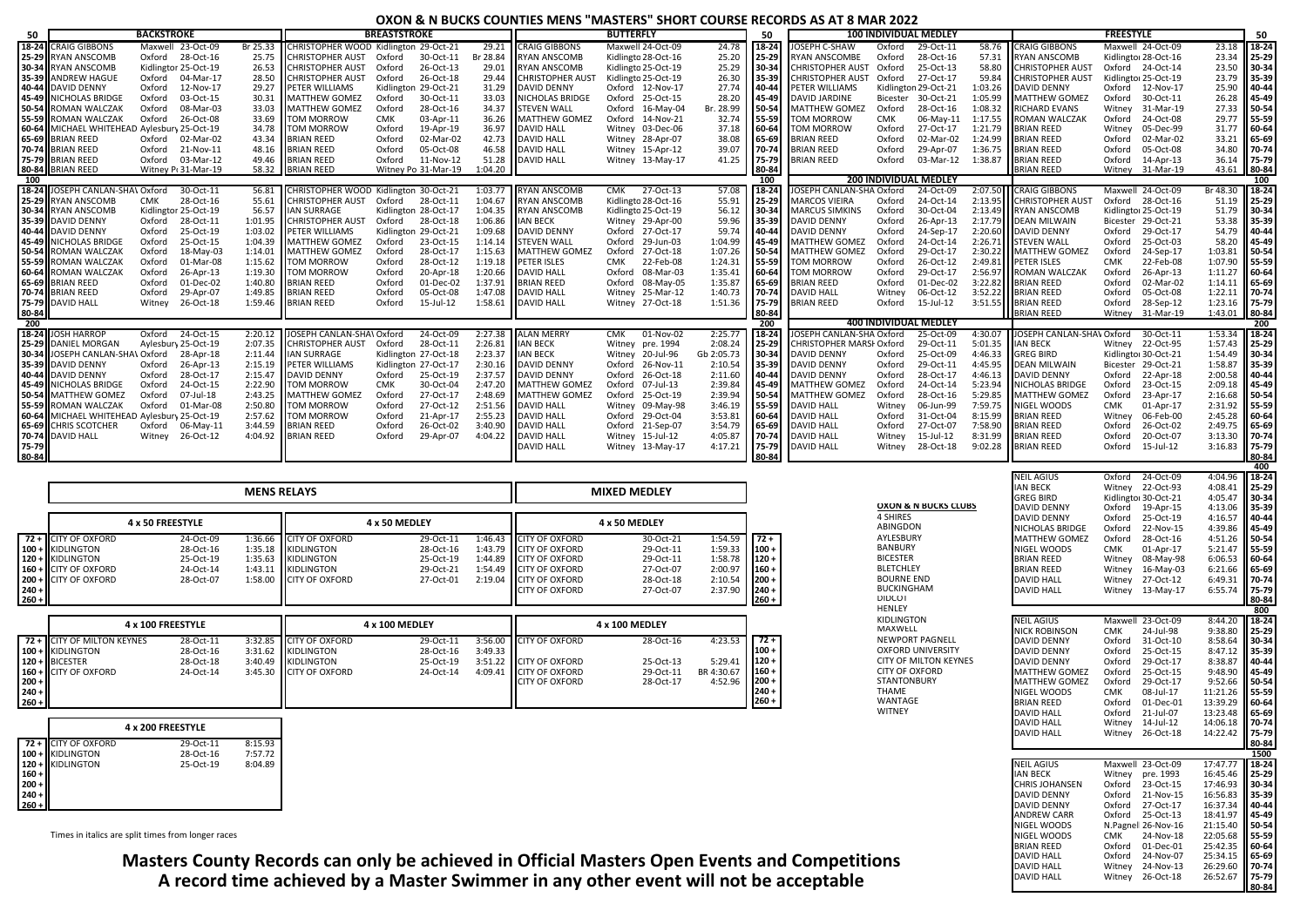#### **OXON & N BUCKS COUNTIES MENS "MASTERS" SHORT COURSE RECORDS AS AT 8 MAR 2022**

| 50             |                                                                | <b>BACKSTROKE</b> |                        |                      |                                                | <b>BREASTSTROKE</b> |                        |                    |                                              | <b>BUTTERFLY</b>                        |                    | 50             |                                              |                  | <b>100 INDIVIDUAL MEDLEY</b> |                    |                                        | <b>FREESTYLE</b> |                        |                                | 50                |
|----------------|----------------------------------------------------------------|-------------------|------------------------|----------------------|------------------------------------------------|---------------------|------------------------|--------------------|----------------------------------------------|-----------------------------------------|--------------------|----------------|----------------------------------------------|------------------|------------------------------|--------------------|----------------------------------------|------------------|------------------------|--------------------------------|-------------------|
|                | 18-24 CRAIG GIBBONS                                            |                   | Maxwell 23-Oct-09      |                      | Br 25.33 CHRISTOPHER WOOD Kidlington 29-Oct-21 |                     |                        | 29.21              | <b>CRAIG GIBBONS</b>                         | Maxwell 24-Oct-09                       | 24.78              | 18-24          | JOSEPH C-SHAW                                | Oxford           | 29-Oct-11                    |                    | 58.76 CRAIG GIBBONS                    |                  | Maxwell 24-Oct-09      | 23.18 18-24                    |                   |
|                | 25-29 RYAN ANSCOMB                                             | Oxford            | 28-Oct-16              | 25.75                | <b>CHRISTOPHER AUST</b>                        | Oxford              | 30-Oct-11              | Br 28.84           | <b>RYAN ANSCOMB</b>                          | Kidlingto 28-Oct-16                     | 25.20              | 25-29          | <b>RYAN ANSCOMBE</b>                         | Oxford           | 28-Oct-16                    |                    | 57.31 RYAN ANSCOMB                     |                  | Kidlingtor 28-Oct-16   | 23.34                          | $\parallel$ 25-29 |
| 30-34          | <b>RYAN ANSCOMB</b>                                            |                   | Kidlingtor 25-Oct-19   | 26.53                | <b>CHRISTOPHER AUST</b>                        | Oxford              | 26-Oct-13              | 29.01              | <b>RYAN ANSCOMB</b>                          | Kidlingto 25-Oct-19                     | 25.29              | 30-34          | <b>CHRISTOPHER AUST</b>                      | Oxford           | 25-Oct-13                    | 58.80              | <b>CHRISTOPHER AUST</b>                |                  | Oxford 24-Oct-14       | 23.50                          | 30-34             |
| 35-39          | <b>ANDREW HAGUE</b>                                            | Oxford            | 04-Mar-17              | 28.50                | <b>CHRISTOPHER AUST</b>                        | Oxford              | 26-Oct-18              | 29.44              | <b>CHRISTOPHER AUST</b>                      | Kidlingto 25-Oct-19                     | 26.30              | 35-39          | <b>CHRISTOPHER AUST</b>                      | Oxford           | 27-Oct-17                    | 59.84              | <b>I CHRISTOPHER AUST</b>              |                  | Kidlingtor 25-Oct-19   | 23.79                          | $\parallel$ 35-39 |
| 40-44          | DAVID DENNY                                                    | Oxford            | 12-Nov-17              |                      | 29.27 PETER WILLIAMS                           |                     | Kidlington 29-Oct-21   | 31.29              | <b>DAVID DENNY</b>                           | Oxford 12-Nov-17                        | 27.74              | 40-44          | PETER WILLIAMS                               |                  | Kidlington 29-Oct-21         |                    | 1:03.26 DAVID DENNY                    |                  | Oxford 12-Nov-17       | 25.90                          | <b>140-44</b>     |
| 45-49          | <b>NICHOLAS BRIDGE</b>                                         | Oxford            | 03-Oct-15              | 30.31                | <b>MATTHEW GOMEZ</b>                           | Oxford              | 30-Oct-11              | 33.03              | <b>NICHOLAS BRIDGE</b>                       | Oxford 25-Oct-15                        | 28.20              | 45-49          | <b>DAVID JARDINE</b>                         |                  | Bicester 30-Oct-21           | 1:05.99            | <b>MATTHEW GOMEZ</b>                   | Oxford           | 30-Oct-11              | 26.28                          | <b>145-49</b>     |
| 50-54          | ROMAN WALCZAK                                                  | Oxford            | 08-Mar-03              | 33.03                | <b>MATTHEW GOMEZ</b>                           | Oxford              | 28-Oct-16              | 34.37              | <b>ISTEVEN WALL</b>                          | 16-May-04<br>Oxford                     | Br. 28.99          | 50-54          | <b>MATTHEW GOMEZ</b>                         | Oxford           | 28-Oct-16                    |                    | 1:08.32 RICHARD EVANS                  | Witney           | 31-Mar-19              | 27.33                          | 150-54            |
| 55-59          | ROMAN WALCZAK                                                  | Oxford            | 26-Oct-08              |                      | 33.69 TOM MORROW                               | <b>CMK</b>          | 03-Apr-11              | 36.26              | MATTHEW GOMEZ                                | Oxford<br>14-Nov-21                     | 32.74              | 55-59          | <b>TOM MORROW</b>                            | <b>CMK</b>       | 06-May-11                    |                    | 1:17.55 ROMAN WALCZAK                  | Oxford           | 24-Oct-08              | 29.77                          | 55-59             |
| 60-64          | MICHAEL WHITEHEAD Aylesbury 25-Oct-19                          |                   |                        | 34.78                | <b>I TOM MORROW</b>                            | Oxford              | 19-Apr-19              | 36.97              | <b>DAVID HALL</b>                            | Witney 03-Dec-06                        | 37.18              | 60-64          | <b>TOM MORROW</b>                            | Oxford           | 27-Oct-17                    | 1:21.79            | <b>BRIAN REED</b>                      | Witney           | 05-Dec-99              | 31.77                          | $II 60-64$        |
| 65-69          | <b>BRIAN REED</b>                                              | Oxford            | 02-Mar-02              | 43.34                | <b>BRIAN REED</b>                              | Oxford              | 02-Mar-02              | 42.73              | <b>DAVID HALL</b>                            | Witney 28-Apr-07                        | 38.08              | 65-69          | <b>BRIAN REED</b>                            | Oxford           | 02-Mar-02                    | 1:24.99            | <b>BRIAN REED</b>                      | Oxford           | 02-Mar-02              | 33.21                          | 65-69             |
| 70-74          | <b>BRIAN REED</b>                                              | Oxford            | 21-Nov-11              | 48.16                | <b>BRIAN REED</b>                              | Oxford              | 05-Oct-08              | 46.58              | <b>DAVID HALL</b>                            | Witney 15-Apr-12                        | 39.07              | 70-74          | <b>BRIAN REED</b>                            | Oxford           | 29-Apr-07                    | 1:36.75            | <b>I BRIAN REED</b>                    | Oxford           | 05-Oct-08              | 34.80                          | 70-74             |
| 75-79          | <b>BRIAN REED</b>                                              | Oxford            | 03-Mar-12              | 49.46                | <b>BRIAN REED</b>                              | Oxford              | 11-Nov-12              | 51.28              | <b>DAVID HALL</b>                            | Witney 13-May-17                        | 41.25              | 75-79          | <b>BRIAN REED</b>                            | Oxford           | 03-Mar-12                    | 1:38.87            | <b>BRIAN REED</b>                      | Oxford           | 14-Apr-13              | 36.14                          | 75-79             |
| 80-84          | <b>BRIAN REED</b>                                              |                   | Witnev Pr 31-Mar-19    | 58.32                | <b>BRIAN REED</b>                              |                     | Witney Po 31-Mar-19    | 1:04.20            |                                              |                                         |                    | 80-84          |                                              |                  |                              |                    | <b>BRIAN REED</b>                      |                  | Witnev 31-Mar-19       | 43.61                          | $\parallel$ 80-84 |
| 100            |                                                                |                   |                        |                      |                                                |                     |                        |                    |                                              |                                         |                    | 100            |                                              |                  | <b>200 INDIVIDUAL MEDLEY</b> |                    |                                        |                  |                        |                                | 100               |
| 18-24          | JOSEPH CANLAN-SHAV Oxford                                      |                   | 30-Oct-11              | 56.81                | CHRISTOPHER WOOD Kidlington 30-Oct-21          |                     |                        | 1:03.77            | <b>RYAN ANSCOMB</b>                          | <b>CMK</b><br>27-Oct-13                 | 57.08              | 18-24          | JOSEPH CANLAN-SHA Oxford                     |                  | 24-Oct-09                    |                    | 2:07.50 CRAIG GIBBONS                  |                  | Maxwell 24-Oct-09      | Br 48.30 18-24                 |                   |
|                | 25-29 RYAN ANSCOMB                                             | <b>CMK</b>        | 28-Oct-16              | 55.61                | <b>I</b> CHRISTOPHER AUST                      | Oxford              | 28-Oct-11              | 1:04.67            | <b>RYAN ANSCOMB</b>                          | Kidlingtc 28-Oct-16                     | 55.91              | 25-29          | <b>MARCOS VIEIRA</b>                         | Oxford           | 24-Oct-14                    |                    | 2:13.95 CHRISTOPHER AUST               |                  | Oxford 28-Oct-16       | 51.19                          | $\parallel$ 25-29 |
|                | 30-34 RYAN ANSCOMB                                             |                   | Kidlingtor 25-Oct-19   |                      | 56.57 IAN SURRAGE                              |                     | Kidlington 28-Oct-17   | 1:04.35            | <b>RYAN ANSCOMB</b>                          | Kidlingto 25-Oct-19                     | 56.12              | 30-34          | <b>MARCUS SIMKINS</b>                        | Oxford           | 30-Oct-04                    |                    | 2:13.49 RYAN ANSCOMB                   |                  | Kidlingtor 25-Oct-19   | 51.79                          | 30-34             |
| 35-39          | DAVID DENNY                                                    | Oxford            | 28-Oct-11              | 1:01.95              | <b>CHRISTOPHER AUST</b>                        | Oxford              | 28-Oct-18              | 1:06.86            | <b>IAN BECK</b>                              | Witney 29-Apr-00                        | 59.96              | 35-39          | <b>DAVID DENNY</b>                           | Oxford           | 26-Apr-13                    |                    | 2:17.79 DEAN MILWAIN                   |                  | Bicester 29-Oct-21     | 53.38 35-39                    |                   |
| 40-44          | <b>DAVID DENNY</b>                                             | Oxford            | 25-Oct-19              | 1:03.02              | <b>I PETER WILLIAMS</b>                        |                     | Kidlington 29-Oct-21   | 1:09.68            | <b>DAVID DENNY</b>                           | Oxford 27-Oct-17                        | 59.74              | 40-44          | <b>DAVID DENNY</b>                           | Oxford           | 24-Sep-17                    |                    | 2:20.60 DAVID DENNY                    | Oxford           | 29-Oct-17              | 54.79                          | <b>140-44</b>     |
| 45-49          | <b>NICHOLAS BRIDGE</b>                                         | Oxford            | 25-Oct-15              |                      | 1:04.39 MATTHEW GOMEZ                          | Oxford              | 23-Oct-15              | 1:14.14            | <b>STEVEN WALL</b>                           | Oxford 29-Jun-03                        | 1:04.99            | 45-49          | <b>MATTHEW GOMEZ</b>                         | Oxford           | 24-Oct-14                    |                    | 2:26.71 STEVEN WALL                    | Oxford           | 25-Oct-03              | 58.20                          | 45-49             |
| 50-54          | <b>ROMAN WALCZAK</b>                                           | Oxford            | 18-May-03              | 1:14.01              | <b>MATTHEW GOMEZ</b>                           | Oxford              | 28-Oct-17              | 1:15.63            | <b>MATTHEW GOMEZ</b>                         | 27-Oct-18<br>Oxford                     | 1:07.26            | 50-54          | <b>MATTHEW GOMEZ</b>                         | Oxford           | 29-Oct-17                    |                    | 2:30.22 MATTHEW GOMEZ                  | Oxford           | 24-Sep-17              | 1:03.81                        | 50-54             |
| 55-59          | <b>ROMAN WALCZAK</b>                                           | Oxford            | 01-Mar-08              | 1:15.62              | <b>TOM MORROW</b>                              | Oxford              | 28-Oct-12              | 1:19.18            | <b>PETER ISLES</b>                           | 22-Feb-08<br><b>CMK</b>                 | 1:24.31            | 55-59          | <b>TOM MORROW</b>                            | Oxford           | 26-Oct-12                    |                    | 2:49.81 PETER ISLES                    | <b>CMK</b>       | 22-Feb-08              | 1:07.90 55-59                  |                   |
| 60-64          | ROMAN WALCZAK                                                  | Oxford            | 26-Apr-13              | 1:19.30              | <b>TOM MORROW</b>                              | Oxford              | 20-Apr-18              | 1:20.66            | <b>DAVID HALL</b>                            | 08-Mar-03<br>Oxford                     | 1:35.41            | 60-64          | <b>TOM MORROW</b>                            | Oxford           | 29-Oct-17                    |                    | 2:56.97 ROMAN WALCZAK                  | Oxford           | 26-Apr-13              | 1:11.27 60-64                  |                   |
| 65-69          | <b>BRIAN REED</b>                                              | Oxford            | 01-Dec-02              | 1:40.80              | <b>BRIAN REED</b>                              | Oxford              | 01-Dec-02              | 1:37.91            | <b>BRIAN REED</b>                            | Oxford 08-May-05                        | 1:35.87            | 65-69          | <b>BRIAN REED</b>                            | Oxford           | 01-Dec-02                    |                    | 3:22.82 BRIAN REED                     | Oxford           | 02-Mar-02              | 1:14.11                        | 65-69             |
| 70-74          | <b>BRIAN REED</b>                                              | Oxford            | 29-Apr-07              | 1:49.85              | <b>BRIAN REED</b>                              | Oxford              | 05-Oct-08              | 1:47.08            | <b>DAVID HALL</b>                            | Witney 25-Mar-12                        | 1:40.73            | 70-74          | <b>DAVID HALL</b>                            | Witney           | 06-Oct-12                    |                    | 3:52.22 BRIAN REED                     | Oxford           | 05-Oct-08              | 1:22.11                        | <b>1</b> 70-74    |
|                | 75-79 DAVID HALL                                               | Witney            | 26-Oct-18              |                      | 1:59.46 <b>BRIAN REED</b>                      | Oxford              | 15-Jul-12              | 1:58.61            | <b>DAVID HALL</b>                            | Witney 27-Oct-18                        | 1:51.36            | 75-79          | <b>BRIAN REED</b>                            | Oxford           | 15-Jul-12                    |                    | 3:51.55 BRIAN REED                     | Oxford           | 28-Sep-12              | 1:23.16 75-79                  |                   |
| 80-84          |                                                                |                   |                        |                      |                                                |                     |                        |                    |                                              |                                         |                    | 80-84          |                                              |                  |                              |                    | <b>BRIAN REED</b>                      | Witney           | 31-Mar-19              | 1:43.01                        | $\parallel$ 80-84 |
| 200            |                                                                |                   |                        |                      |                                                |                     |                        |                    |                                              |                                         |                    | 200            |                                              |                  | <b>400 INDIVIDUAL MEDLEY</b> |                    |                                        |                  |                        |                                | 200               |
|                | 18-24 JOSH HARROP                                              | Oxford            | 24-Oct-15              | 2:20.12              | JOSEPH CANLAN-SHA\ Oxford                      |                     | 24-Oct-09              | 2:27.38            | <b>ALAN MERRY</b>                            | <b>CMK</b><br>01-Nov-02                 | 2:25.77            | 18-24          | JOSEPH CANLAN-SHA Oxford                     |                  | 25-Oct-09                    | 4:30.07            | JOSEPH CANLAN-SHAV Oxford              |                  | 30-Oct-11              | 1:53.34 18-24                  |                   |
| 25-29          | <b>DANIEL MORGAN</b>                                           |                   | Aylesbury 25-Oct-19    |                      | 2:07.35 CHRISTOPHER AUST                       | Oxford              | 28-Oct-11              | 2:26.81            | <b>IAN BECK</b>                              | Witney pre. 1994                        | 2:08.24            | 25-29          | CHRISTOPHER MARSI Oxford                     |                  | 29-Oct-11                    |                    | 5:01.35   IAN BECK                     |                  | Witney 22-Oct-95       | 1:57.43 25-29                  |                   |
| 30-34          | JOSEPH CANLAN-SHAV Oxford                                      |                   | 28-Apr-18              | 2:11.44              | <b>IAN SURRAGE</b>                             |                     | Kidlington 27-Oct-18   | 2:23.37            | <b>IAN BECK</b>                              | Witney 20-Jul-96                        | Gb 2:05.73         | 30-34          | <b>DAVID DENNY</b>                           | Oxford           | 25-Oct-09                    |                    | 4:46.33 GREG BIRD                      |                  | Kidlingtor 30-Oct-21   | 1:54.49 30-34<br>1:58.87       |                   |
| 35-39          | <b>DAVID DENNY</b>                                             | Oxford            | 26-Apr-13              | 2:15.19              | <b>I PETER WILLIAMS</b>                        |                     | Kidlington 27-Oct-17   | 2:30.16            | <b>DAVID DENNY</b>                           | Oxford 26-Nov-11                        | 2:10.54            | 35-39          | <b>DAVID DENNY</b>                           | Oxford           | 29-Oct-11                    | 4:45.95            | <b>I DEAN MILWAIN</b>                  |                  | Bicester 29-Oct-21     |                                | 35-39             |
| 40-44          | <b>DAVID DENNY</b>                                             | Oxford            | 28-Oct-17              | 2:15.47              | <b>DAVID DENNY</b>                             | Oxford              | 25-Oct-19              | 2:37.57            | <b>DAVID DENNY</b>                           | Oxford 26-Oct-18                        | 2:11.60            | 40-44          | <b>DAVID DENNY</b>                           | Oxford           | 28-Oct-17                    |                    | 4:46.13 DAVID DENNY                    | Oxford           | 22-Apr-18              | 2:00.58 40-44                  |                   |
| 45-49<br>50-54 | NICHOLAS BRIDGE<br><b>MATTHEW GOMEZ</b>                        | Oxford            | 24-Oct-15<br>07-Jul-18 | 2:22.90<br>2:43.25   | <b>TOM MORROW</b><br><b>IMATTHEW GOMEZ</b>     | <b>CMK</b>          | 30-Oct-04<br>27-Oct-17 | 2:47.20<br>2:48.69 | <b>MATTHEW GOMEZ</b><br><b>MATTHEW GOMEZ</b> | Oxford<br>07-Jul-13<br>Oxford 25-Oct-19 | 2:39.84<br>2:39.94 | 45-49          | <b>MATTHEW GOMEZ</b><br><b>MATTHEW GOMEZ</b> | Oxford<br>Oxford | 24-Oct-14<br>28-Oct-16       | 5:23.94<br>5:29.85 | INICHOLAS BRIDGE<br>MATTHEW GOMEZ      | Oxford<br>Oxford | 23-Oct-15<br>23-Apr-17 | 2:09.18 45-49<br>2:16.68 50-54 |                   |
|                |                                                                | Oxford            |                        |                      |                                                | Oxford              |                        |                    |                                              |                                         |                    | 50-54<br>55-59 |                                              |                  |                              |                    |                                        |                  |                        |                                |                   |
| 55-59          | <b>ROMAN WALCZAK</b>                                           | Oxford            | 01-Mar-08              | 2:50.80              | <b>I TOM MORROW</b>                            | Oxford              | 27-Oct-12              | 2:51.56            | <b>DAVID HALL</b>                            | Witney 09-May-98                        | 3:46.19            |                | <b>DAVID HALL</b>                            | Witney           | 06-Jun-99                    |                    | 7:59.75 NIGEL WOODS                    | <b>CMK</b>       | 01-Apr-17              | 2:31.92 55-59                  |                   |
| 60-64<br>65-69 | MICHAEL WHITEHEAD Aylesbury 25-Oct-19<br><b>CHRIS SCOTCHER</b> |                   |                        |                      | 2:57.62   TOM MORROW                           | Oxford              | 21-Apr-17<br>26-Oct-02 | 2:55.23<br>3:40.90 | DAVID HALL                                   | 29-Oct-04<br>Oxford                     | 3:53.81<br>3:54.79 | 60-64<br>65-69 | <b>DAVID HALL</b><br><b>DAVID HALL</b>       | Oxford           | 31-Oct-04<br>27-Oct-07       | 8:15.99<br>7:58.90 | <b>BRIAN REED</b>                      | Witney           | 06-Feb-00<br>26-Oct-02 | 2:45.28 60-64<br>2:49.75 65-69 |                   |
|                |                                                                | Oxford            | 06-May-11              | 3:44.59              | <b>BRIAN REED</b>                              | Oxford              |                        | 4:04.22            | <b>DAVID HALL</b>                            | Oxford 21-Sep-07                        | 4:05.87            | 70-74          |                                              | Oxford           |                              |                    | <b>BRIAN REED</b>                      | Oxford           |                        |                                |                   |
| 70-74<br>75-79 | <b>DAVID HALL</b>                                              | Witney            | 26-Oct-12              | 4:04.92              | <b>I BRIAN REED</b>                            | Oxford              | 29-Apr-07              |                    | <b>DAVID HALL</b><br>DAVID HALL              | Witney 15-Jul-12                        | 4:17.21            |                | <b>DAVID HALL</b><br><b>DAVID HALL</b>       | Witney<br>Witney | 15-Jul-12<br>28-Oct-18       | 8:31.99<br>9:02.28 | <b>BRIAN REED</b><br><b>BRIAN REED</b> | Oxford<br>Oxford | 20-Oct-07<br>15-Jul-12 | 3:13.30<br>3:16.83 75-79       | 70-74             |
| 80-84          |                                                                |                   |                        |                      |                                                |                     |                        |                    |                                              | Witney 13-May-17                        |                    | 75-79          |                                              |                  |                              |                    |                                        |                  |                        |                                | 80-84             |
|                |                                                                |                   |                        |                      |                                                |                     |                        |                    |                                              |                                         |                    | 80-84          |                                              |                  |                              |                    |                                        |                  |                        |                                | 400               |
|                |                                                                |                   |                        |                      |                                                |                     |                        |                    |                                              |                                         |                    |                |                                              |                  |                              |                    | <b>NEIL AGIUS</b>                      | Oxford           | 24-Oct-09              | 4:04.96 18-24                  |                   |
|                |                                                                |                   |                        | <b>BAFAIC BELAVE</b> |                                                |                     |                        |                    |                                              | <b>ASIVER BAFRIEV</b>                   |                    |                |                                              |                  |                              |                    | <b>JAN BECK</b>                        |                  | Witney 22-Oct-93       | $4:08.41$ 25-29                |                   |

|         |                             |                  | <b>MENS RELAYS</b> |                        |               |                        | <b>MIXED MEDLEY</b> |                 |          |                                 | <b>IAIN DEUN</b><br><b>GREG BIRD</b> | <b>VVILIIEV</b> | 22-ULL-93<br>Kidlingtor 30-Oct-21 | 4.00.41 <b>123-43</b><br>4:05.47 30-34 |       |
|---------|-----------------------------|------------------|--------------------|------------------------|---------------|------------------------|---------------------|-----------------|----------|---------------------------------|--------------------------------------|-----------------|-----------------------------------|----------------------------------------|-------|
|         |                             |                  |                    |                        |               |                        |                     |                 |          | <b>OXON &amp; N BUCKS CLUBS</b> | <b>DAVID DENNY</b>                   | Oxford          | 19-Apr-15                         | 4:13.06 35-39                          |       |
|         |                             | 4 x 50 FREESTYLE |                    |                        | 4 x 50 MEDLEY |                        | 4 x 50 MEDLEY       |                 |          | 4 SHIRES                        | DAVID DENNY                          | Oxford          | 25-Oct-19                         | 4:16.57 40-44                          |       |
|         |                             |                  |                    |                        |               |                        |                     |                 |          | ABINGDON                        | NICHOLAS BRIDGE                      | Oxford          | 22-Nov-15                         | 4:39.86 45-49                          |       |
|         | 72 + CITY OF OXFORD         | 24-Oct-09        |                    | 1:36.66 CITY OF OXFORD | 29-Oct-11     | 1:46.43 CITY OF OXFORD | 30-Oct-21           | 1:54.59         | $72 +$   | AYLESBURY                       | <b>MATTHEW GOMEZ</b>                 | Oxford          | 28-Oct-16                         | 4:51.26 50-54                          |       |
|         | 100 + KIDLINGTON            | 28-Oct-16        |                    | 1:35.18 KIDLINGTON     | 28-Oct-16     | 1:43.79 CITY OF OXFORD | 29-Oct-11           | 1:59.33         | 100 +    | <b>BANBURY</b>                  | NIGEL WOODS                          | <b>CMK</b>      | 01-Apr-17                         | 5:21.47 55-59                          |       |
|         | 120 + KIDLINGTON            | 25-Oct-19        |                    | 1:35.63 KIDLINGTON     | 25-Oct-19     | 1:44.89 CITY OF OXFORD | 29-Oct-11           | 1:58.78         | $1120 +$ | <b>BICESTER</b>                 | <b>BRIAN REED</b>                    | Witney          | 08-May-98                         | 6:06.53 60-64                          |       |
|         | 160 + CITY OF OXFORD        | 24-Oct-14        |                    | 1:43.11 KIDLINGTON     | 29-Oct-21     | 1:54.49 CITY OF OXFORD | 27-Oct-07           | 2:00.97         | $160 +$  | <b>BLETCHLEY</b>                | <b>BRIAN REED</b>                    | Witney          | 16-May-03                         | $6:21.66$ 65-69                        |       |
|         | <b>200 + CITY OF OXFORD</b> | 28-Oct-07        |                    | 1:58.00 CITY OF OXFORD | 27-Oct-01     | 2:19.04 CITY OF OXFORD | 28-Oct-18           | 2:10.54         | $1200 +$ | <b>BOURNE END</b>               | DAVID HALL                           | Witney          | 27-Oct-12                         | 6:49.31 70-74                          |       |
| $240 +$ |                             |                  |                    |                        |               | <b>CITY OF OXFORD</b>  | 27-Oct-07           | $2:37.90$ 240 + |          | <b>BUCKINGHAM</b>               | <b>DAVID HALL</b>                    | Witney          | 13-May-17                         | 6:55.74 75-79                          |       |
| $260 +$ |                             |                  |                    |                        |               |                        |                     |                 | $260 +$  | <b>DIDCOT</b>                   |                                      |                 |                                   |                                        | 80-84 |

|            | 4 x 100 FREESTYLE          |           |         |                        | 4 x 100 MEDLEY |         |                        | 4 x 100 MEDLEY |                  |           | KIDLINGTON<br>MAXWELL        | <b>NEIL AGIUS</b><br><b>NICK ROBINSON</b> | <b>CMK</b> | Maxwell 23-Oct-09<br>24-Jul-98 | 8:44.20 18-24<br>9:38.80 25-29 |  |
|------------|----------------------------|-----------|---------|------------------------|----------------|---------|------------------------|----------------|------------------|-----------|------------------------------|-------------------------------------------|------------|--------------------------------|--------------------------------|--|
|            | 72 + CITY OF MILTON KEYNES | 28-Oct-11 | 3:32.85 | <b>ICITY OF OXFORD</b> | 29-Oct-11      |         | 3:56.00 CITY OF OXFORD | 28-Oct-16      | 4:23.53          | $72+$     | <b>NEWPORT PAGNELL</b>       | <b>DAVID DENNY</b>                        |            | Oxford 31-Oct-10               | 8:58.64 30-34                  |  |
|            | 100 + KIDLINGTON           | 28-Oct-16 |         | 3:31.62 KIDLINGTON     | 28-Oct-16      | 3:49.33 |                        |                |                  | $100 -$   | <b>OXFORD UNIVERSITY</b>     | <b>DAVID DENNY</b>                        |            | Oxford 25-Oct-15               | 8:47.12 35-39                  |  |
|            | 120 + BICESTER             | 28-Oct-18 |         | 3:40.49 KIDLINGTON     | 25-Oct-19      |         | 3:51.22 CITY OF OXFORD | 25-Oct-13      | 5:29.41          | $120 +$   | <b>CITY OF MILTON KEYNES</b> | <b>DAVID DENNY</b>                        |            | Oxford 29-Oct-17               | 8:38.87 40-44                  |  |
|            | 160 + CITY OF OXFORD       | 24-Oct-14 |         | 3:45.30 CITY OF OXFORD | 24-Oct-14      |         | 4:09.41 CITY OF OXFORD | 29-Oct-11      | BR 4:30.67 160 + |           | <b>CITY OF OXFORD</b>        | <b>MATTHEW GOMEZ</b>                      | Oxford     | 25-Oct-15                      | 9:48.90 45-49                  |  |
| $200 +$    |                            |           |         |                        |                |         | <b>CITY OF OXFORD</b>  | 28-Oct-17      | 4:52.96          | $  200 +$ | <b>STANTONBURY</b>           | <b>MATTHEW GOMEZ</b>                      |            | Oxford 29-Oct-17               | 9:52.66 50-54                  |  |
| $240 +$    |                            |           |         |                        |                |         |                        |                |                  | 240       | <b>THAME</b>                 | NIGEL WOODS                               | <b>CMK</b> | 08-Jul-17                      | 11:21.26 55-59                 |  |
| $ 260 +  $ |                            |           |         |                        |                |         |                        |                |                  | 260+      | WANTAGE                      | <b>BRIAN REED</b>                         | Oxford     | 01-Dec-01                      | 13:39.29 60-64                 |  |

|         |                     | 4 x 200 FREESTYLE |         |
|---------|---------------------|-------------------|---------|
|         | 72 + CITY OF OXFORD | 29-Oct-11         | 8:15.93 |
|         | 100 + KIDLINGTON    | 28-Oct-16         | 7:57.72 |
|         | 120 + KIDLINGTON    | $25-Ort-19$       | 8:04.89 |
| 160+    |                     |                   |         |
| $200 +$ |                     |                   |         |
| $240 +$ |                     |                   |         |
| ∠60     |                     |                   |         |

| N & N BUCKS CLUBS<br><b>RES</b><br>GDON<br>SBURY<br><b>SURY</b><br><b>STER</b><br>CHLEY<br><b>INE END</b><br><b>INGHAM</b><br>ОT     | <b>IAIN BEC</b><br><b>GREG BI</b><br>DAVID D<br>DAVID D<br>NICHOL<br>MATTHE<br>NIGEL W<br><b>BRIAN R</b><br><b>BRIAN R</b><br>DAVID H<br>DAVID H           |
|--------------------------------------------------------------------------------------------------------------------------------------|------------------------------------------------------------------------------------------------------------------------------------------------------------|
| EY.<br>NGTON<br>WELL<br>PORT PAGNELL<br><b>RD UNIVERSITY</b><br>OF MILTON KEYNES<br>OF OXFORD<br><b>TONBURY</b><br>ЛE<br>TAGE<br>IEY | <b>NEIL AG</b><br><b>NICK RO</b><br>DAVID D<br>DAVID D<br>DAVID D<br><b>MATTHE</b><br>MATTHE<br>NIGEL W<br><b>BRIAN R</b><br>DAVID H<br>DAVID H<br>DAVID H |
|                                                                                                                                      | <b>NEIL AG</b><br><b>IAN BEC</b><br><b>CHRIS JC</b><br>DAVID D<br>DAVID D<br><b>ANDREV</b><br>NIGEL W<br>NIGEL W<br><b>BRIAN R</b><br>DAVID H              |

| 75-79<br>80-84                                                 | 65-69 CHRIS SCOTCHER<br>70-74 DAVID HALL                                                                        | Oxford<br>Ub-May-11<br>26-Oct-12<br>Witney                    | 4:04.92                                             | 3:44.59 BRIAN REED<br><b>BRIAN REED</b>                                                                | Oxford<br>Oxford | ZP-OCT-02<br>29-Apr-07                                        | 3:40.90<br>4:04.22                                  | JAVID HALL<br><b>DAVID HALL</b><br>DAVID HALL                                                                                                      | Oxford<br>21-Sep-07<br>Witney 15-Jul-12<br>Witney 13-May-17                                                                                                                          | 3:54.79  <br>4:05.87<br>4:17.21                                | 65-69<br>70-74<br>75-79<br>80-84                                  | <b>DAVID HALL</b><br><b>DAVID HALL</b><br><b>DAVID HALL</b> | Oxford<br>Z/-OCT-07<br>15-Jul-12<br>Witney<br>28-Oct-18<br>Witney                                                                                        | 9:02.28 | 8:31.99 BRIAN REED<br><b>BRIAN REED</b>                                                                                                                                 | Oxford<br>Oxford<br>Oxford                                                       | Z6-OCT-UZ<br>20-Oct-07<br>15-Jul-12                                                                  | 2:49.75 65-69<br>3:13.30<br>3:16.83 75-79                                                           | 70-74<br>80-84                                                            |
|----------------------------------------------------------------|-----------------------------------------------------------------------------------------------------------------|---------------------------------------------------------------|-----------------------------------------------------|--------------------------------------------------------------------------------------------------------|------------------|---------------------------------------------------------------|-----------------------------------------------------|----------------------------------------------------------------------------------------------------------------------------------------------------|--------------------------------------------------------------------------------------------------------------------------------------------------------------------------------------|----------------------------------------------------------------|-------------------------------------------------------------------|-------------------------------------------------------------|----------------------------------------------------------------------------------------------------------------------------------------------------------|---------|-------------------------------------------------------------------------------------------------------------------------------------------------------------------------|----------------------------------------------------------------------------------|------------------------------------------------------------------------------------------------------|-----------------------------------------------------------------------------------------------------|---------------------------------------------------------------------------|
|                                                                |                                                                                                                 |                                                               |                                                     | <b>MENS RELAYS</b>                                                                                     |                  |                                                               |                                                     |                                                                                                                                                    | <b>MIXED MEDLEY</b>                                                                                                                                                                  |                                                                |                                                                   |                                                             |                                                                                                                                                          |         | <b>NEIL AGIUS</b><br><b>IAN BECK</b><br><b>GREG BIRD</b>                                                                                                                | Oxford<br>Witney 22-Oct-93<br>Kidlingtor 30-Oct-21                               | 24-Oct-09                                                                                            | 4:04.96<br>4:08.41<br>4:05.47                                                                       | 400<br>18-24<br>25-29<br>$\parallel$ 30-34                                |
|                                                                |                                                                                                                 | 4 x 50 FREESTYLE                                              |                                                     |                                                                                                        | 4 x 50 MEDLEY    |                                                               |                                                     |                                                                                                                                                    | 4 x 50 MEDLEY                                                                                                                                                                        |                                                                |                                                                   |                                                             | <b>OXON &amp; N BUCKS CLUBS</b><br><b>4 SHIRES</b><br>ABINGDON                                                                                           |         | <b>DAVID DENNY</b><br><b>DAVID DENNY</b><br>NICHOLAS BRIDGE                                                                                                             | Oxford 19-Apr-15<br>Oxford<br>Oxford                                             | 25-Oct-19<br>22-Nov-15                                                                               | 4:13.06<br>4:16.57<br>4:39.86 45-49                                                                 | 35-39<br><b>140-44</b>                                                    |
| $72 +$<br>100 +<br>$200 +$<br>240 +<br>$260 +$                 | <b>CITY OF OXFORD</b><br><b>KIDLINGTON</b><br>120 + KIDLINGTON<br>160 + CITY OF OXFORD<br><b>CITY OF OXFORD</b> | 24-Oct-09<br>28-Oct-16<br>25-Oct-19<br>24-Oct-14<br>28-Oct-07 | 1:36.66<br>1:35.18<br>1:35.63<br>1:43.11<br>1:58.00 | <b>CITY OF OXFORD</b><br><b>KIDLINGTON</b><br><b>KIDLINGTON</b><br>KIDLINGTON<br><b>CITY OF OXFORD</b> |                  | 29-Oct-11<br>28-Oct-16<br>25-Oct-19<br>29-Oct-21<br>27-Oct-01 | 1:46.43<br>1:43.79<br>1:44.89<br>1:54.49<br>2:19.04 | <b>CITY OF OXFORD</b><br><b>CITY OF OXFORD</b><br><b>CITY OF OXFORD</b><br><b>CITY OF OXFORD</b><br><b>CITY OF OXFORD</b><br><b>CITY OF OXFORD</b> | 30-Oct-21<br>29-Oct-11<br>29-Oct-11<br>27-Oct-07<br>28-Oct-18<br>27-Oct-07                                                                                                           | 1:54.59<br>1:59.33<br>1:58.78<br>2:00.97<br>2:10.54<br>2:37.90 | $72 +$<br>$100 +$<br>120+<br>160 +<br>200 +<br>$240 +$<br>$260 +$ |                                                             | AYLESBURY<br><b>BANBURY</b><br><b>BICESTER</b><br><b>BLETCHLEY</b><br><b>BOURNE END</b><br><b>BUCKINGHAM</b><br><b>DIDCOT</b>                            |         | <b>MATTHEW GOMEZ</b><br><b>NIGEL WOODS</b><br><b>BRIAN REED</b><br><b>BRIAN REED</b><br><b>DAVID HALL</b><br><b>DAVID HALL</b>                                          | Oxford<br>CMK<br>Witney<br>Witney<br>Witney<br>Witney                            | 28-Oct-16<br>01-Apr-17<br>08-May-98<br>16-May-03<br>27-Oct-12<br>13-May-17                           | 4:51.26<br>5:21.47<br>6:06.53 60-64<br>6:21.66<br>6:49.31<br>6:55.74 75-79                          | 150-54<br><b>II</b> 55-59<br>65-69<br><b>1</b> 70-74<br>80-84             |
|                                                                |                                                                                                                 | 4 x 100 FREESTYLE                                             |                                                     |                                                                                                        | 4 x 100 MEDLEY   |                                                               |                                                     |                                                                                                                                                    | 4 x 100 MEDLEY                                                                                                                                                                       |                                                                |                                                                   |                                                             | HENLEY<br><b>KIDLINGTON</b><br>MAXWELL                                                                                                                   |         | <b>NEIL AGIUS</b><br><b>NICK ROBINSON</b>                                                                                                                               | Maxwell 23-Oct-09<br>CMK                                                         | 24-Jul-98                                                                                            | 8:44.20<br>9:38.80                                                                                  | 800<br>$18 - 24$<br>25-29                                                 |
| $72 +$<br>$160 +$<br>$200 -$<br>$240 +$<br>$260 +$             | <b>CITY OF MILTON KEYNES</b><br>100 + KIDLINGTON<br>120 + BICESTER<br><b>CITY OF OXFORD</b>                     | 28-Oct-11<br>28-Oct-16<br>28-Oct-18<br>24-Oct-14              | 3:32.85<br>3:31.62<br>3:40.49<br>3:45.30            | <b>CITY OF OXFORD</b><br><b>KIDLINGTON</b><br><b>KIDLINGTON</b><br><b>CITY OF OXFORD</b>               |                  | 29-Oct-11<br>28-Oct-16<br>25-Oct-19<br>24-Oct-14              | 3:56.00<br>3:49.33<br>3:51.22<br>4:09.41            | <b>CITY OF OXFORD</b><br><b>CITY OF OXFORD</b><br><b>CITY OF OXFORD</b><br><b>CITY OF OXFORD</b>                                                   | 28-Oct-16<br>25-Oct-13<br>29-Oct-11<br>28-Oct-17                                                                                                                                     | 4:23.53<br>5:29.41<br>BR 4:30.67<br>4:52.96                    | $72+$<br>$100 +$<br>120 +<br>160 +<br>200 +<br>$240 +$<br>$260 +$ |                                                             | NEWPORT PAGNELL<br><b>OXFORD UNIVERSITY</b><br><b>CITY OF MILTON KEYNES</b><br><b>CITY OF OXFORD</b><br><b>STANTONBURY</b><br>THAME<br>WANTAGE<br>WITNEY |         | <b>DAVID DENNY</b><br><b>DAVID DENNY</b><br><b>DAVID DENNY</b><br><b>MATTHEW GOMEZ</b><br><b>MATTHEW GOMEZ</b><br>NIGEL WOODS<br><b>BRIAN REED</b><br><b>DAVID HALL</b> | Oxford<br>Oxford<br>Oxford<br>Oxford<br>Oxford<br><b>CMK</b><br>Oxford<br>Oxford | 31-Oct-10<br>25-Oct-15<br>29-Oct-17<br>25-Oct-15<br>29-Oct-17<br>08-Jul-17<br>01-Dec-01<br>21-Jul-07 | 8:58.64<br>8:47.12<br>8:38.87<br>9:48.90<br>9:52.66<br>11:21.26 55-59<br>13:39.29 60-64<br>13:23.48 | 30-34<br>35-39<br>40-44<br>45-49<br>50-54<br>65-69                        |
|                                                                |                                                                                                                 | 4 x 200 FREESTYLE                                             |                                                     |                                                                                                        |                  |                                                               |                                                     |                                                                                                                                                    |                                                                                                                                                                                      |                                                                |                                                                   |                                                             |                                                                                                                                                          |         | <b>DAVID HALL</b><br><b>DAVID HALL</b>                                                                                                                                  | Witney                                                                           | 14-Jul-12<br>Witney 26-Oct-18                                                                        | 14:06.18<br>14:22.42 75-79                                                                          | 70-74                                                                     |
| $100 +$<br>$120 +$<br>$160 +$<br>$200 +$<br>$240 -$<br>$260 +$ | 72 + CITY OF OXFORD<br><b>KIDLINGTON</b><br><b>KIDLINGTON</b>                                                   | 29-Oct-11<br>28-Oct-16<br>25-Oct-19                           | 8:15.93<br>7:57.72<br>8:04.89                       |                                                                                                        |                  |                                                               |                                                     |                                                                                                                                                    |                                                                                                                                                                                      |                                                                |                                                                   |                                                             |                                                                                                                                                          |         | <b>NEIL AGIUS</b><br><b>IAN BECK</b><br><b>CHRIS JOHANSEN</b><br><b>DAVID DENNY</b><br><b>DAVID DENNY</b>                                                               | Maxwell 23-Oct-09<br>Witney<br>Oxford<br>Oxford<br>Oxford                        | pre. 1993<br>23-Oct-15<br>21-Nov-15<br>27-Oct-17                                                     | 17:47.77<br>16:45.46<br>17:46.93 30-34<br>16:56.83<br>16:37.34 40-44                                | 80-84<br>1500<br>18-24<br>25-29<br>$\parallel$ 35-39                      |
|                                                                |                                                                                                                 | Times in italics are split times from longer races            |                                                     |                                                                                                        |                  |                                                               |                                                     |                                                                                                                                                    | Masters County Records can only be achieved in Official Masters Open Events and Competitions<br>A record time achieved by a Master Swimmer in any other event will not be acceptable |                                                                |                                                                   |                                                             |                                                                                                                                                          |         | <b>ANDREW CARR</b><br>NIGEL WOODS<br>NIGEL WOODS<br><b>BRIAN REED</b><br><b>DAVID HALL</b><br><b>DAVID HALL</b><br><b>DAVID HALL</b>                                    | Oxford<br>CMK<br>Oxford<br>Oxford<br>Witney<br>Witnev                            | 25-Oct-13<br>N.Pagnell 26-Nov-16<br>24-Nov-18<br>01-Dec-01<br>24-Nov-07<br>24-Nov-13<br>26-Oct-18    | 18:41.97<br>21:15.40<br>22:05.68<br>25:42.35 60-64<br>25:34.15<br>26:29.60<br>26:52.67 75-79        | 45-49<br>150-54<br>55-59<br>$\parallel$ 65-69<br><b>II</b> 70-74<br>80-84 |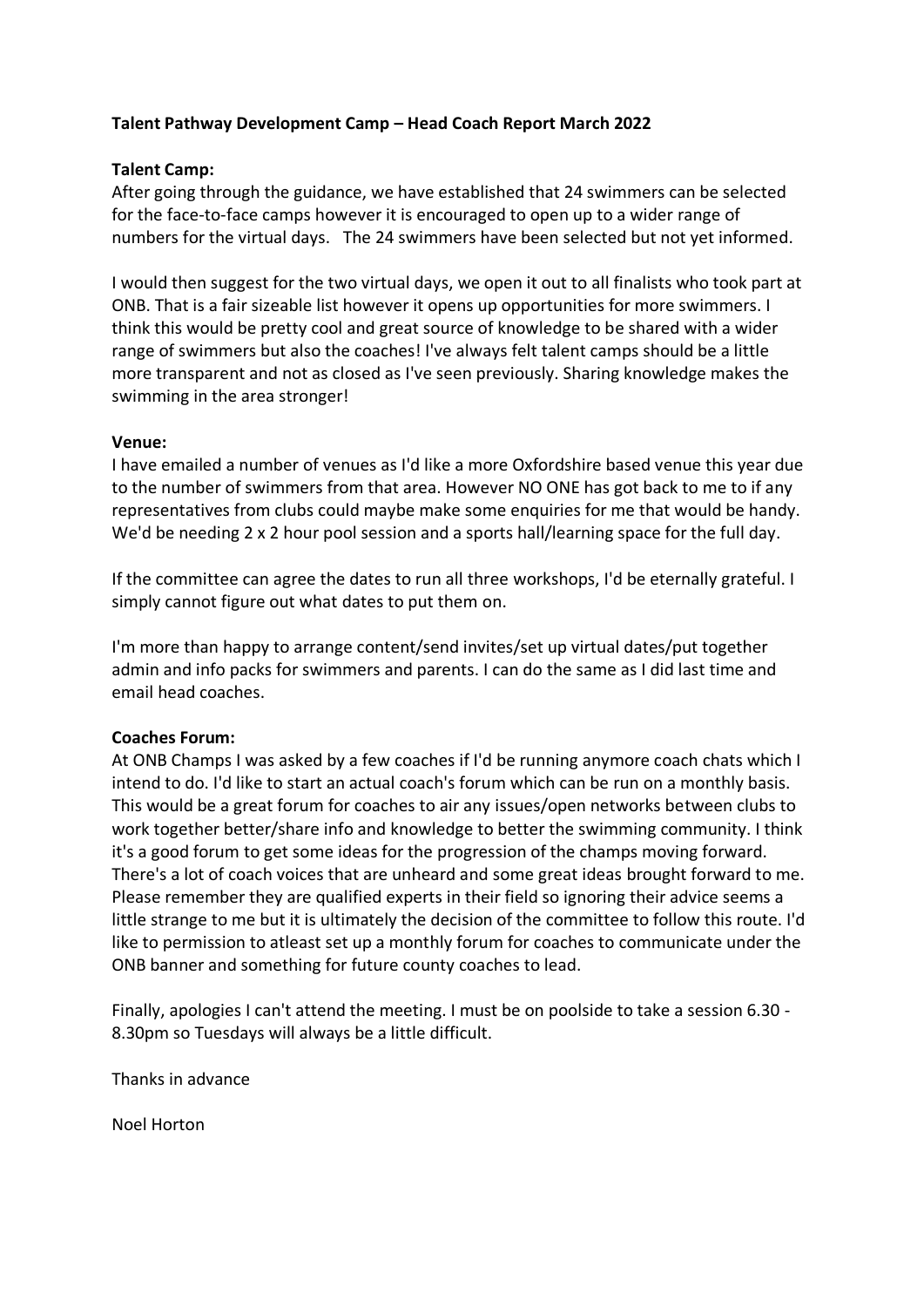### **Talent Pathway Development Camp – Head Coach Report March 2022**

### **Talent Camp:**

After going through the guidance, we have established that 24 swimmers can be selected for the face-to-face camps however it is encouraged to open up to a wider range of numbers for the virtual days. The 24 swimmers have been selected but not yet informed.

I would then suggest for the two virtual days, we open it out to all finalists who took part at ONB. That is a fair sizeable list however it opens up opportunities for more swimmers. I think this would be pretty cool and great source of knowledge to be shared with a wider range of swimmers but also the coaches! I've always felt talent camps should be a little more transparent and not as closed as I've seen previously. Sharing knowledge makes the swimming in the area stronger!

### **Venue:**

I have emailed a number of venues as I'd like a more Oxfordshire based venue this year due to the number of swimmers from that area. However NO ONE has got back to me to if any representatives from clubs could maybe make some enquiries for me that would be handy. We'd be needing 2 x 2 hour pool session and a sports hall/learning space for the full day.

If the committee can agree the dates to run all three workshops, I'd be eternally grateful. I simply cannot figure out what dates to put them on.

I'm more than happy to arrange content/send invites/set up virtual dates/put together admin and info packs for swimmers and parents. I can do the same as I did last time and email head coaches.

### **Coaches Forum:**

At ONB Champs I was asked by a few coaches if I'd be running anymore coach chats which I intend to do. I'd like to start an actual coach's forum which can be run on a monthly basis. This would be a great forum for coaches to air any issues/open networks between clubs to work together better/share info and knowledge to better the swimming community. I think it's a good forum to get some ideas for the progression of the champs moving forward. There's a lot of coach voices that are unheard and some great ideas brought forward to me. Please remember they are qualified experts in their field so ignoring their advice seems a little strange to me but it is ultimately the decision of the committee to follow this route. I'd like to permission to atleast set up a monthly forum for coaches to communicate under the ONB banner and something for future county coaches to lead.

Finally, apologies I can't attend the meeting. I must be on poolside to take a session 6.30 - 8.30pm so Tuesdays will always be a little difficult.

Thanks in advance

Noel Horton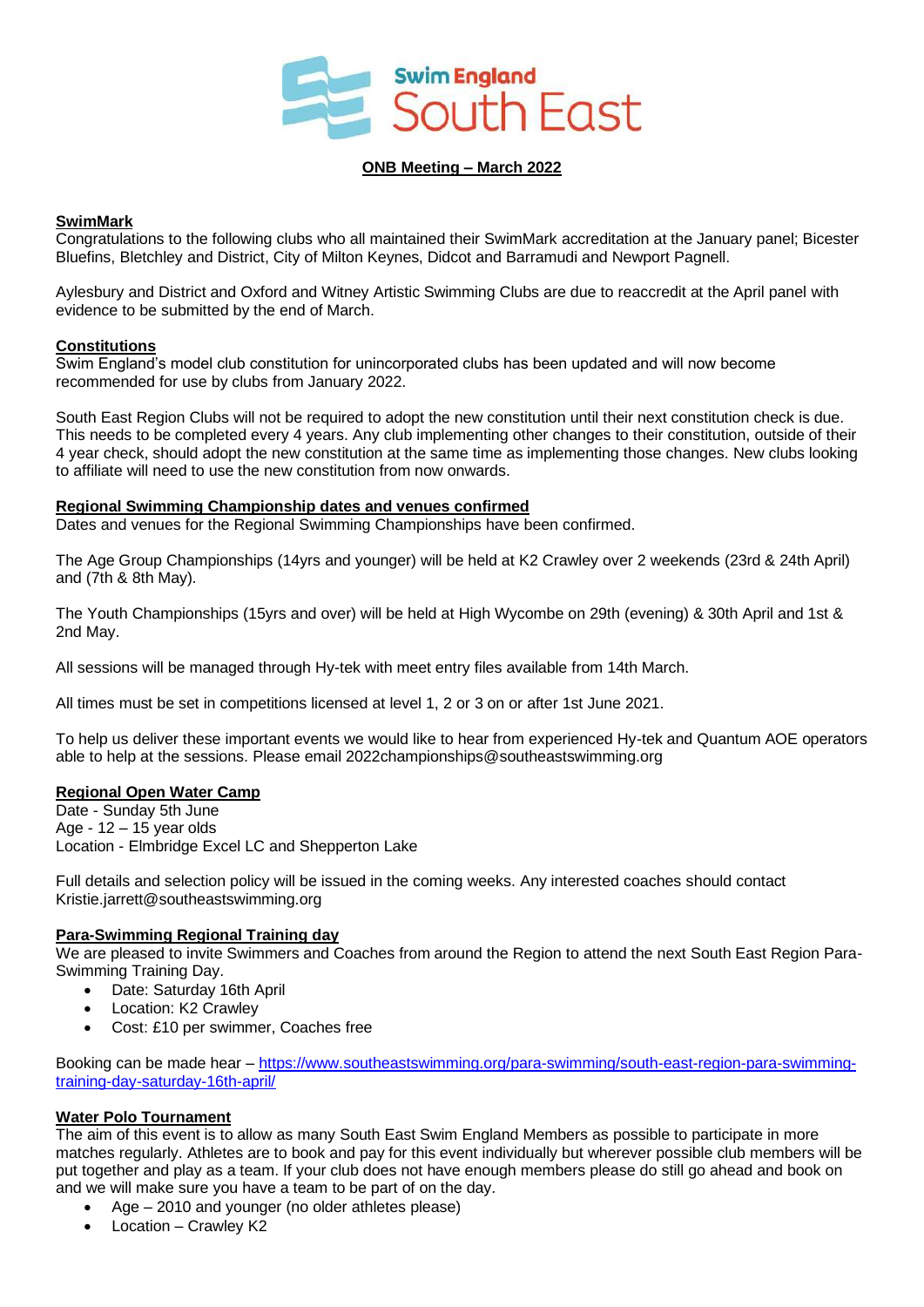

#### **ONB Meeting – March 2022**

### **SwimMark**

Congratulations to the following clubs who all maintained their SwimMark accreditation at the January panel; Bicester Bluefins, Bletchley and District, City of Milton Keynes, Didcot and Barramudi and Newport Pagnell.

Aylesbury and District and Oxford and Witney Artistic Swimming Clubs are due to reaccredit at the April panel with evidence to be submitted by the end of March.

#### **Constitutions**

Swim England's model club constitution for unincorporated clubs has been updated and will now become recommended for use by clubs from January 2022.

South East Region Clubs will not be required to adopt the new constitution until their next constitution check is due. This needs to be completed every 4 years. Any club implementing other changes to their constitution, outside of their 4 year check, should adopt the new constitution at the same time as implementing those changes. New clubs looking to affiliate will need to use the new constitution from now onwards.

#### **Regional Swimming Championship dates and venues confirmed**

Dates and venues for the Regional Swimming Championships have been confirmed.

The Age Group Championships (14yrs and younger) will be held at K2 Crawley over 2 weekends (23rd & 24th April) and (7th & 8th May).

The Youth Championships (15yrs and over) will be held at High Wycombe on 29th (evening) & 30th April and 1st & 2nd May.

All sessions will be managed through Hy-tek with meet entry files available from 14th March.

All times must be set in competitions licensed at level 1, 2 or 3 on or after 1st June 2021.

To help us deliver these important events we would like to hear from experienced Hy-tek and Quantum AOE operators able to help at the sessions. Please email 2022championships@southeastswimming.org

### **Regional Open Water Camp**

Date - Sunday 5th June Age - 12 – 15 year olds Location - Elmbridge Excel LC and Shepperton Lake

Full details and selection policy will be issued in the coming weeks. Any interested coaches should contact Kristie.jarrett@southeastswimming.org

### **Para-Swimming Regional Training day**

We are pleased to invite Swimmers and Coaches from around the Region to attend the next South East Region Para-Swimming Training Day.

- Date: Saturday 16th April
- Location: K2 Crawley
- Cost: £10 per swimmer, Coaches free

Booking can be made hear – [https://www.southeastswimming.org/para-swimming/south-east-region-para-swimming](https://www.southeastswimming.org/para-swimming/south-east-region-para-swimming-training-day-saturday-16th-april/)[training-day-saturday-16th-april/](https://www.southeastswimming.org/para-swimming/south-east-region-para-swimming-training-day-saturday-16th-april/)

### **Water Polo Tournament**

The aim of this event is to allow as many South East Swim England Members as possible to participate in more matches regularly. Athletes are to book and pay for this event individually but wherever possible club members will be put together and play as a team. If your club does not have enough members please do still go ahead and book on and we will make sure you have a team to be part of on the day.

- Age 2010 and younger (no older athletes please)
- Location Crawley K2